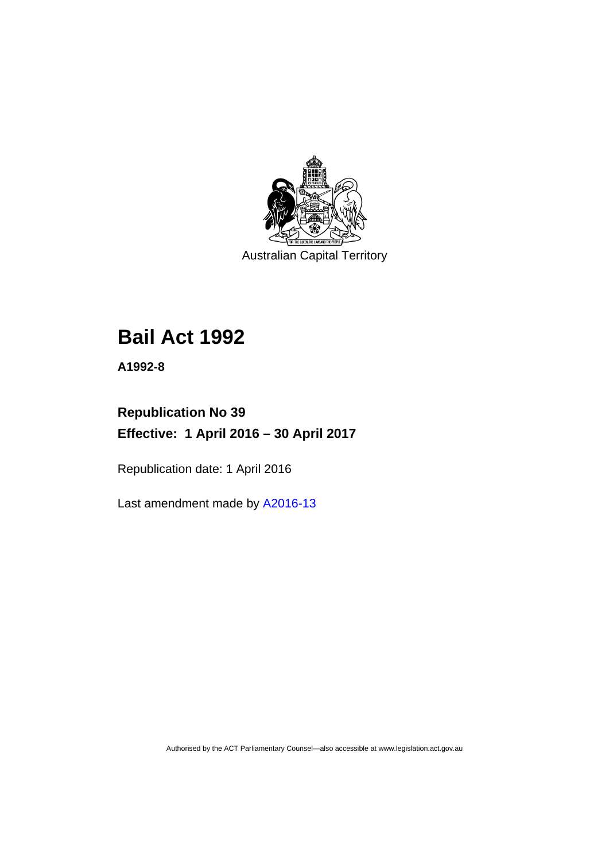

Australian Capital Territory

# **Bail Act 1992**

**A1992-8** 

# **Republication No 39 Effective: 1 April 2016 – 30 April 2017**

Republication date: 1 April 2016

Last amendment made by [A2016-13](http://www.legislation.act.gov.au/a/2016-13/default.asp)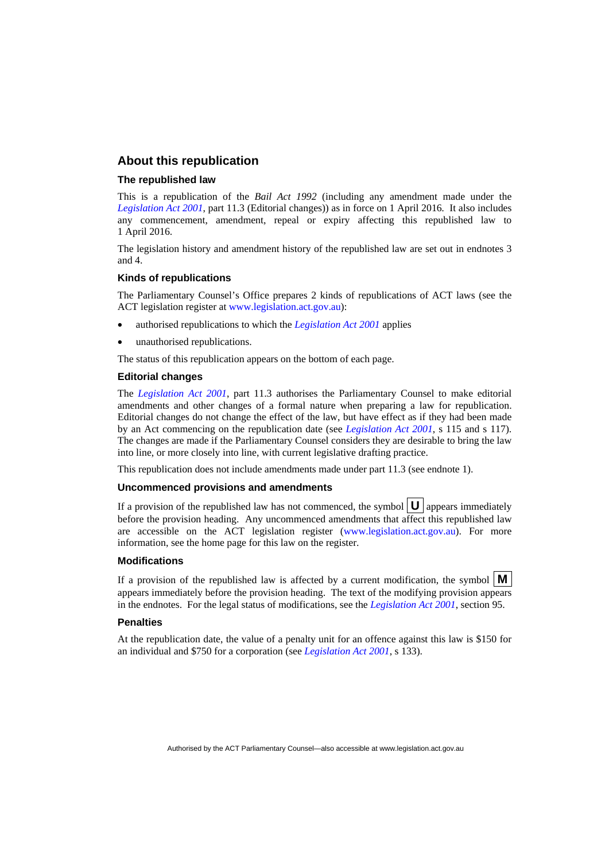### **About this republication**

#### **The republished law**

This is a republication of the *Bail Act 1992* (including any amendment made under the *[Legislation Act 2001](http://www.legislation.act.gov.au/a/2001-14)*, part 11.3 (Editorial changes)) as in force on 1 April 2016*.* It also includes any commencement, amendment, repeal or expiry affecting this republished law to 1 April 2016.

The legislation history and amendment history of the republished law are set out in endnotes 3 and 4.

#### **Kinds of republications**

The Parliamentary Counsel's Office prepares 2 kinds of republications of ACT laws (see the ACT legislation register at [www.legislation.act.gov.au](http://www.legislation.act.gov.au/)):

- authorised republications to which the *[Legislation Act 2001](http://www.legislation.act.gov.au/a/2001-14)* applies
- unauthorised republications.

The status of this republication appears on the bottom of each page.

#### **Editorial changes**

The *[Legislation Act 2001](http://www.legislation.act.gov.au/a/2001-14)*, part 11.3 authorises the Parliamentary Counsel to make editorial amendments and other changes of a formal nature when preparing a law for republication. Editorial changes do not change the effect of the law, but have effect as if they had been made by an Act commencing on the republication date (see *[Legislation Act 2001](http://www.legislation.act.gov.au/a/2001-14)*, s 115 and s 117). The changes are made if the Parliamentary Counsel considers they are desirable to bring the law into line, or more closely into line, with current legislative drafting practice.

This republication does not include amendments made under part 11.3 (see endnote 1).

#### **Uncommenced provisions and amendments**

If a provision of the republished law has not commenced, the symbol  $\mathbf{U}$  appears immediately before the provision heading. Any uncommenced amendments that affect this republished law are accessible on the ACT legislation register [\(www.legislation.act.gov.au\)](http://www.legislation.act.gov.au/). For more information, see the home page for this law on the register.

#### **Modifications**

If a provision of the republished law is affected by a current modification, the symbol  $\mathbf{M}$ appears immediately before the provision heading. The text of the modifying provision appears in the endnotes. For the legal status of modifications, see the *[Legislation Act 2001](http://www.legislation.act.gov.au/a/2001-14)*, section 95.

#### **Penalties**

At the republication date, the value of a penalty unit for an offence against this law is \$150 for an individual and \$750 for a corporation (see *[Legislation Act 2001](http://www.legislation.act.gov.au/a/2001-14)*, s 133).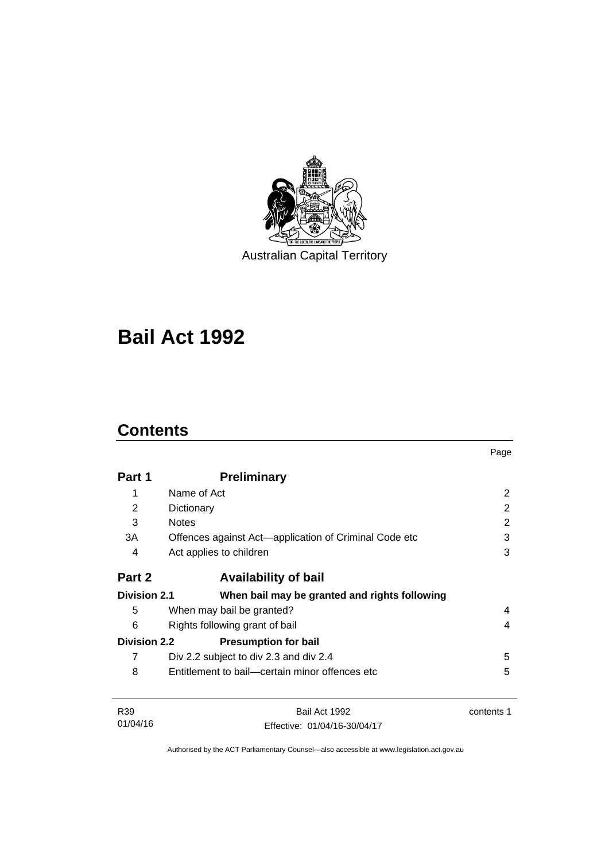

Australian Capital Territory

# **Bail Act 1992**

# **Contents**

|                     |                                                       | Page       |  |
|---------------------|-------------------------------------------------------|------------|--|
| Part 1              | <b>Preliminary</b>                                    |            |  |
| 1                   | Name of Act                                           | 2          |  |
| 2                   | Dictionary                                            | 2          |  |
| 3                   | <b>Notes</b>                                          | 2          |  |
| 3A                  | Offences against Act-application of Criminal Code etc | 3          |  |
| 4                   | Act applies to children                               | 3          |  |
| Part 2              | <b>Availability of bail</b>                           |            |  |
| <b>Division 2.1</b> | When bail may be granted and rights following         |            |  |
| 5                   | When may bail be granted?                             | 4          |  |
| 6                   | Rights following grant of bail<br>4                   |            |  |
| <b>Division 2.2</b> | <b>Presumption for bail</b>                           |            |  |
| 7                   | Div 2.2 subject to div 2.3 and div 2.4                | 5          |  |
| 8                   | Entitlement to bail—certain minor offences etc        | 5          |  |
| R <sub>39</sub>     | Bail Act 1992                                         | contents 1 |  |
| 01/04/16            | Fffective: 01/04/16-30/04/17                          |            |  |

Authorised by the ACT Parliamentary Counsel—also accessible at www.legislation.act.gov.au

Effective: 01/04/16-30/04/17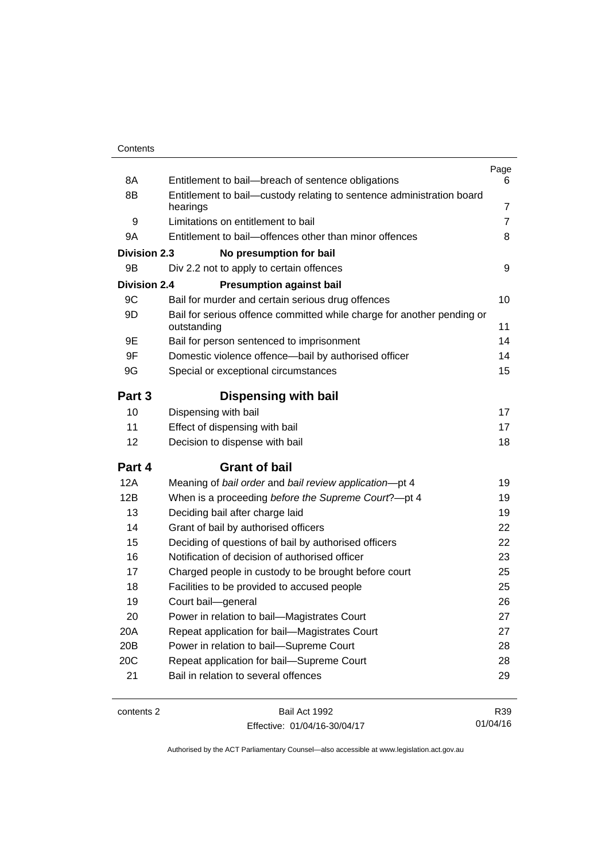| contents 2          | Bail Act 1992                                                                         | R39            |  |
|---------------------|---------------------------------------------------------------------------------------|----------------|--|
| 21                  | Bail in relation to several offences                                                  | 29             |  |
| 20C                 | Repeat application for bail-Supreme Court                                             | 28             |  |
| 20B                 | Power in relation to bail-Supreme Court                                               |                |  |
| 20A                 | Repeat application for bail-Magistrates Court                                         | 27<br>28       |  |
| 20                  | Power in relation to bail-Magistrates Court                                           | 27             |  |
| 19                  | Court bail-general                                                                    | 26             |  |
| 18                  | Facilities to be provided to accused people                                           | 25             |  |
| 17                  | Charged people in custody to be brought before court                                  | 25             |  |
| 16                  | Notification of decision of authorised officer                                        | 23             |  |
| 15                  | Deciding of questions of bail by authorised officers                                  | 22             |  |
| 14                  | Grant of bail by authorised officers                                                  | 22             |  |
| 13                  | Deciding bail after charge laid                                                       | 19             |  |
| 12B                 | When is a proceeding before the Supreme Court?-pt 4                                   | 19             |  |
| 12A                 | Meaning of bail order and bail review application-pt 4                                | 19             |  |
| Part 4              | <b>Grant of bail</b>                                                                  |                |  |
| 12                  | Decision to dispense with bail                                                        | 18             |  |
| 11                  | Effect of dispensing with bail                                                        | 17             |  |
| 10                  | Dispensing with bail                                                                  | 17             |  |
| Part 3              | <b>Dispensing with bail</b>                                                           |                |  |
|                     |                                                                                       |                |  |
| 9G                  | Special or exceptional circumstances                                                  | 15             |  |
| 9F                  | Domestic violence offence-bail by authorised officer                                  | 14             |  |
| 9E                  | Bail for person sentenced to imprisonment                                             | 14             |  |
| 9D                  | Bail for serious offence committed while charge for another pending or<br>outstanding | 11             |  |
| 9C                  | Bail for murder and certain serious drug offences                                     | 10             |  |
| <b>Division 2.4</b> | <b>Presumption against bail</b>                                                       |                |  |
| 9B                  | Div 2.2 not to apply to certain offences                                              | 9              |  |
| <b>Division 2.3</b> | No presumption for bail                                                               |                |  |
| 9A                  | Entitlement to bail-offences other than minor offences                                |                |  |
| 9                   | Limitations on entitlement to bail                                                    | 7              |  |
|                     | hearings                                                                              | $\overline{7}$ |  |
| 8B                  | Entitlement to bail-custody relating to sentence administration board                 |                |  |
| 8A                  | Entitlement to bail-breach of sentence obligations                                    | Page<br>6      |  |

Effective: 01/04/16-30/04/17

R39 01/04/16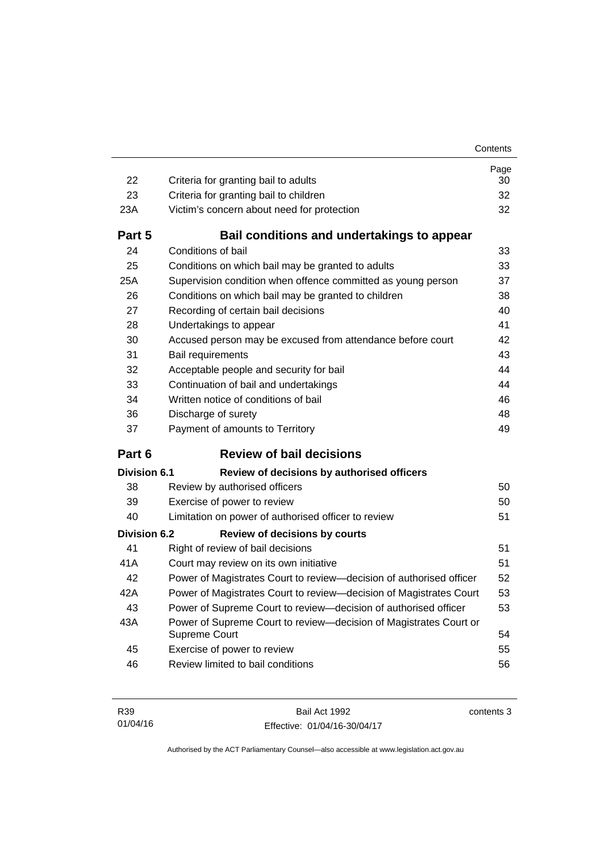| 22           | Criteria for granting bail to adults                                                     | Page<br>30 |  |
|--------------|------------------------------------------------------------------------------------------|------------|--|
| 23           | Criteria for granting bail to children                                                   |            |  |
| 23A          | Victim's concern about need for protection                                               |            |  |
| Part 5       | Bail conditions and undertakings to appear                                               |            |  |
| 24           | Conditions of bail                                                                       | 33         |  |
| 25           | Conditions on which bail may be granted to adults                                        | 33         |  |
| 25A          | Supervision condition when offence committed as young person                             |            |  |
| 26           | 37<br>Conditions on which bail may be granted to children<br>38                          |            |  |
| 27           | Recording of certain bail decisions<br>40                                                |            |  |
| 28           | 41<br>Undertakings to appear                                                             |            |  |
| 30           | Accused person may be excused from attendance before court                               | 42         |  |
| 31           | 43<br>Bail requirements                                                                  |            |  |
| 32           | Acceptable people and security for bail                                                  | 44         |  |
| 33           | 44<br>Continuation of bail and undertakings                                              |            |  |
| 34           | Written notice of conditions of bail<br>46                                               |            |  |
| 36           | Discharge of surety<br>48                                                                |            |  |
| 37           | Payment of amounts to Territory                                                          | 49         |  |
| Part 6       | <b>Review of bail decisions</b>                                                          |            |  |
| Division 6.1 | Review of decisions by authorised officers                                               |            |  |
| 38           | Review by authorised officers                                                            | 50         |  |
| 39           | Exercise of power to review                                                              |            |  |
| 40           | Limitation on power of authorised officer to review                                      | 51         |  |
| Division 6.2 | <b>Review of decisions by courts</b>                                                     |            |  |
| 41           | Right of review of bail decisions                                                        | 51         |  |
| 41 A         | Court may review on its own initiative                                                   | 51         |  |
| 42           | Power of Magistrates Court to review-decision of authorised officer<br>52                |            |  |
| 42A          | 53<br>Power of Magistrates Court to review-decision of Magistrates Court                 |            |  |
| 43           | Power of Supreme Court to review-decision of authorised officer                          | 53         |  |
| 43A          | Power of Supreme Court to review-decision of Magistrates Court or<br>54<br>Supreme Court |            |  |
| 45           | Exercise of power to review                                                              | 55         |  |
| 46           | Review limited to bail conditions                                                        | 56         |  |

Bail Act 1992 Effective: 01/04/16-30/04/17 contents 3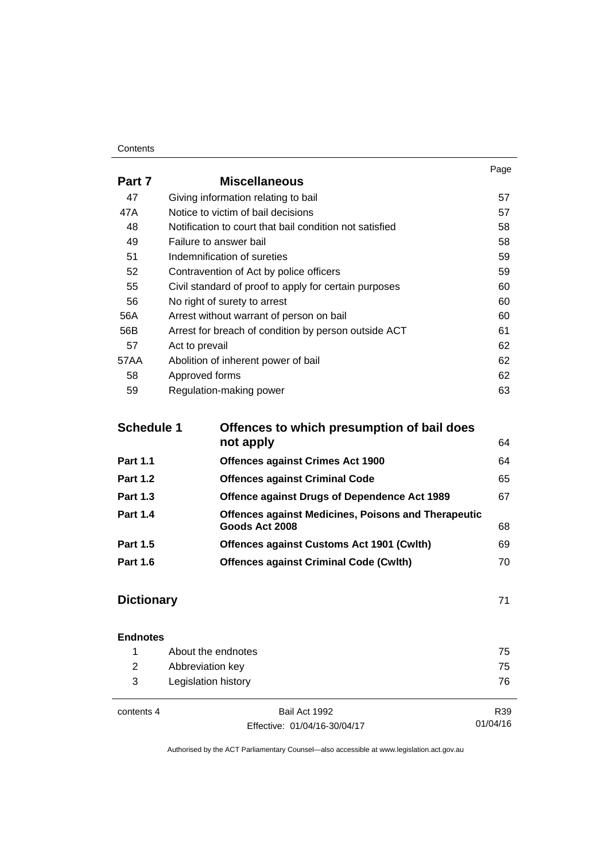#### **Contents**

|        |                                                         | Page |
|--------|---------------------------------------------------------|------|
| Part 7 | <b>Miscellaneous</b>                                    |      |
| 47     | Giving information relating to bail                     | 57   |
| 47A    | Notice to victim of bail decisions                      | 57   |
| 48     | Notification to court that bail condition not satisfied | 58   |
| 49     | Failure to answer bail                                  | 58   |
| 51     | Indemnification of sureties                             | 59   |
| 52     | Contravention of Act by police officers                 | 59   |
| 55     | Civil standard of proof to apply for certain purposes   | 60   |
| 56     | No right of surety to arrest                            | 60   |
| 56A    | Arrest without warrant of person on bail                | 60   |
| 56B    | Arrest for breach of condition by person outside ACT    | 61   |
| 57     | Act to prevail                                          | 62   |
| 57AA   | Abolition of inherent power of bail                     | 62   |
| 58     | Approved forms                                          | 62   |
| 59     | Regulation-making power                                 | 63   |

| <b>Schedule 1</b> | Offences to which presumption of bail does                 |    |  |
|-------------------|------------------------------------------------------------|----|--|
|                   | not apply                                                  | 64 |  |
| <b>Part 1.1</b>   | <b>Offences against Crimes Act 1900</b>                    | 64 |  |
| <b>Part 1.2</b>   | <b>Offences against Criminal Code</b>                      | 65 |  |
| <b>Part 1.3</b>   | Offence against Drugs of Dependence Act 1989               | 67 |  |
| <b>Part 1.4</b>   | <b>Offences against Medicines, Poisons and Therapeutic</b> |    |  |
|                   | Goods Act 2008                                             | 68 |  |
| <b>Part 1.5</b>   | <b>Offences against Customs Act 1901 (Cwlth)</b>           | 69 |  |
| <b>Part 1.6</b>   | <b>Offences against Criminal Code (Cwlth)</b>              | 70 |  |
|                   |                                                            |    |  |

# **[Dictionary](#page-78-0)** [71](#page-78-0)

| <b>Endnotes</b> |                     |               |     |
|-----------------|---------------------|---------------|-----|
|                 | About the endnotes  |               | 75  |
| 2               | Abbreviation key    |               | 75  |
| 3               | Legislation history |               | 76  |
|                 |                     |               |     |
| contents 4      |                     | Bail Act 1992 | R39 |

Effective: 01/04/16-30/04/17

01/04/16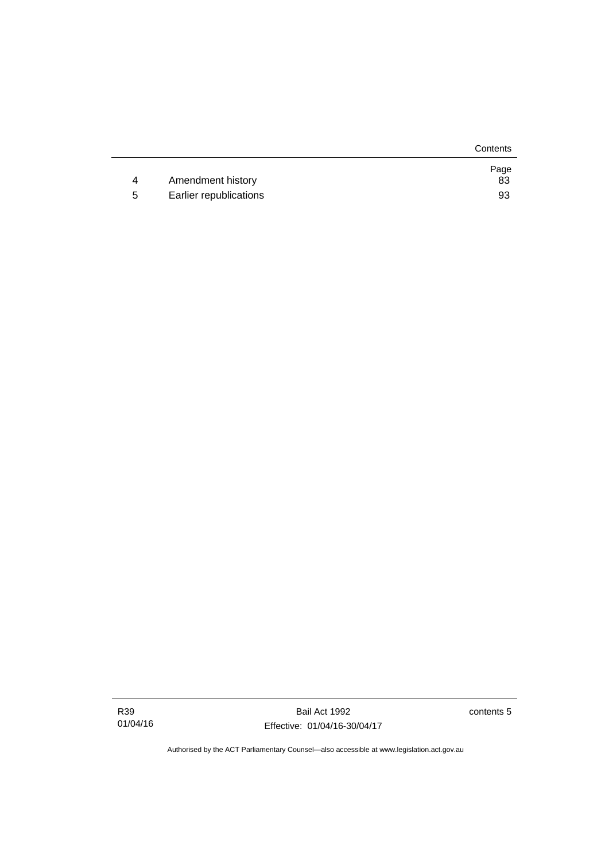|   |                        | Contents   |
|---|------------------------|------------|
| 4 | Amendment history      | Page<br>83 |
| 5 | Earlier republications | 93         |

Bail Act 1992 Effective: 01/04/16-30/04/17 contents 5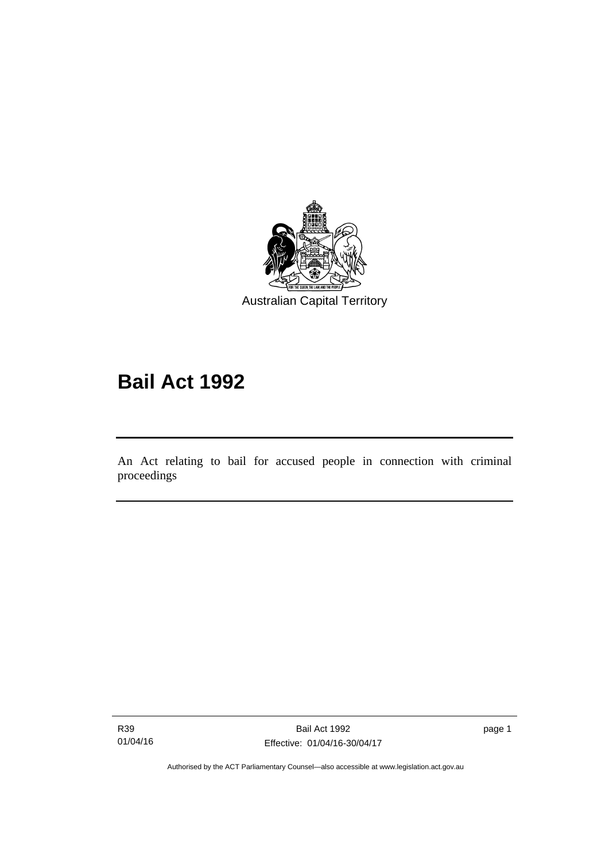

# **Bail Act 1992**

An Act relating to bail for accused people in connection with criminal proceedings

R39 01/04/16

Ī

page 1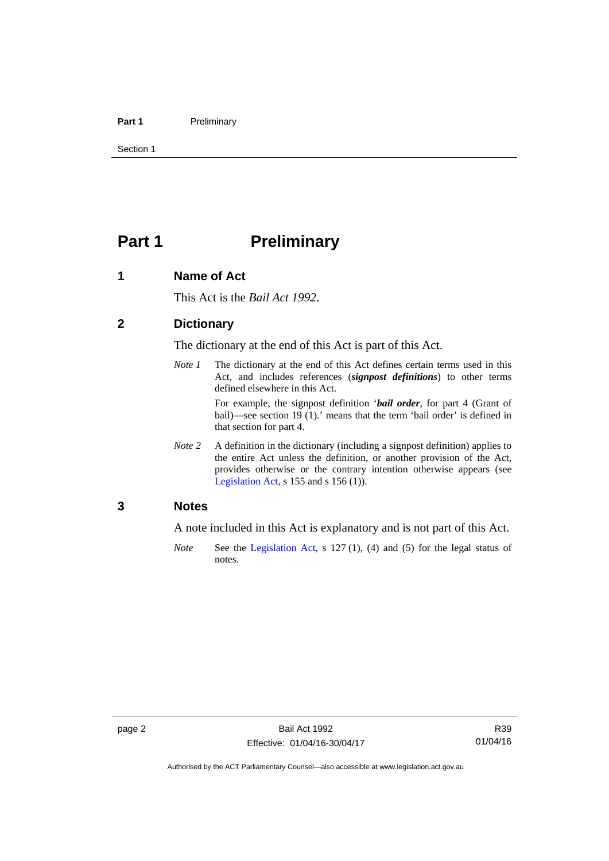#### Part 1 **Preliminary**

Section 1

# <span id="page-9-0"></span>**Part 1** Preliminary

## <span id="page-9-1"></span>**1 Name of Act**

This Act is the *Bail Act 1992*.

### <span id="page-9-2"></span>**2 Dictionary**

The dictionary at the end of this Act is part of this Act.

*Note 1* The dictionary at the end of this Act defines certain terms used in this Act, and includes references (*signpost definitions*) to other terms defined elsewhere in this Act.

> For example, the signpost definition '*bail order*, for part 4 (Grant of bail)—see section 19 (1).' means that the term 'bail order' is defined in that section for part 4.

*Note 2* A definition in the dictionary (including a signpost definition) applies to the entire Act unless the definition, or another provision of the Act, provides otherwise or the contrary intention otherwise appears (see [Legislation Act,](http://www.legislation.act.gov.au/a/2001-14)  $s$  155 and  $s$  156 (1)).

# <span id="page-9-3"></span>**3 Notes**

A note included in this Act is explanatory and is not part of this Act.

*Note* See the [Legislation Act,](http://www.legislation.act.gov.au/a/2001-14) s 127 (1), (4) and (5) for the legal status of notes.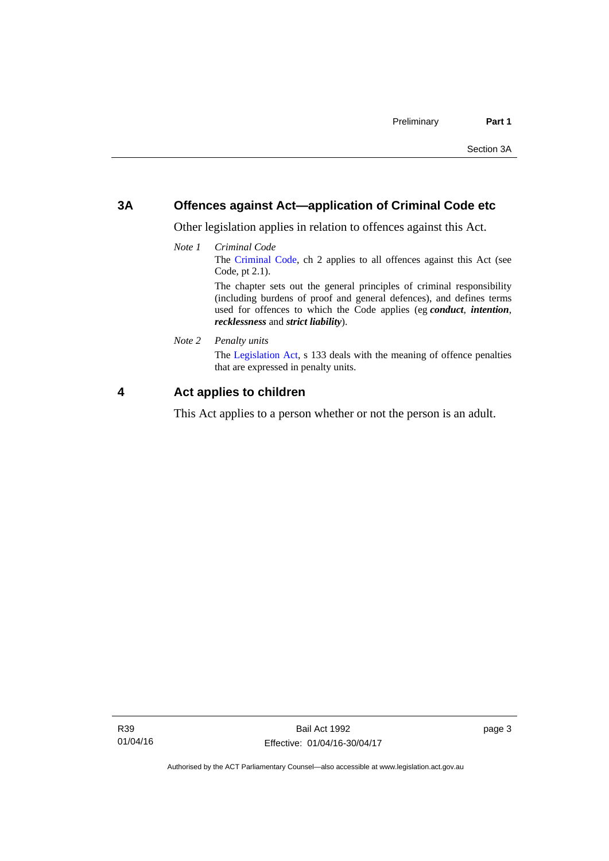# <span id="page-10-0"></span>**3A Offences against Act—application of Criminal Code etc**

Other legislation applies in relation to offences against this Act.

*Note 1 Criminal Code* The [Criminal Code](http://www.legislation.act.gov.au/a/2002-51), ch 2 applies to all offences against this Act (see Code, pt 2.1). The chapter sets out the general principles of criminal responsibility (including burdens of proof and general defences), and defines terms

used for offences to which the Code applies (eg *conduct*, *intention*, *recklessness* and *strict liability*).

*Note 2 Penalty units* 

The [Legislation Act](http://www.legislation.act.gov.au/a/2001-14), s 133 deals with the meaning of offence penalties that are expressed in penalty units.

# <span id="page-10-1"></span>**4 Act applies to children**

This Act applies to a person whether or not the person is an adult.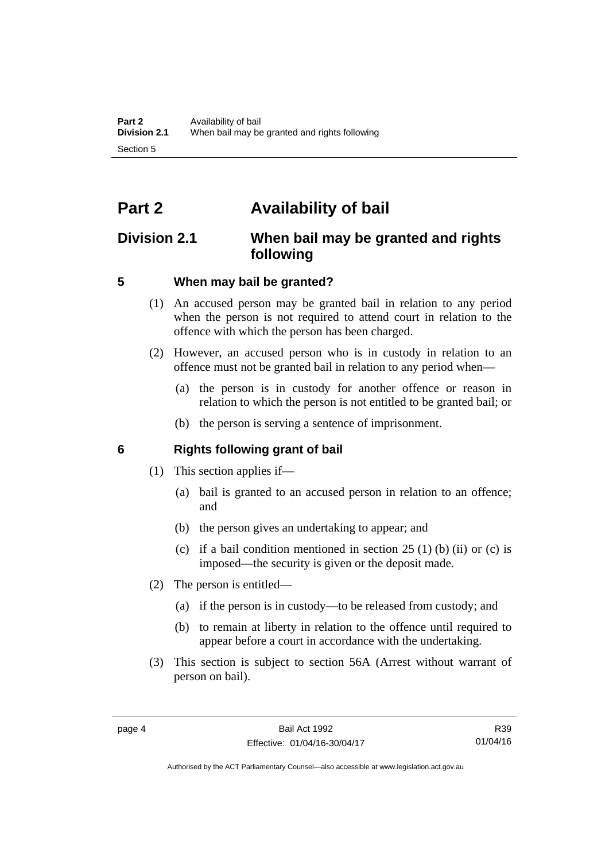# <span id="page-11-0"></span>**Part 2 Availability of bail**

# <span id="page-11-1"></span>**Division 2.1 When bail may be granted and rights following**

# <span id="page-11-2"></span>**5 When may bail be granted?**

- (1) An accused person may be granted bail in relation to any period when the person is not required to attend court in relation to the offence with which the person has been charged.
- (2) However, an accused person who is in custody in relation to an offence must not be granted bail in relation to any period when—
	- (a) the person is in custody for another offence or reason in relation to which the person is not entitled to be granted bail; or
	- (b) the person is serving a sentence of imprisonment.

# <span id="page-11-3"></span>**6 Rights following grant of bail**

- (1) This section applies if—
	- (a) bail is granted to an accused person in relation to an offence; and
	- (b) the person gives an undertaking to appear; and
	- (c) if a bail condition mentioned in section  $25(1)$  (b) (ii) or (c) is imposed—the security is given or the deposit made.
- (2) The person is entitled—
	- (a) if the person is in custody—to be released from custody; and
	- (b) to remain at liberty in relation to the offence until required to appear before a court in accordance with the undertaking.
- (3) This section is subject to section 56A (Arrest without warrant of person on bail).

R39 01/04/16

Authorised by the ACT Parliamentary Counsel—also accessible at www.legislation.act.gov.au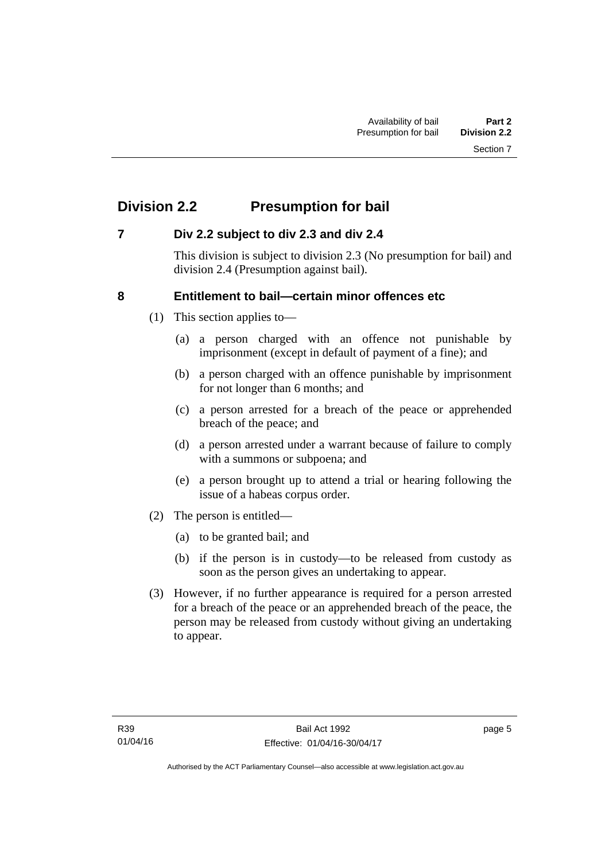# <span id="page-12-0"></span>**Division 2.2 Presumption for bail**

# <span id="page-12-1"></span>**7 Div 2.2 subject to div 2.3 and div 2.4**

This division is subject to division 2.3 (No presumption for bail) and division 2.4 (Presumption against bail).

# <span id="page-12-2"></span>**8 Entitlement to bail—certain minor offences etc**

- (1) This section applies to—
	- (a) a person charged with an offence not punishable by imprisonment (except in default of payment of a fine); and
	- (b) a person charged with an offence punishable by imprisonment for not longer than 6 months; and
	- (c) a person arrested for a breach of the peace or apprehended breach of the peace; and
	- (d) a person arrested under a warrant because of failure to comply with a summons or subpoena; and
	- (e) a person brought up to attend a trial or hearing following the issue of a habeas corpus order.
- (2) The person is entitled—
	- (a) to be granted bail; and
	- (b) if the person is in custody—to be released from custody as soon as the person gives an undertaking to appear.
- (3) However, if no further appearance is required for a person arrested for a breach of the peace or an apprehended breach of the peace, the person may be released from custody without giving an undertaking to appear.

page 5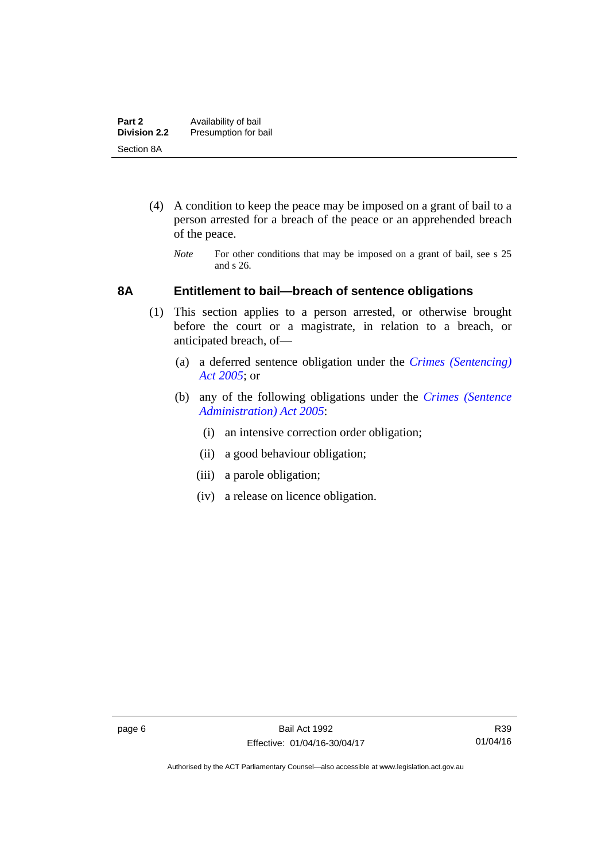- (4) A condition to keep the peace may be imposed on a grant of bail to a person arrested for a breach of the peace or an apprehended breach of the peace.
	- *Note* For other conditions that may be imposed on a grant of bail, see s 25 and s 26.

## <span id="page-13-0"></span>**8A Entitlement to bail—breach of sentence obligations**

- (1) This section applies to a person arrested, or otherwise brought before the court or a magistrate, in relation to a breach, or anticipated breach, of—
	- (a) a deferred sentence obligation under the *[Crimes \(Sentencing\)](http://www.legislation.act.gov.au/a/2005-58)  [Act 2005](http://www.legislation.act.gov.au/a/2005-58)*; or
	- (b) any of the following obligations under the *[Crimes \(Sentence](http://www.legislation.act.gov.au/a/2005-59)  [Administration\) Act 2005](http://www.legislation.act.gov.au/a/2005-59)*:
		- (i) an intensive correction order obligation;
		- (ii) a good behaviour obligation;
		- (iii) a parole obligation;
		- (iv) a release on licence obligation.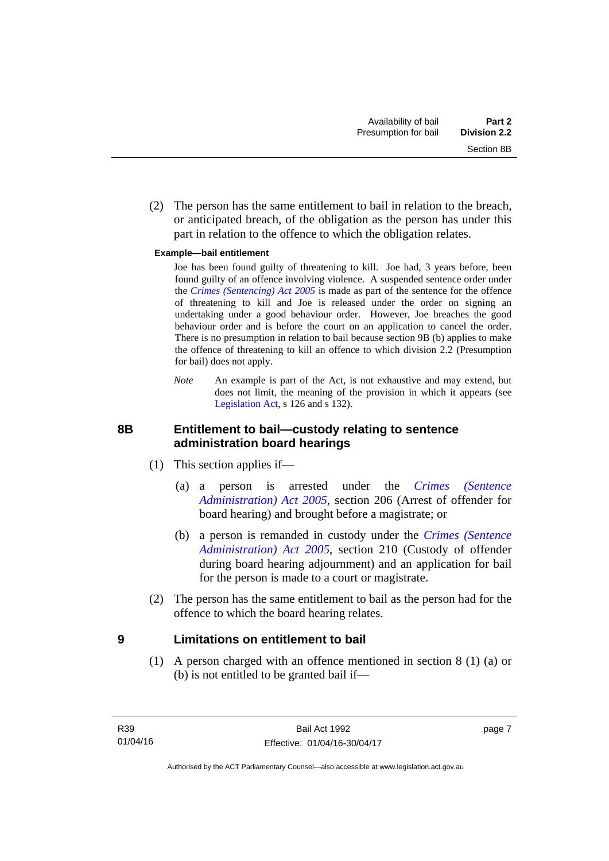(2) The person has the same entitlement to bail in relation to the breach, or anticipated breach, of the obligation as the person has under this part in relation to the offence to which the obligation relates.

#### **Example—bail entitlement**

 Joe has been found guilty of threatening to kill. Joe had, 3 years before, been found guilty of an offence involving violence. A suspended sentence order under the *[Crimes \(Sentencing\) Act 2005](http://www.legislation.act.gov.au/a/2005-58)* is made as part of the sentence for the offence of threatening to kill and Joe is released under the order on signing an undertaking under a good behaviour order. However, Joe breaches the good behaviour order and is before the court on an application to cancel the order. There is no presumption in relation to bail because section 9B (b) applies to make the offence of threatening to kill an offence to which division 2.2 (Presumption for bail) does not apply.

*Note* An example is part of the Act, is not exhaustive and may extend, but does not limit, the meaning of the provision in which it appears (see [Legislation Act,](http://www.legislation.act.gov.au/a/2001-14) s 126 and s 132).

# <span id="page-14-0"></span>**8B Entitlement to bail—custody relating to sentence administration board hearings**

- (1) This section applies if—
	- (a) a person is arrested under the *[Crimes \(Sentence](http://www.legislation.act.gov.au/a/2005-59)  [Administration\) Act 2005](http://www.legislation.act.gov.au/a/2005-59)*, section 206 (Arrest of offender for board hearing) and brought before a magistrate; or
	- (b) a person is remanded in custody under the *[Crimes \(Sentence](http://www.legislation.act.gov.au/a/2005-59)  [Administration\) Act 2005](http://www.legislation.act.gov.au/a/2005-59)*, section 210 (Custody of offender during board hearing adjournment) and an application for bail for the person is made to a court or magistrate.
- (2) The person has the same entitlement to bail as the person had for the offence to which the board hearing relates.

## <span id="page-14-1"></span>**9 Limitations on entitlement to bail**

(1) A person charged with an offence mentioned in section 8 (1) (a) or (b) is not entitled to be granted bail if—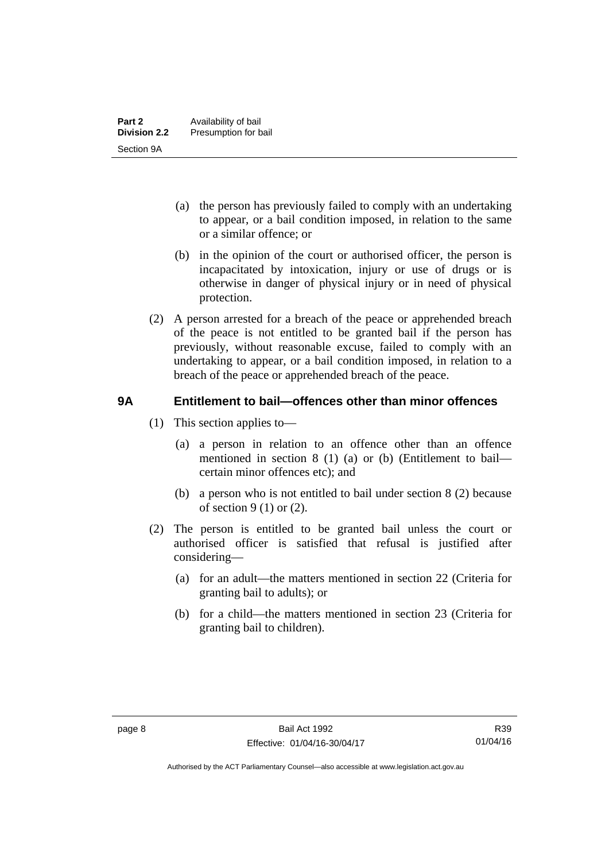- (a) the person has previously failed to comply with an undertaking to appear, or a bail condition imposed, in relation to the same or a similar offence; or
- (b) in the opinion of the court or authorised officer, the person is incapacitated by intoxication, injury or use of drugs or is otherwise in danger of physical injury or in need of physical protection.
- (2) A person arrested for a breach of the peace or apprehended breach of the peace is not entitled to be granted bail if the person has previously, without reasonable excuse, failed to comply with an undertaking to appear, or a bail condition imposed, in relation to a breach of the peace or apprehended breach of the peace.

# <span id="page-15-0"></span>**9A Entitlement to bail—offences other than minor offences**

- (1) This section applies to—
	- (a) a person in relation to an offence other than an offence mentioned in section 8 (1) (a) or (b) (Entitlement to bail certain minor offences etc); and
	- (b) a person who is not entitled to bail under section 8 (2) because of section 9 (1) or (2).
- (2) The person is entitled to be granted bail unless the court or authorised officer is satisfied that refusal is justified after considering—
	- (a) for an adult—the matters mentioned in section 22 (Criteria for granting bail to adults); or
	- (b) for a child—the matters mentioned in section 23 (Criteria for granting bail to children).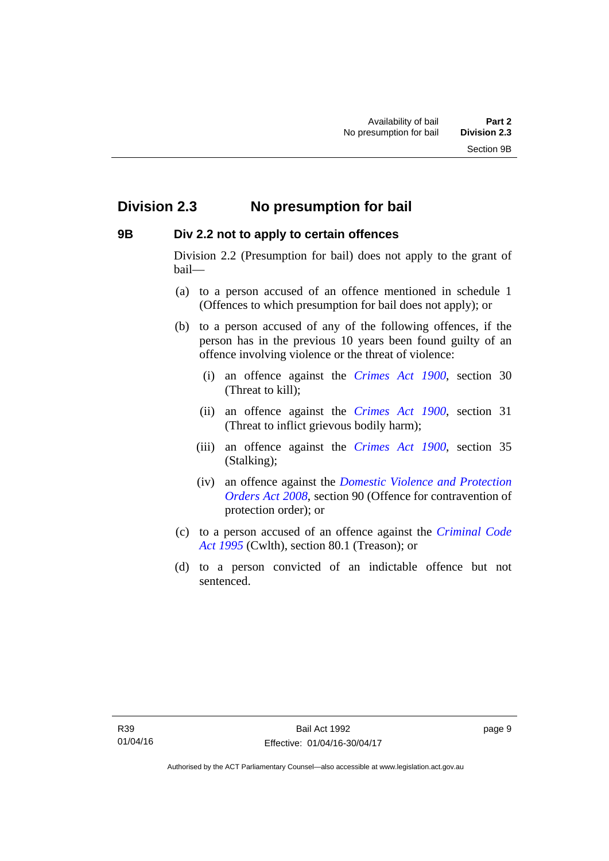# <span id="page-16-0"></span>**Division 2.3 No presumption for bail**

# <span id="page-16-1"></span>**9B Div 2.2 not to apply to certain offences**

Division 2.2 (Presumption for bail) does not apply to the grant of bail—

- (a) to a person accused of an offence mentioned in schedule 1 (Offences to which presumption for bail does not apply); or
- (b) to a person accused of any of the following offences, if the person has in the previous 10 years been found guilty of an offence involving violence or the threat of violence:
	- (i) an offence against the *[Crimes Act 1900](http://www.legislation.act.gov.au/a/1900-40)*, section 30 (Threat to kill);
	- (ii) an offence against the *[Crimes Act 1900](http://www.legislation.act.gov.au/a/1900-40)*, section 31 (Threat to inflict grievous bodily harm);
	- (iii) an offence against the *[Crimes Act 1900](http://www.legislation.act.gov.au/a/1900-40)*, section 35 (Stalking);
	- (iv) an offence against the *[Domestic Violence and Protection](http://www.legislation.act.gov.au/a/2008-46)  [Orders Act 2008](http://www.legislation.act.gov.au/a/2008-46)*, section 90 (Offence for contravention of protection order); or
- (c) to a person accused of an offence against the *[Criminal Code](http://www.comlaw.gov.au/Details/C2013C00138)  [Act 1995](http://www.comlaw.gov.au/Details/C2013C00138)* (Cwlth), section 80.1 (Treason); or
- (d) to a person convicted of an indictable offence but not sentenced.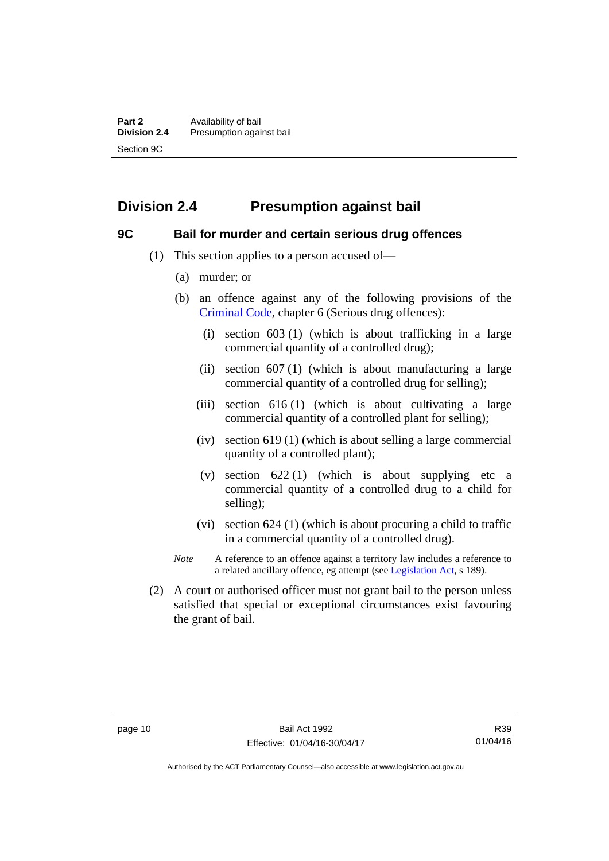# <span id="page-17-0"></span>**Division 2.4 Presumption against bail**

### <span id="page-17-1"></span>**9C Bail for murder and certain serious drug offences**

- (1) This section applies to a person accused of—
	- (a) murder; or
	- (b) an offence against any of the following provisions of the [Criminal Code,](http://www.legislation.act.gov.au/a/2002-51) chapter 6 (Serious drug offences):
		- (i) section 603 (1) (which is about trafficking in a large commercial quantity of a controlled drug);
		- (ii) section  $607(1)$  (which is about manufacturing a large commercial quantity of a controlled drug for selling);
		- (iii) section 616 (1) (which is about cultivating a large commercial quantity of a controlled plant for selling);
		- (iv) section 619 (1) (which is about selling a large commercial quantity of a controlled plant);
		- (v) section  $622(1)$  (which is about supplying etc a commercial quantity of a controlled drug to a child for selling);
		- (vi) section 624 (1) (which is about procuring a child to traffic in a commercial quantity of a controlled drug).
	- *Note* A reference to an offence against a territory law includes a reference to a related ancillary offence, eg attempt (see [Legislation Act](http://www.legislation.act.gov.au/a/2001-14), s 189).
- (2) A court or authorised officer must not grant bail to the person unless satisfied that special or exceptional circumstances exist favouring the grant of bail.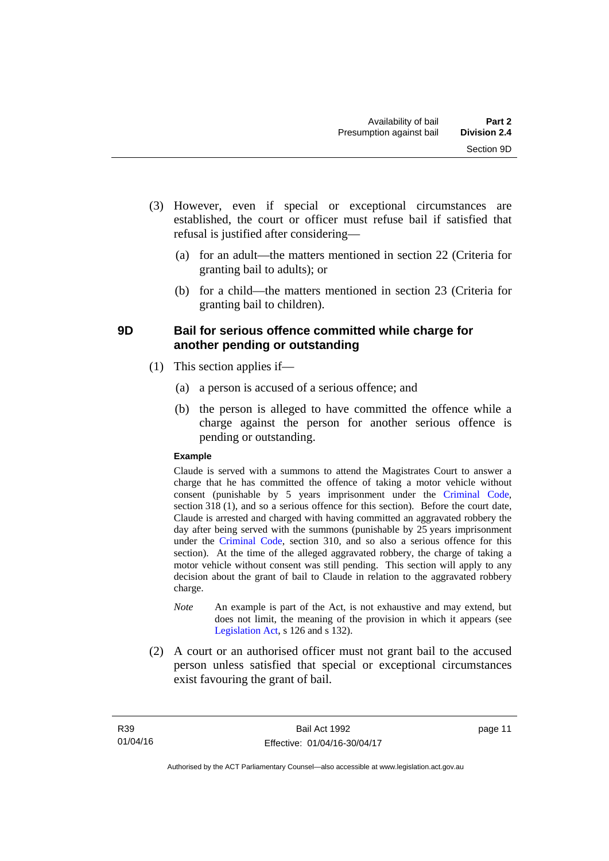- (3) However, even if special or exceptional circumstances are established, the court or officer must refuse bail if satisfied that refusal is justified after considering—
	- (a) for an adult—the matters mentioned in section 22 (Criteria for granting bail to adults); or
	- (b) for a child—the matters mentioned in section 23 (Criteria for granting bail to children).

# <span id="page-18-0"></span>**9D Bail for serious offence committed while charge for another pending or outstanding**

- (1) This section applies if—
	- (a) a person is accused of a serious offence; and
	- (b) the person is alleged to have committed the offence while a charge against the person for another serious offence is pending or outstanding.

### **Example**

Claude is served with a summons to attend the Magistrates Court to answer a charge that he has committed the offence of taking a motor vehicle without consent (punishable by 5 years imprisonment under the [Criminal Code,](http://www.legislation.act.gov.au/a/2002-51) section 318 (1), and so a serious offence for this section). Before the court date, Claude is arrested and charged with having committed an aggravated robbery the day after being served with the summons (punishable by 25 years imprisonment under the [Criminal Code](http://www.legislation.act.gov.au/a/2002-51), section 310, and so also a serious offence for this section). At the time of the alleged aggravated robbery, the charge of taking a motor vehicle without consent was still pending. This section will apply to any decision about the grant of bail to Claude in relation to the aggravated robbery charge.

- *Note* An example is part of the Act, is not exhaustive and may extend, but does not limit, the meaning of the provision in which it appears (see [Legislation Act,](http://www.legislation.act.gov.au/a/2001-14) s 126 and s 132).
- (2) A court or an authorised officer must not grant bail to the accused person unless satisfied that special or exceptional circumstances exist favouring the grant of bail.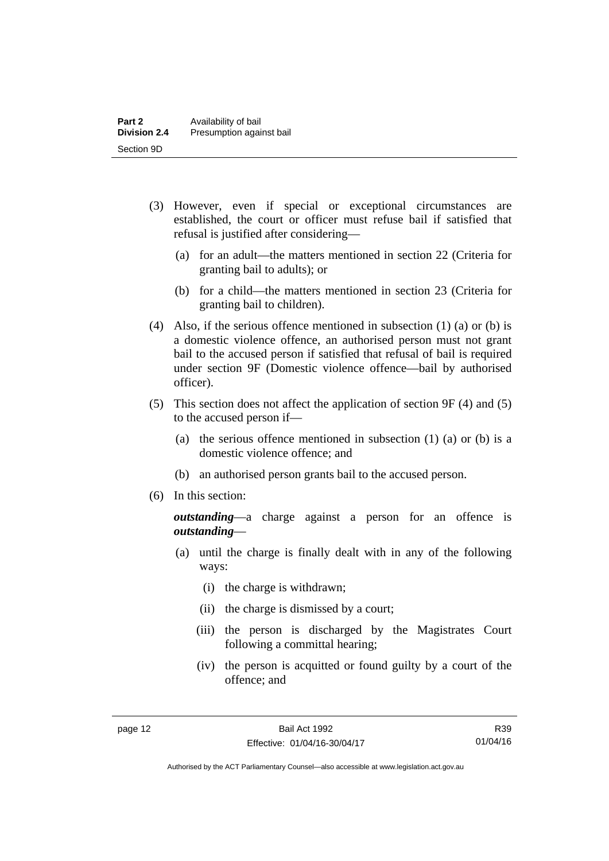- (3) However, even if special or exceptional circumstances are established, the court or officer must refuse bail if satisfied that refusal is justified after considering—
	- (a) for an adult—the matters mentioned in section 22 (Criteria for granting bail to adults); or
	- (b) for a child—the matters mentioned in section 23 (Criteria for granting bail to children).
- (4) Also, if the serious offence mentioned in subsection (1) (a) or (b) is a domestic violence offence, an authorised person must not grant bail to the accused person if satisfied that refusal of bail is required under section 9F (Domestic violence offence—bail by authorised officer).
- (5) This section does not affect the application of section 9F (4) and (5) to the accused person if—
	- (a) the serious offence mentioned in subsection (1) (a) or (b) is a domestic violence offence; and
	- (b) an authorised person grants bail to the accused person.
- (6) In this section:

*outstanding*—a charge against a person for an offence is *outstanding*—

- (a) until the charge is finally dealt with in any of the following ways:
	- (i) the charge is withdrawn;
	- (ii) the charge is dismissed by a court;
	- (iii) the person is discharged by the Magistrates Court following a committal hearing;
	- (iv) the person is acquitted or found guilty by a court of the offence; and

R39 01/04/16

Authorised by the ACT Parliamentary Counsel—also accessible at www.legislation.act.gov.au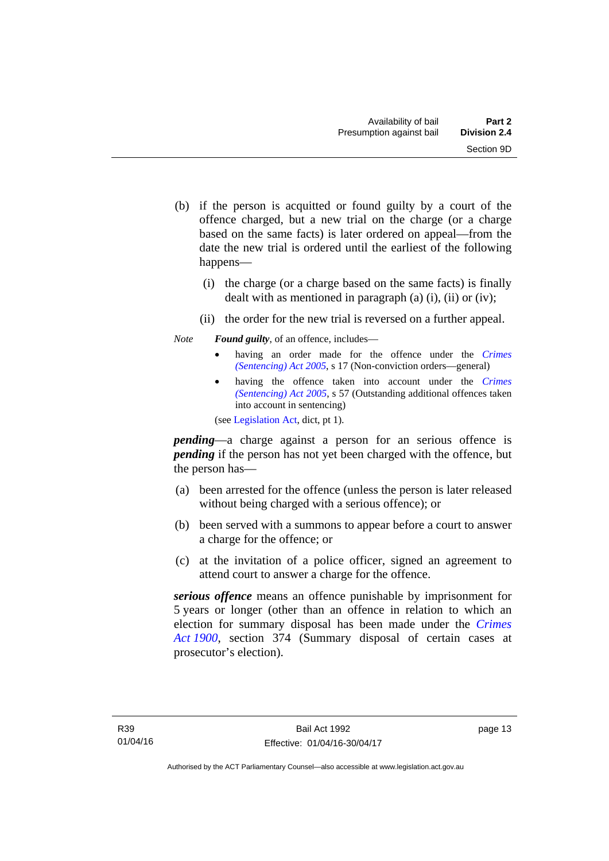- (b) if the person is acquitted or found guilty by a court of the offence charged, but a new trial on the charge (or a charge based on the same facts) is later ordered on appeal—from the date the new trial is ordered until the earliest of the following happens—
	- (i) the charge (or a charge based on the same facts) is finally dealt with as mentioned in paragraph (a)  $(i)$ ,  $(ii)$  or  $(iv)$ ;
	- (ii) the order for the new trial is reversed on a further appeal.

### *Note Found guilty*, of an offence, includes—

- having an order made for the offence under the *[Crimes](http://www.legislation.act.gov.au/a/2005-58)  [\(Sentencing\) Act 2005](http://www.legislation.act.gov.au/a/2005-58)*, s 17 (Non-conviction orders—general)
- having the offence taken into account under the *[Crimes](http://www.legislation.act.gov.au/a/2005-58)  [\(Sentencing\) Act 2005](http://www.legislation.act.gov.au/a/2005-58)*, s 57 (Outstanding additional offences taken into account in sentencing)

(see [Legislation Act,](http://www.legislation.act.gov.au/a/2001-14) dict, pt 1).

*pending*—a charge against a person for an serious offence is *pending* if the person has not yet been charged with the offence, but the person has—

- (a) been arrested for the offence (unless the person is later released without being charged with a serious offence); or
- (b) been served with a summons to appear before a court to answer a charge for the offence; or
- (c) at the invitation of a police officer, signed an agreement to attend court to answer a charge for the offence.

*serious offence* means an offence punishable by imprisonment for 5 years or longer (other than an offence in relation to which an election for summary disposal has been made under the *[Crimes](http://www.legislation.act.gov.au/a/1900-40)  [Act 1900](http://www.legislation.act.gov.au/a/1900-40)*, section 374 (Summary disposal of certain cases at prosecutor's election).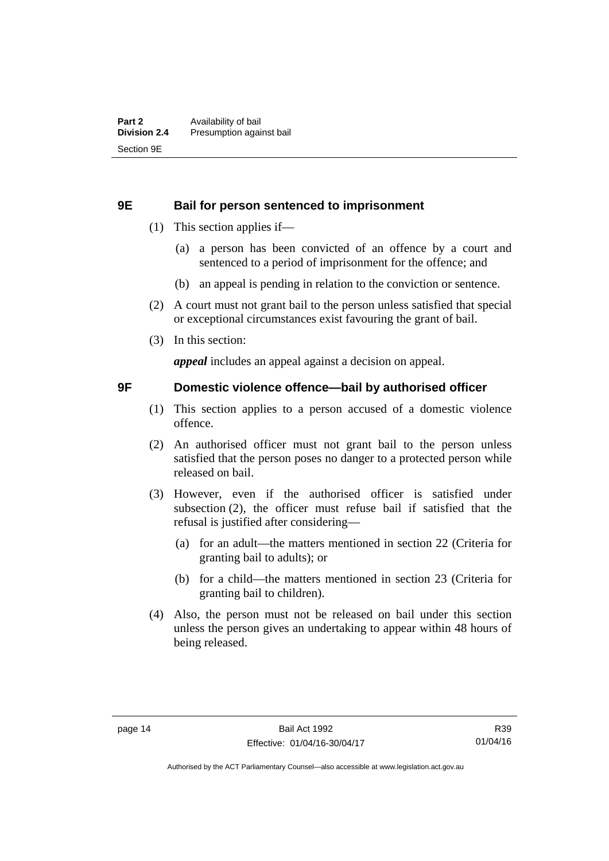### <span id="page-21-0"></span>**9E Bail for person sentenced to imprisonment**

- (1) This section applies if—
	- (a) a person has been convicted of an offence by a court and sentenced to a period of imprisonment for the offence; and
	- (b) an appeal is pending in relation to the conviction or sentence.
- (2) A court must not grant bail to the person unless satisfied that special or exceptional circumstances exist favouring the grant of bail.
- (3) In this section:

*appeal* includes an appeal against a decision on appeal.

### <span id="page-21-1"></span>**9F Domestic violence offence—bail by authorised officer**

- (1) This section applies to a person accused of a domestic violence offence.
- (2) An authorised officer must not grant bail to the person unless satisfied that the person poses no danger to a protected person while released on bail.
- (3) However, even if the authorised officer is satisfied under subsection (2), the officer must refuse bail if satisfied that the refusal is justified after considering—
	- (a) for an adult—the matters mentioned in section 22 (Criteria for granting bail to adults); or
	- (b) for a child—the matters mentioned in section 23 (Criteria for granting bail to children).
- (4) Also, the person must not be released on bail under this section unless the person gives an undertaking to appear within 48 hours of being released.

Authorised by the ACT Parliamentary Counsel—also accessible at www.legislation.act.gov.au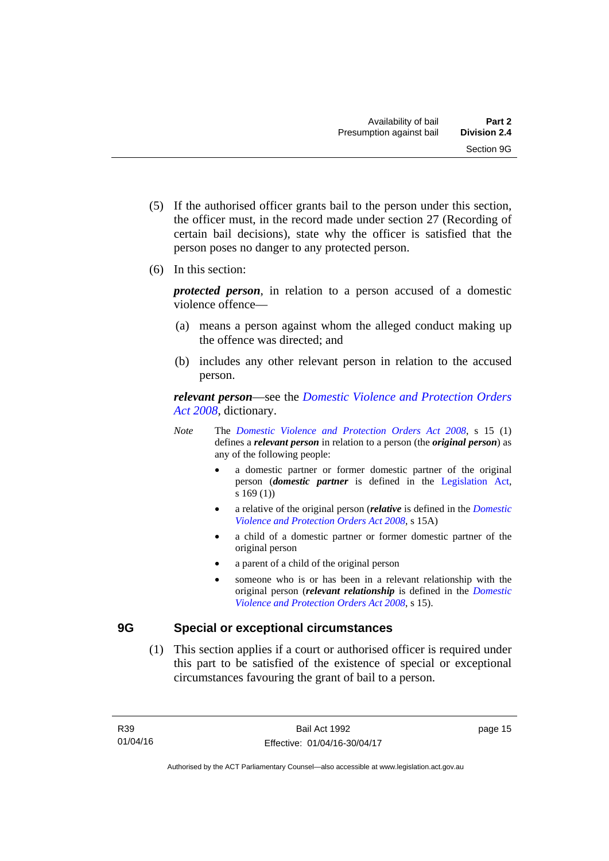- (5) If the authorised officer grants bail to the person under this section, the officer must, in the record made under section 27 (Recording of certain bail decisions), state why the officer is satisfied that the person poses no danger to any protected person.
- (6) In this section:

*protected person*, in relation to a person accused of a domestic violence offence—

- (a) means a person against whom the alleged conduct making up the offence was directed; and
- (b) includes any other relevant person in relation to the accused person.

*relevant person*—see the *[Domestic Violence and Protection Orders](http://www.legislation.act.gov.au/a/2008-46)  [Act 2008](http://www.legislation.act.gov.au/a/2008-46)*, dictionary.

- *Note* The *[Domestic Violence and Protection Orders Act 2008](http://www.legislation.act.gov.au/a/2008-46)*, s 15 (1) defines a *relevant person* in relation to a person (the *original person*) as any of the following people:
	- a domestic partner or former domestic partner of the original person (*domestic partner* is defined in the [Legislation Act,](http://www.legislation.act.gov.au/a/2001-14) s 169 (1))
	- a relative of the original person (*relative* is defined in the *[Domestic](http://www.legislation.act.gov.au/a/2008-46)  [Violence and Protection Orders Act 2008](http://www.legislation.act.gov.au/a/2008-46)*, s 15A)
	- a child of a domestic partner or former domestic partner of the original person
	- a parent of a child of the original person
	- someone who is or has been in a relevant relationship with the original person (*relevant relationship* is defined in the *[Domestic](http://www.legislation.act.gov.au/a/2008-46)  [Violence and Protection Orders Act 2008](http://www.legislation.act.gov.au/a/2008-46)*, s 15).

## <span id="page-22-0"></span>**9G Special or exceptional circumstances**

 (1) This section applies if a court or authorised officer is required under this part to be satisfied of the existence of special or exceptional circumstances favouring the grant of bail to a person.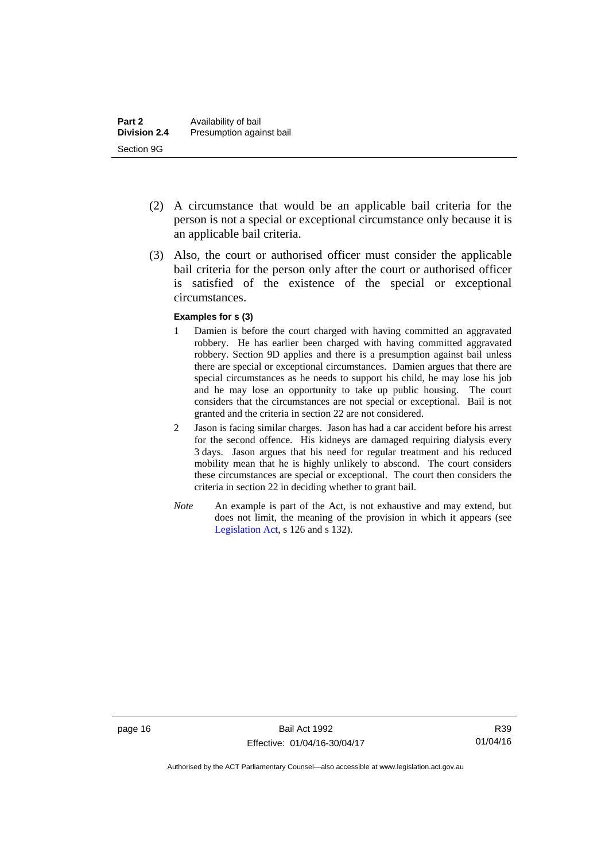- (2) A circumstance that would be an applicable bail criteria for the person is not a special or exceptional circumstance only because it is an applicable bail criteria.
- (3) Also, the court or authorised officer must consider the applicable bail criteria for the person only after the court or authorised officer is satisfied of the existence of the special or exceptional circumstances.

#### **Examples for s (3)**

- 1 Damien is before the court charged with having committed an aggravated robbery. He has earlier been charged with having committed aggravated robbery. Section 9D applies and there is a presumption against bail unless there are special or exceptional circumstances. Damien argues that there are special circumstances as he needs to support his child, he may lose his job and he may lose an opportunity to take up public housing. The court considers that the circumstances are not special or exceptional. Bail is not granted and the criteria in section 22 are not considered.
- 2 Jason is facing similar charges. Jason has had a car accident before his arrest for the second offence. His kidneys are damaged requiring dialysis every 3 days. Jason argues that his need for regular treatment and his reduced mobility mean that he is highly unlikely to abscond. The court considers these circumstances are special or exceptional. The court then considers the criteria in section 22 in deciding whether to grant bail.
- *Note* An example is part of the Act, is not exhaustive and may extend, but does not limit, the meaning of the provision in which it appears (see [Legislation Act,](http://www.legislation.act.gov.au/a/2001-14) s 126 and s 132).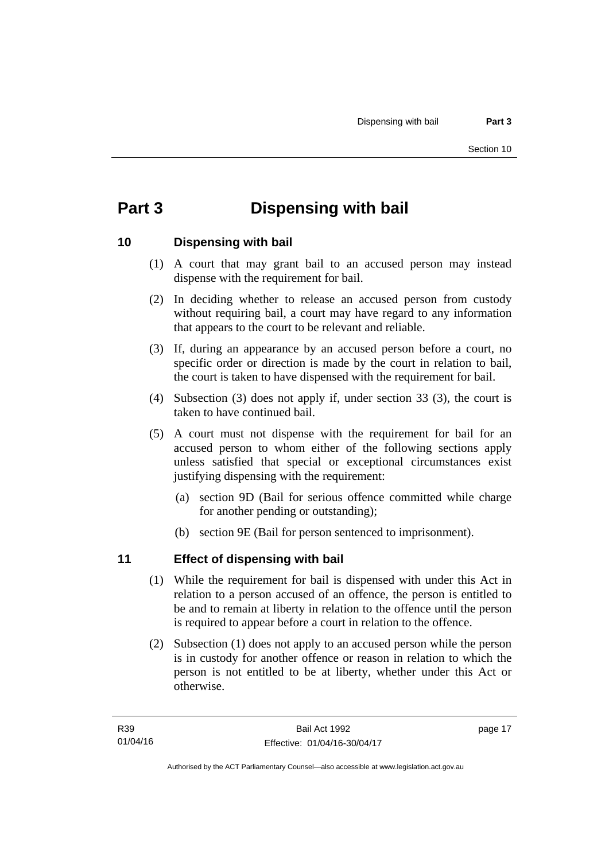# <span id="page-24-0"></span>**Part 3 Dispensing with bail**

# <span id="page-24-1"></span>**10 Dispensing with bail**

- (1) A court that may grant bail to an accused person may instead dispense with the requirement for bail.
- (2) In deciding whether to release an accused person from custody without requiring bail, a court may have regard to any information that appears to the court to be relevant and reliable.
- (3) If, during an appearance by an accused person before a court, no specific order or direction is made by the court in relation to bail, the court is taken to have dispensed with the requirement for bail.
- (4) Subsection (3) does not apply if, under section 33 (3), the court is taken to have continued bail.
- (5) A court must not dispense with the requirement for bail for an accused person to whom either of the following sections apply unless satisfied that special or exceptional circumstances exist justifying dispensing with the requirement:
	- (a) section 9D (Bail for serious offence committed while charge for another pending or outstanding);
	- (b) section 9E (Bail for person sentenced to imprisonment).

# <span id="page-24-2"></span>**11 Effect of dispensing with bail**

- (1) While the requirement for bail is dispensed with under this Act in relation to a person accused of an offence, the person is entitled to be and to remain at liberty in relation to the offence until the person is required to appear before a court in relation to the offence.
- (2) Subsection (1) does not apply to an accused person while the person is in custody for another offence or reason in relation to which the person is not entitled to be at liberty, whether under this Act or otherwise.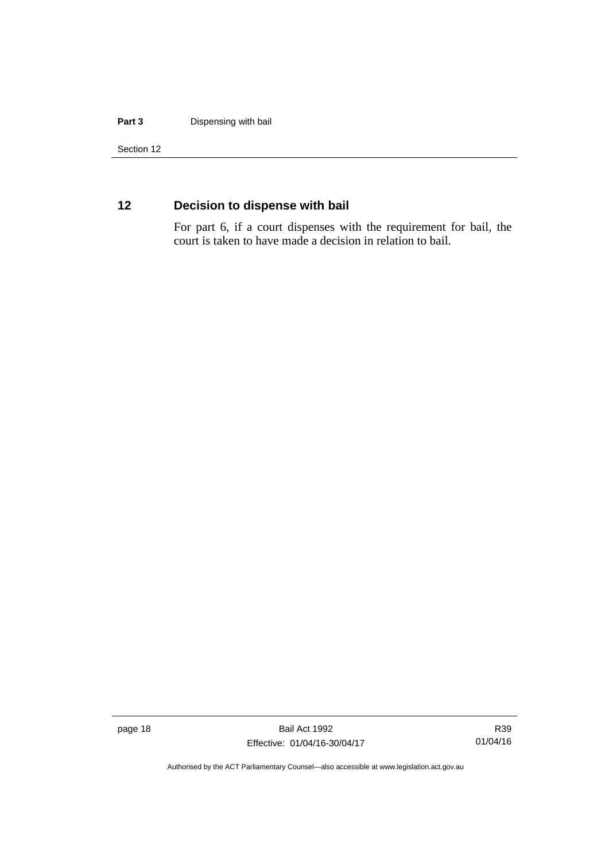#### **Part 3** Dispensing with bail

Section 12

# <span id="page-25-0"></span>**12 Decision to dispense with bail**

For part 6, if a court dispenses with the requirement for bail, the court is taken to have made a decision in relation to bail.

page 18 Bail Act 1992 Effective: 01/04/16-30/04/17

R39 01/04/16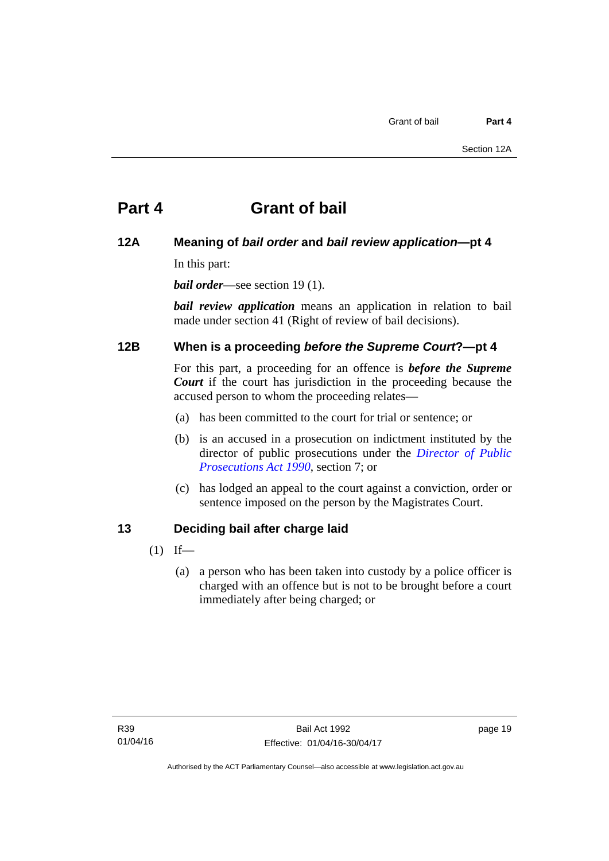# <span id="page-26-0"></span>**Part 4 Grant of bail**

# <span id="page-26-1"></span>**12A Meaning of** *bail order* **and** *bail review application***—pt 4**

In this part:

*bail order*—see section 19(1).

*bail review application* means an application in relation to bail made under section 41 (Right of review of bail decisions).

# <span id="page-26-2"></span>**12B When is a proceeding** *before the Supreme Court***?—pt 4**

For this part, a proceeding for an offence is *before the Supreme Court* if the court has jurisdiction in the proceeding because the accused person to whom the proceeding relates—

- (a) has been committed to the court for trial or sentence; or
- (b) is an accused in a prosecution on indictment instituted by the director of public prosecutions under the *[Director of Public](http://www.legislation.act.gov.au/a/1990-22)  [Prosecutions Act 1990](http://www.legislation.act.gov.au/a/1990-22)*, section 7; or
- (c) has lodged an appeal to the court against a conviction, order or sentence imposed on the person by the Magistrates Court.

# <span id="page-26-3"></span>**13 Deciding bail after charge laid**

- $(1)$  If—
	- (a) a person who has been taken into custody by a police officer is charged with an offence but is not to be brought before a court immediately after being charged; or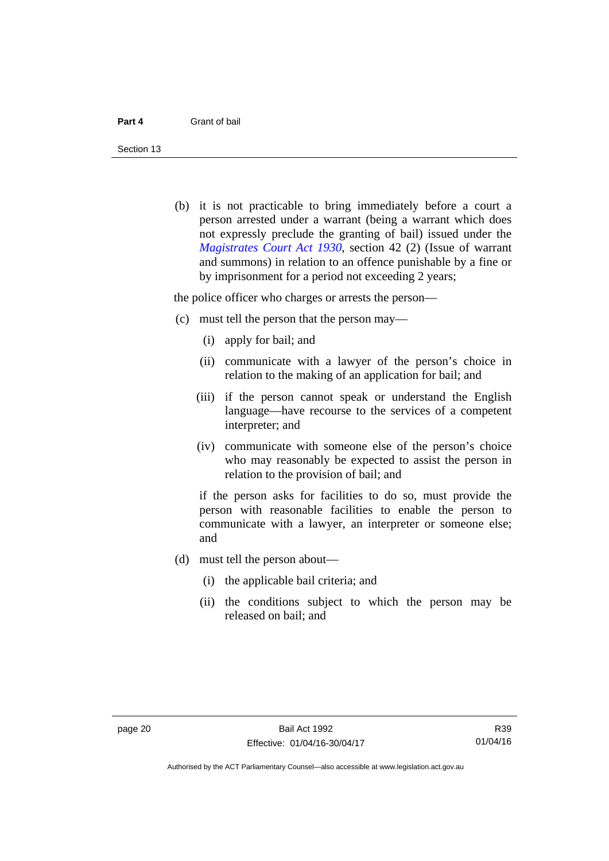Section 13

 (b) it is not practicable to bring immediately before a court a person arrested under a warrant (being a warrant which does not expressly preclude the granting of bail) issued under the *[Magistrates Court Act 1930](http://www.legislation.act.gov.au/a/1930-21)*, section 42 (2) (Issue of warrant and summons) in relation to an offence punishable by a fine or by imprisonment for a period not exceeding 2 years;

the police officer who charges or arrests the person—

- (c) must tell the person that the person may—
	- (i) apply for bail; and
	- (ii) communicate with a lawyer of the person's choice in relation to the making of an application for bail; and
	- (iii) if the person cannot speak or understand the English language—have recourse to the services of a competent interpreter; and
	- (iv) communicate with someone else of the person's choice who may reasonably be expected to assist the person in relation to the provision of bail; and

if the person asks for facilities to do so, must provide the person with reasonable facilities to enable the person to communicate with a lawyer, an interpreter or someone else; and

- (d) must tell the person about—
	- (i) the applicable bail criteria; and
	- (ii) the conditions subject to which the person may be released on bail; and

Authorised by the ACT Parliamentary Counsel—also accessible at www.legislation.act.gov.au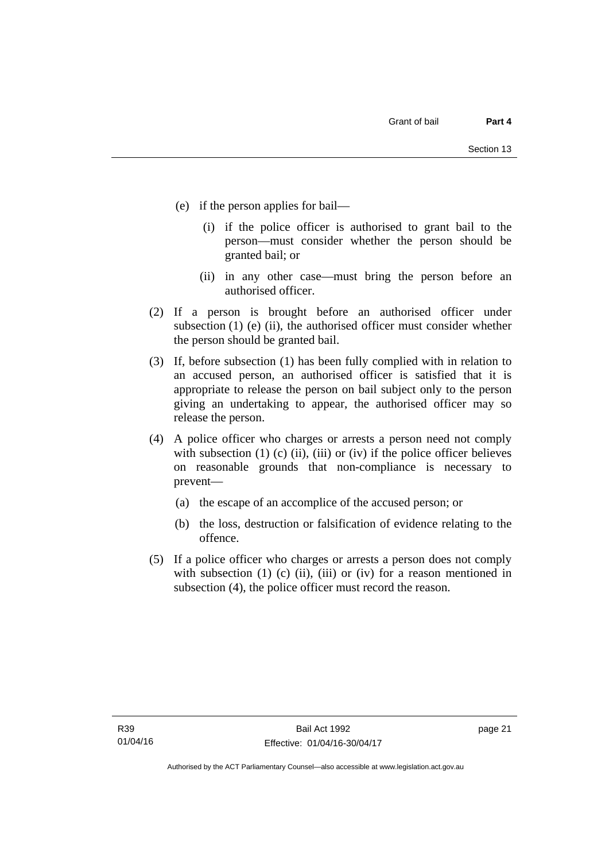- (e) if the person applies for bail—
	- (i) if the police officer is authorised to grant bail to the person—must consider whether the person should be granted bail; or
	- (ii) in any other case—must bring the person before an authorised officer.
- (2) If a person is brought before an authorised officer under subsection (1) (e) (ii), the authorised officer must consider whether the person should be granted bail.
- (3) If, before subsection (1) has been fully complied with in relation to an accused person, an authorised officer is satisfied that it is appropriate to release the person on bail subject only to the person giving an undertaking to appear, the authorised officer may so release the person.
- (4) A police officer who charges or arrests a person need not comply with subsection  $(1)$   $(c)$   $(ii)$ ,  $(iii)$  or  $(iv)$  if the police officer believes on reasonable grounds that non-compliance is necessary to prevent—
	- (a) the escape of an accomplice of the accused person; or
	- (b) the loss, destruction or falsification of evidence relating to the offence.
- (5) If a police officer who charges or arrests a person does not comply with subsection  $(1)$   $(c)$   $(ii)$ ,  $(iii)$  or  $(iv)$  for a reason mentioned in subsection (4), the police officer must record the reason.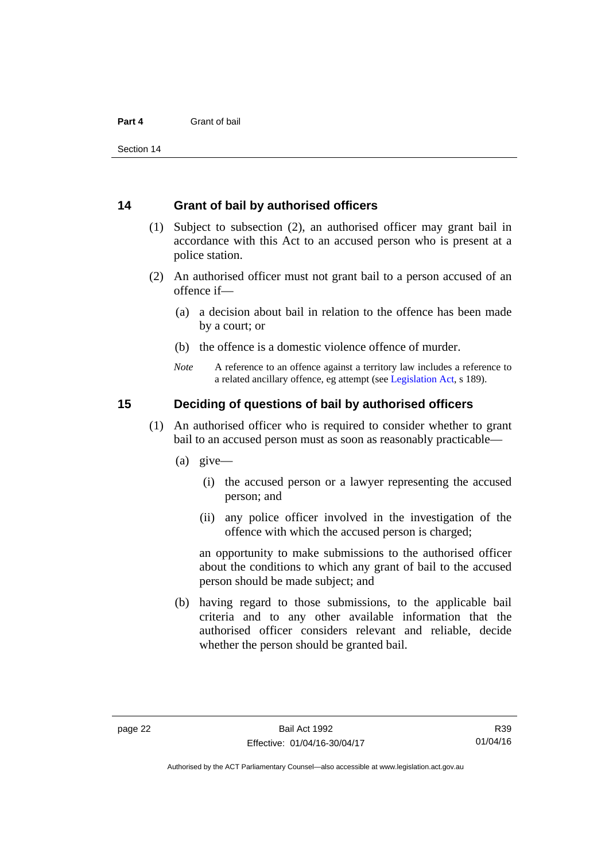### <span id="page-29-0"></span>**14 Grant of bail by authorised officers**

- (1) Subject to subsection (2), an authorised officer may grant bail in accordance with this Act to an accused person who is present at a police station.
- (2) An authorised officer must not grant bail to a person accused of an offence if—
	- (a) a decision about bail in relation to the offence has been made by a court; or
	- (b) the offence is a domestic violence offence of murder.
	- *Note* A reference to an offence against a territory law includes a reference to a related ancillary offence, eg attempt (see [Legislation Act](http://www.legislation.act.gov.au/a/2001-14), s 189).

## <span id="page-29-1"></span>**15 Deciding of questions of bail by authorised officers**

- (1) An authorised officer who is required to consider whether to grant bail to an accused person must as soon as reasonably practicable—
	- (a) give—
		- (i) the accused person or a lawyer representing the accused person; and
		- (ii) any police officer involved in the investigation of the offence with which the accused person is charged;

an opportunity to make submissions to the authorised officer about the conditions to which any grant of bail to the accused person should be made subject; and

 (b) having regard to those submissions, to the applicable bail criteria and to any other available information that the authorised officer considers relevant and reliable, decide whether the person should be granted bail.

Authorised by the ACT Parliamentary Counsel—also accessible at www.legislation.act.gov.au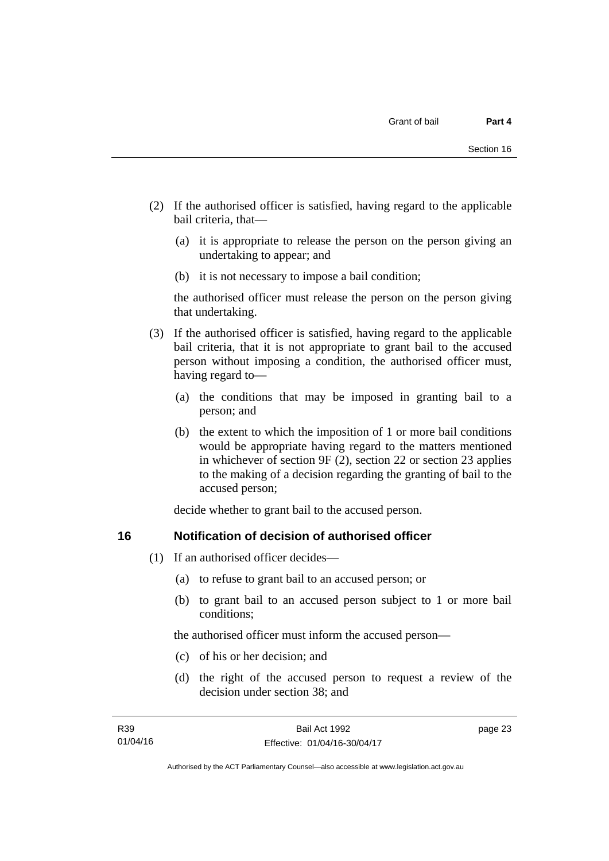- (2) If the authorised officer is satisfied, having regard to the applicable bail criteria, that—
	- (a) it is appropriate to release the person on the person giving an undertaking to appear; and
	- (b) it is not necessary to impose a bail condition;

the authorised officer must release the person on the person giving that undertaking.

- (3) If the authorised officer is satisfied, having regard to the applicable bail criteria, that it is not appropriate to grant bail to the accused person without imposing a condition, the authorised officer must, having regard to—
	- (a) the conditions that may be imposed in granting bail to a person; and
	- (b) the extent to which the imposition of 1 or more bail conditions would be appropriate having regard to the matters mentioned in whichever of section 9F (2), section 22 or section 23 applies to the making of a decision regarding the granting of bail to the accused person;

decide whether to grant bail to the accused person.

# <span id="page-30-0"></span>**16 Notification of decision of authorised officer**

- (1) If an authorised officer decides—
	- (a) to refuse to grant bail to an accused person; or
	- (b) to grant bail to an accused person subject to 1 or more bail conditions;

the authorised officer must inform the accused person—

- (c) of his or her decision; and
- (d) the right of the accused person to request a review of the decision under section 38; and

page 23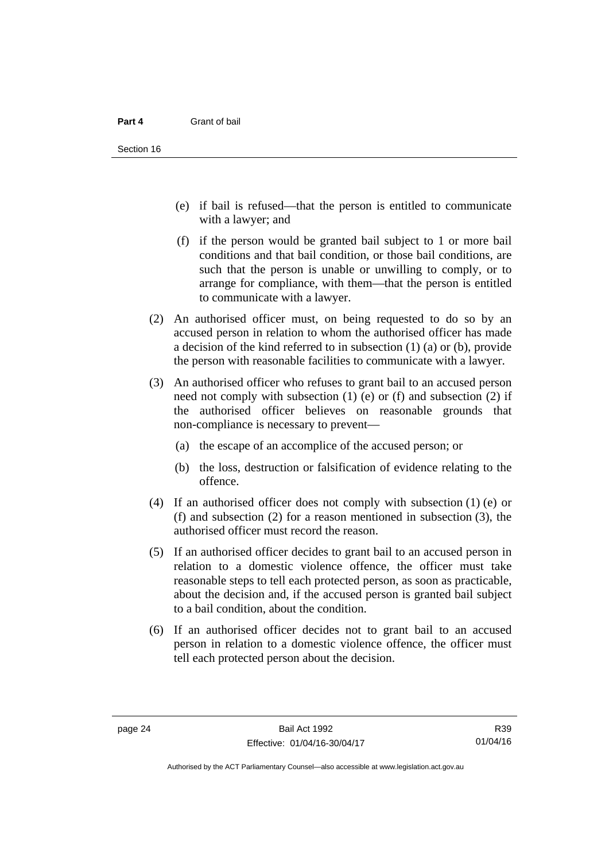- (e) if bail is refused—that the person is entitled to communicate with a lawyer; and
- (f) if the person would be granted bail subject to 1 or more bail conditions and that bail condition, or those bail conditions, are such that the person is unable or unwilling to comply, or to arrange for compliance, with them—that the person is entitled to communicate with a lawyer.
- (2) An authorised officer must, on being requested to do so by an accused person in relation to whom the authorised officer has made a decision of the kind referred to in subsection (1) (a) or (b), provide the person with reasonable facilities to communicate with a lawyer.
- (3) An authorised officer who refuses to grant bail to an accused person need not comply with subsection  $(1)$  (e) or  $(f)$  and subsection  $(2)$  if the authorised officer believes on reasonable grounds that non-compliance is necessary to prevent—
	- (a) the escape of an accomplice of the accused person; or
	- (b) the loss, destruction or falsification of evidence relating to the offence.
- (4) If an authorised officer does not comply with subsection (1) (e) or (f) and subsection (2) for a reason mentioned in subsection (3), the authorised officer must record the reason.
- (5) If an authorised officer decides to grant bail to an accused person in relation to a domestic violence offence, the officer must take reasonable steps to tell each protected person, as soon as practicable, about the decision and, if the accused person is granted bail subject to a bail condition, about the condition.
- (6) If an authorised officer decides not to grant bail to an accused person in relation to a domestic violence offence, the officer must tell each protected person about the decision.

R39 01/04/16

Authorised by the ACT Parliamentary Counsel—also accessible at www.legislation.act.gov.au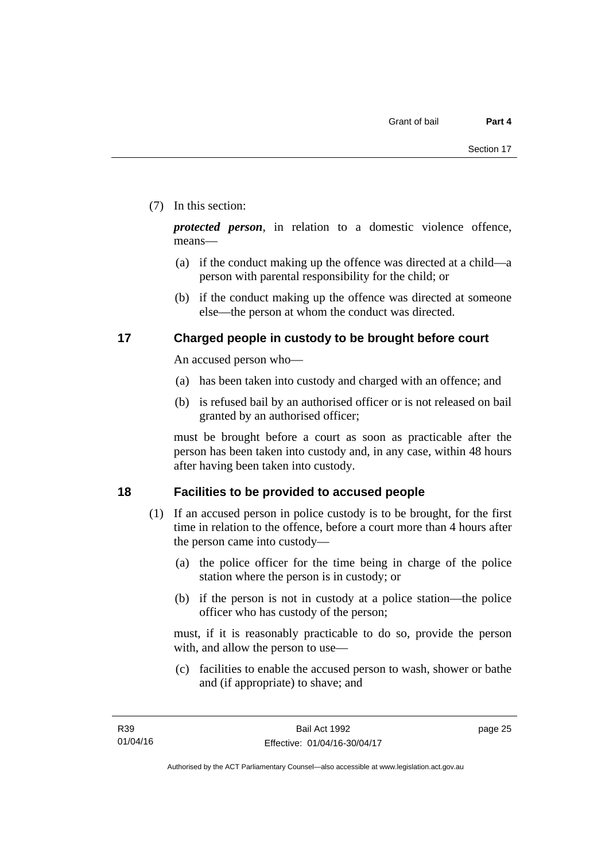# (7) In this section:

*protected person*, in relation to a domestic violence offence, means—

- (a) if the conduct making up the offence was directed at a child—a person with parental responsibility for the child; or
- (b) if the conduct making up the offence was directed at someone else—the person at whom the conduct was directed.

# <span id="page-32-0"></span>**17 Charged people in custody to be brought before court**

An accused person who—

- (a) has been taken into custody and charged with an offence; and
- (b) is refused bail by an authorised officer or is not released on bail granted by an authorised officer;

must be brought before a court as soon as practicable after the person has been taken into custody and, in any case, within 48 hours after having been taken into custody.

# <span id="page-32-1"></span>**18 Facilities to be provided to accused people**

- (1) If an accused person in police custody is to be brought, for the first time in relation to the offence, before a court more than 4 hours after the person came into custody—
	- (a) the police officer for the time being in charge of the police station where the person is in custody; or
	- (b) if the person is not in custody at a police station—the police officer who has custody of the person;

must, if it is reasonably practicable to do so, provide the person with, and allow the person to use—

 (c) facilities to enable the accused person to wash, shower or bathe and (if appropriate) to shave; and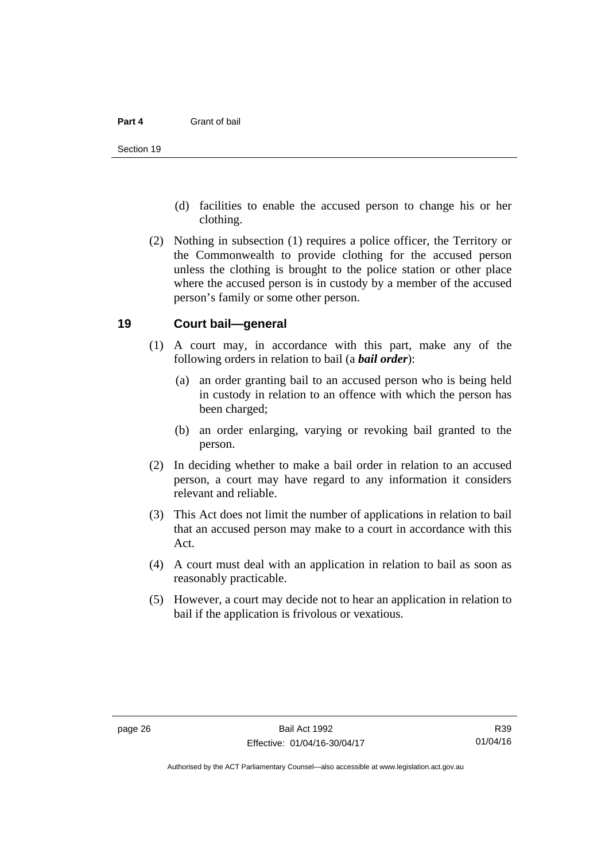- (d) facilities to enable the accused person to change his or her clothing.
- (2) Nothing in subsection (1) requires a police officer, the Territory or the Commonwealth to provide clothing for the accused person unless the clothing is brought to the police station or other place where the accused person is in custody by a member of the accused person's family or some other person.

### <span id="page-33-0"></span>**19 Court bail—general**

- (1) A court may, in accordance with this part, make any of the following orders in relation to bail (a *bail order*):
	- (a) an order granting bail to an accused person who is being held in custody in relation to an offence with which the person has been charged;
	- (b) an order enlarging, varying or revoking bail granted to the person.
- (2) In deciding whether to make a bail order in relation to an accused person, a court may have regard to any information it considers relevant and reliable.
- (3) This Act does not limit the number of applications in relation to bail that an accused person may make to a court in accordance with this Act.
- (4) A court must deal with an application in relation to bail as soon as reasonably practicable.
- (5) However, a court may decide not to hear an application in relation to bail if the application is frivolous or vexatious.

R39 01/04/16

Authorised by the ACT Parliamentary Counsel—also accessible at www.legislation.act.gov.au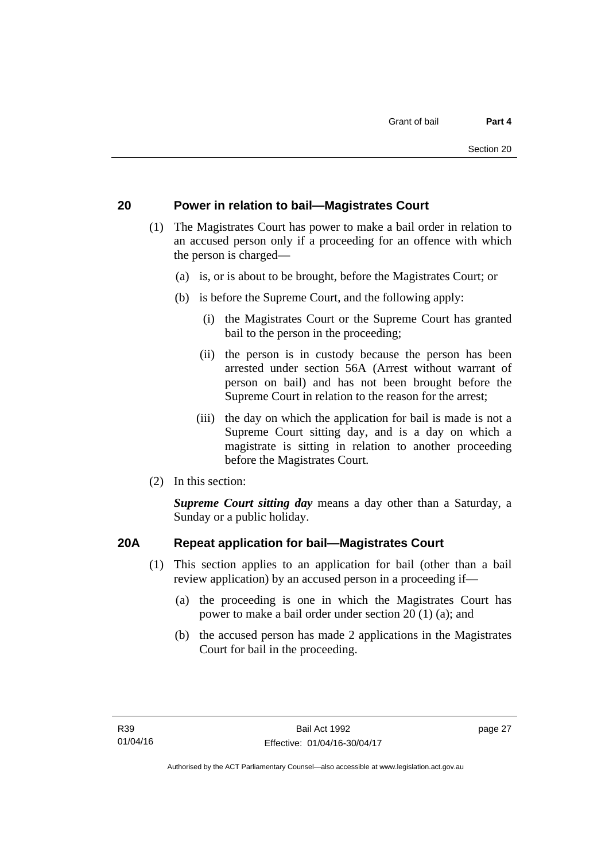# <span id="page-34-0"></span>**20 Power in relation to bail—Magistrates Court**

- (1) The Magistrates Court has power to make a bail order in relation to an accused person only if a proceeding for an offence with which the person is charged—
	- (a) is, or is about to be brought, before the Magistrates Court; or
	- (b) is before the Supreme Court, and the following apply:
		- (i) the Magistrates Court or the Supreme Court has granted bail to the person in the proceeding;
		- (ii) the person is in custody because the person has been arrested under section 56A (Arrest without warrant of person on bail) and has not been brought before the Supreme Court in relation to the reason for the arrest;
		- (iii) the day on which the application for bail is made is not a Supreme Court sitting day, and is a day on which a magistrate is sitting in relation to another proceeding before the Magistrates Court.
- (2) In this section:

*Supreme Court sitting day* means a day other than a Saturday, a Sunday or a public holiday.

# <span id="page-34-1"></span>**20A Repeat application for bail—Magistrates Court**

- (1) This section applies to an application for bail (other than a bail review application) by an accused person in a proceeding if—
	- (a) the proceeding is one in which the Magistrates Court has power to make a bail order under section 20 (1) (a); and
	- (b) the accused person has made 2 applications in the Magistrates Court for bail in the proceeding.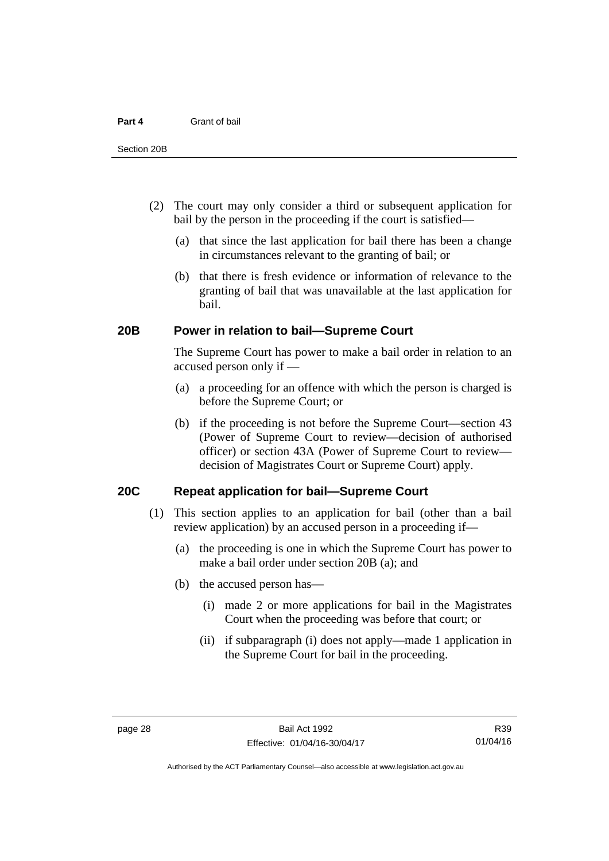- (2) The court may only consider a third or subsequent application for bail by the person in the proceeding if the court is satisfied—
	- (a) that since the last application for bail there has been a change in circumstances relevant to the granting of bail; or
	- (b) that there is fresh evidence or information of relevance to the granting of bail that was unavailable at the last application for bail.

### <span id="page-35-0"></span>**20B Power in relation to bail—Supreme Court**

 The Supreme Court has power to make a bail order in relation to an accused person only if —

- (a) a proceeding for an offence with which the person is charged is before the Supreme Court; or
- (b) if the proceeding is not before the Supreme Court—section 43 (Power of Supreme Court to review—decision of authorised officer) or section 43A (Power of Supreme Court to review decision of Magistrates Court or Supreme Court) apply.

# <span id="page-35-1"></span>**20C Repeat application for bail—Supreme Court**

- (1) This section applies to an application for bail (other than a bail review application) by an accused person in a proceeding if—
	- (a) the proceeding is one in which the Supreme Court has power to make a bail order under section 20B (a); and
	- (b) the accused person has—
		- (i) made 2 or more applications for bail in the Magistrates Court when the proceeding was before that court; or
		- (ii) if subparagraph (i) does not apply—made 1 application in the Supreme Court for bail in the proceeding.

Authorised by the ACT Parliamentary Counsel—also accessible at www.legislation.act.gov.au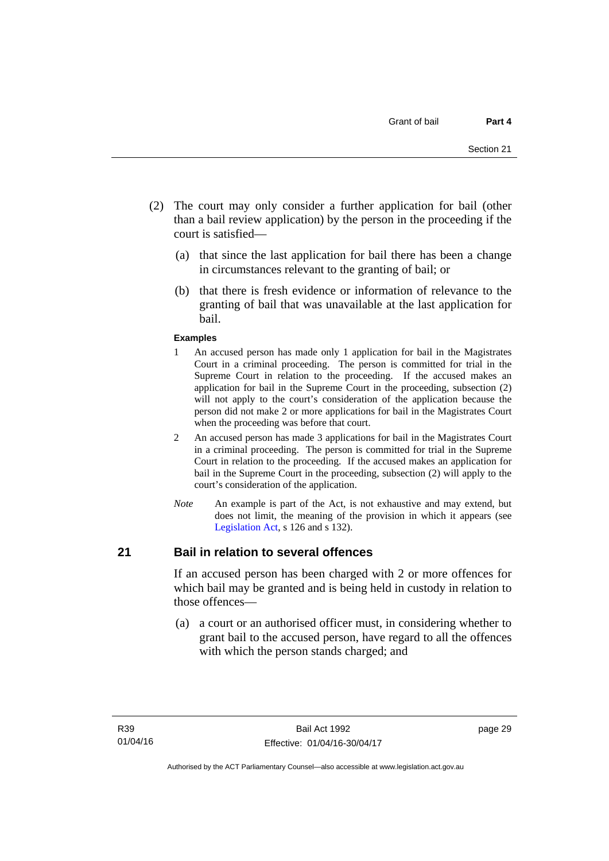- (2) The court may only consider a further application for bail (other than a bail review application) by the person in the proceeding if the court is satisfied—
	- (a) that since the last application for bail there has been a change in circumstances relevant to the granting of bail; or
	- (b) that there is fresh evidence or information of relevance to the granting of bail that was unavailable at the last application for bail.

#### **Examples**

- 1 An accused person has made only 1 application for bail in the Magistrates Court in a criminal proceeding. The person is committed for trial in the Supreme Court in relation to the proceeding. If the accused makes an application for bail in the Supreme Court in the proceeding, subsection (2) will not apply to the court's consideration of the application because the person did not make 2 or more applications for bail in the Magistrates Court when the proceeding was before that court.
- 2 An accused person has made 3 applications for bail in the Magistrates Court in a criminal proceeding. The person is committed for trial in the Supreme Court in relation to the proceeding. If the accused makes an application for bail in the Supreme Court in the proceeding, subsection (2) will apply to the court's consideration of the application.
- *Note* An example is part of the Act, is not exhaustive and may extend, but does not limit, the meaning of the provision in which it appears (see [Legislation Act,](http://www.legislation.act.gov.au/a/2001-14) s 126 and s 132).

#### **21 Bail in relation to several offences**

If an accused person has been charged with 2 or more offences for which bail may be granted and is being held in custody in relation to those offences—

 (a) a court or an authorised officer must, in considering whether to grant bail to the accused person, have regard to all the offences with which the person stands charged; and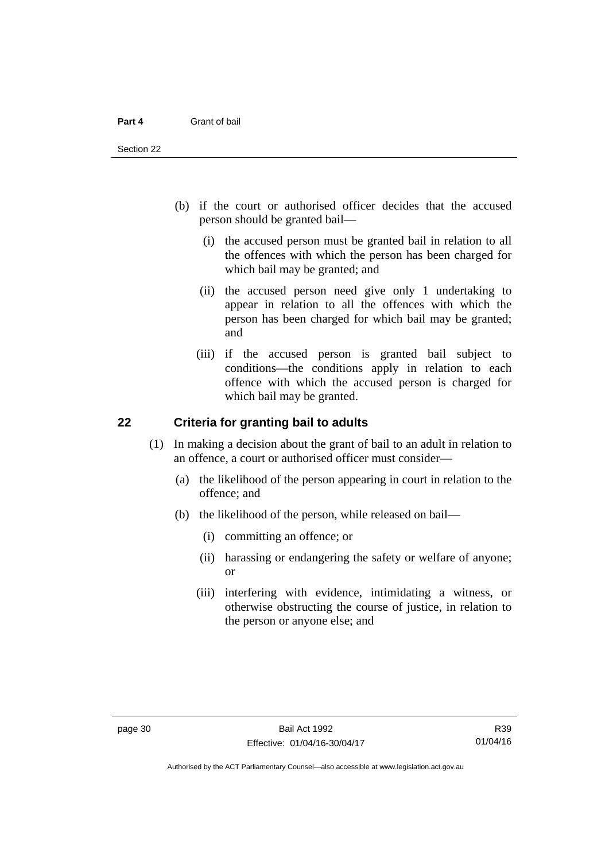- (b) if the court or authorised officer decides that the accused person should be granted bail—
	- (i) the accused person must be granted bail in relation to all the offences with which the person has been charged for which bail may be granted; and
	- (ii) the accused person need give only 1 undertaking to appear in relation to all the offences with which the person has been charged for which bail may be granted; and
	- (iii) if the accused person is granted bail subject to conditions—the conditions apply in relation to each offence with which the accused person is charged for which bail may be granted.

#### **22 Criteria for granting bail to adults**

- (1) In making a decision about the grant of bail to an adult in relation to an offence, a court or authorised officer must consider—
	- (a) the likelihood of the person appearing in court in relation to the offence; and
	- (b) the likelihood of the person, while released on bail—
		- (i) committing an offence; or
		- (ii) harassing or endangering the safety or welfare of anyone; or
		- (iii) interfering with evidence, intimidating a witness, or otherwise obstructing the course of justice, in relation to the person or anyone else; and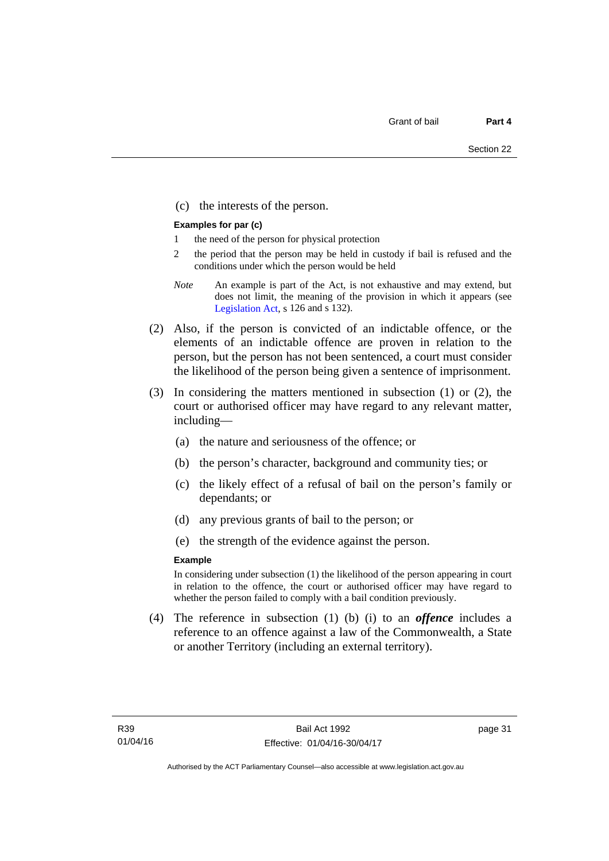(c) the interests of the person.

#### **Examples for par (c)**

- 1 the need of the person for physical protection
- 2 the period that the person may be held in custody if bail is refused and the conditions under which the person would be held
- *Note* An example is part of the Act, is not exhaustive and may extend, but does not limit, the meaning of the provision in which it appears (see [Legislation Act,](http://www.legislation.act.gov.au/a/2001-14) s 126 and s 132).
- (2) Also, if the person is convicted of an indictable offence, or the elements of an indictable offence are proven in relation to the person, but the person has not been sentenced, a court must consider the likelihood of the person being given a sentence of imprisonment.
- (3) In considering the matters mentioned in subsection (1) or (2), the court or authorised officer may have regard to any relevant matter, including—
	- (a) the nature and seriousness of the offence; or
	- (b) the person's character, background and community ties; or
	- (c) the likely effect of a refusal of bail on the person's family or dependants; or
	- (d) any previous grants of bail to the person; or
	- (e) the strength of the evidence against the person.

#### **Example**

In considering under subsection (1) the likelihood of the person appearing in court in relation to the offence, the court or authorised officer may have regard to whether the person failed to comply with a bail condition previously.

 (4) The reference in subsection (1) (b) (i) to an *offence* includes a reference to an offence against a law of the Commonwealth, a State or another Territory (including an external territory).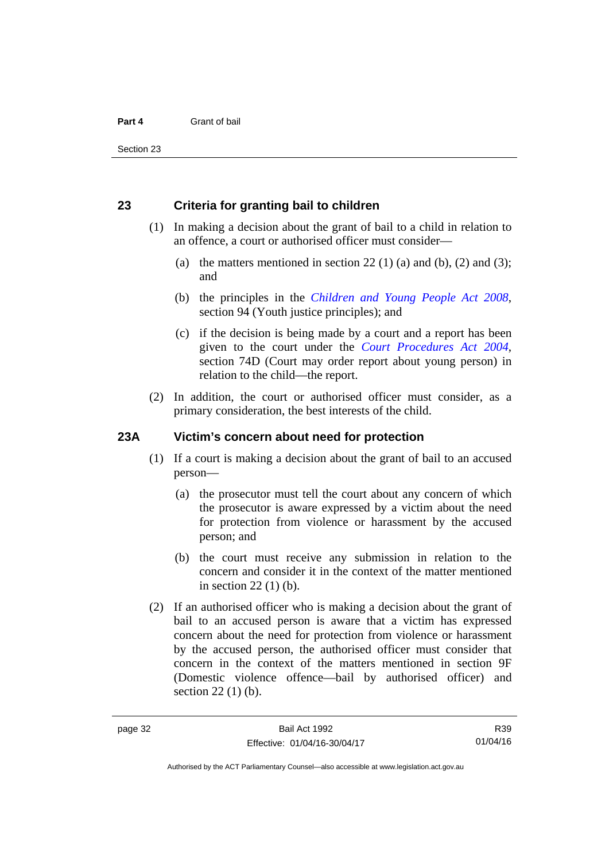#### **23 Criteria for granting bail to children**

- (1) In making a decision about the grant of bail to a child in relation to an offence, a court or authorised officer must consider—
	- (a) the matters mentioned in section 22 (1) (a) and (b), (2) and (3); and
	- (b) the principles in the *[Children and Young People Act 2008](http://www.legislation.act.gov.au/a/2008-19)*, section 94 (Youth justice principles); and
	- (c) if the decision is being made by a court and a report has been given to the court under the *[Court Procedures Act 2004](http://www.legislation.act.gov.au/a/2004-59)*, section 74D (Court may order report about young person) in relation to the child—the report.
- (2) In addition, the court or authorised officer must consider, as a primary consideration, the best interests of the child.

#### **23A Victim's concern about need for protection**

- (1) If a court is making a decision about the grant of bail to an accused person—
	- (a) the prosecutor must tell the court about any concern of which the prosecutor is aware expressed by a victim about the need for protection from violence or harassment by the accused person; and
	- (b) the court must receive any submission in relation to the concern and consider it in the context of the matter mentioned in section 22 (1) (b).
- (2) If an authorised officer who is making a decision about the grant of bail to an accused person is aware that a victim has expressed concern about the need for protection from violence or harassment by the accused person, the authorised officer must consider that concern in the context of the matters mentioned in section 9F (Domestic violence offence—bail by authorised officer) and section 22 (1) (b).

Authorised by the ACT Parliamentary Counsel—also accessible at www.legislation.act.gov.au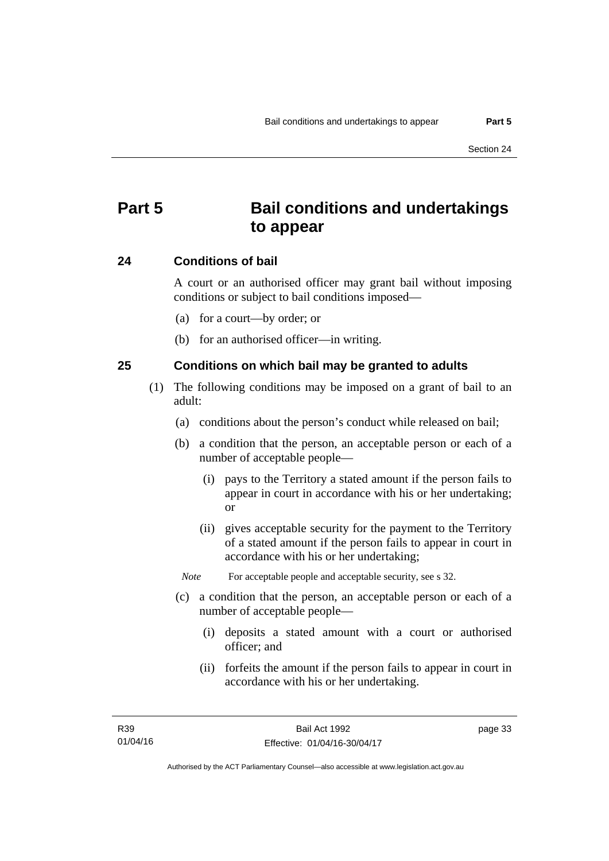## **Part 5 Bail conditions and undertakings to appear**

#### **24 Conditions of bail**

A court or an authorised officer may grant bail without imposing conditions or subject to bail conditions imposed—

- (a) for a court—by order; or
- (b) for an authorised officer—in writing.

#### **25 Conditions on which bail may be granted to adults**

- (1) The following conditions may be imposed on a grant of bail to an adult:
	- (a) conditions about the person's conduct while released on bail;
	- (b) a condition that the person, an acceptable person or each of a number of acceptable people—
		- (i) pays to the Territory a stated amount if the person fails to appear in court in accordance with his or her undertaking; or
		- (ii) gives acceptable security for the payment to the Territory of a stated amount if the person fails to appear in court in accordance with his or her undertaking;

*Note* For acceptable people and acceptable security, see s 32.

- (c) a condition that the person, an acceptable person or each of a number of acceptable people—
	- (i) deposits a stated amount with a court or authorised officer; and
	- (ii) forfeits the amount if the person fails to appear in court in accordance with his or her undertaking.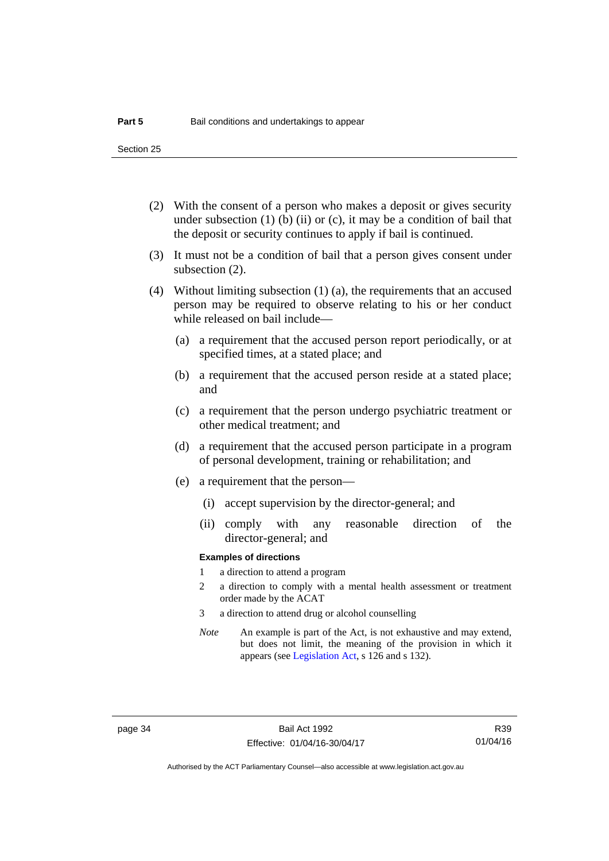Section 25

- (2) With the consent of a person who makes a deposit or gives security under subsection  $(1)$  (b)  $(ii)$  or  $(c)$ , it may be a condition of bail that the deposit or security continues to apply if bail is continued.
- (3) It must not be a condition of bail that a person gives consent under subsection (2).
- (4) Without limiting subsection (1) (a), the requirements that an accused person may be required to observe relating to his or her conduct while released on bail include—
	- (a) a requirement that the accused person report periodically, or at specified times, at a stated place; and
	- (b) a requirement that the accused person reside at a stated place; and
	- (c) a requirement that the person undergo psychiatric treatment or other medical treatment; and
	- (d) a requirement that the accused person participate in a program of personal development, training or rehabilitation; and
	- (e) a requirement that the person—
		- (i) accept supervision by the director-general; and
		- (ii) comply with any reasonable direction of the director-general; and

#### **Examples of directions**

- 1 a direction to attend a program
- 2 a direction to comply with a mental health assessment or treatment order made by the ACAT
- 3 a direction to attend drug or alcohol counselling
- *Note* An example is part of the Act, is not exhaustive and may extend, but does not limit, the meaning of the provision in which it appears (see [Legislation Act,](http://www.legislation.act.gov.au/a/2001-14) s 126 and s 132).

R39 01/04/16

Authorised by the ACT Parliamentary Counsel—also accessible at www.legislation.act.gov.au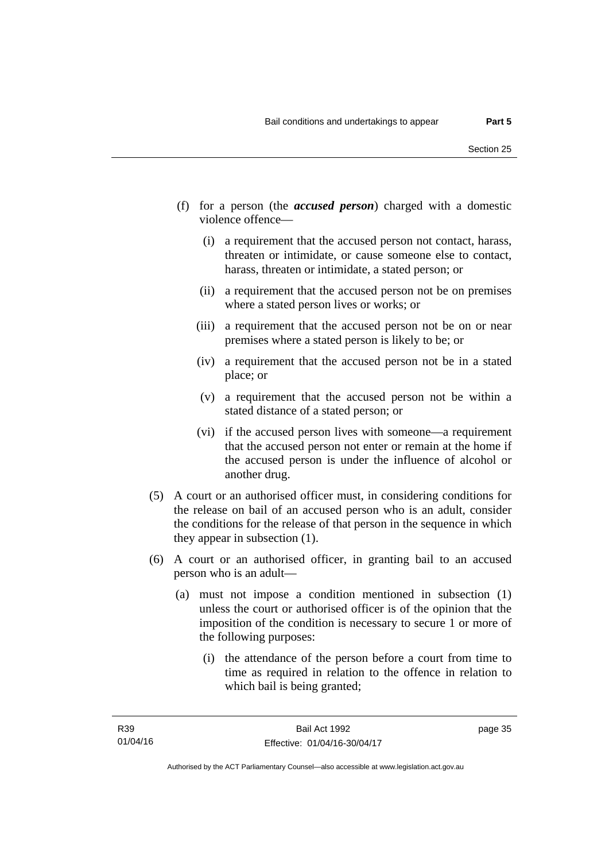- (f) for a person (the *accused person*) charged with a domestic violence offence—
	- (i) a requirement that the accused person not contact, harass, threaten or intimidate, or cause someone else to contact, harass, threaten or intimidate, a stated person; or
	- (ii) a requirement that the accused person not be on premises where a stated person lives or works; or
	- (iii) a requirement that the accused person not be on or near premises where a stated person is likely to be; or
	- (iv) a requirement that the accused person not be in a stated place; or
	- (v) a requirement that the accused person not be within a stated distance of a stated person; or
	- (vi) if the accused person lives with someone—a requirement that the accused person not enter or remain at the home if the accused person is under the influence of alcohol or another drug.
- (5) A court or an authorised officer must, in considering conditions for the release on bail of an accused person who is an adult, consider the conditions for the release of that person in the sequence in which they appear in subsection (1).
- (6) A court or an authorised officer, in granting bail to an accused person who is an adult—
	- (a) must not impose a condition mentioned in subsection (1) unless the court or authorised officer is of the opinion that the imposition of the condition is necessary to secure 1 or more of the following purposes:
		- (i) the attendance of the person before a court from time to time as required in relation to the offence in relation to which bail is being granted;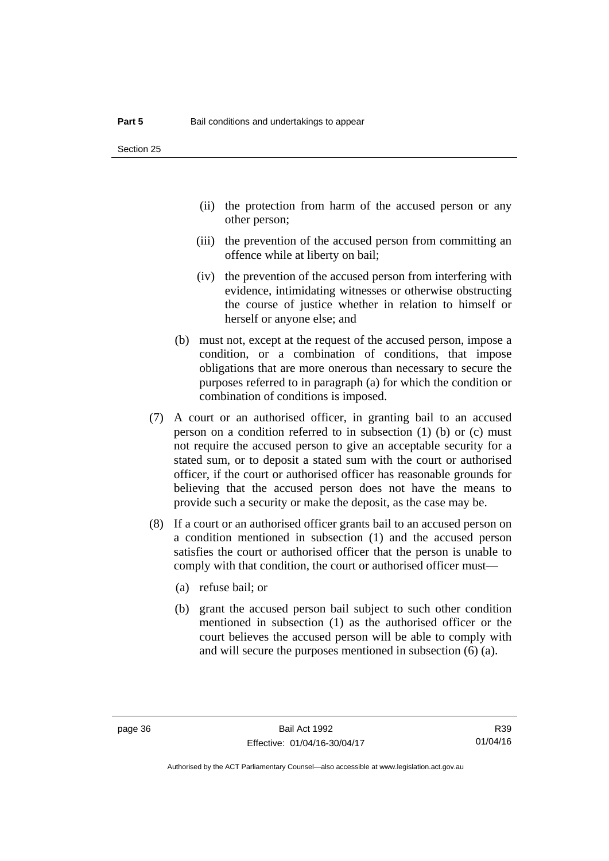- (ii) the protection from harm of the accused person or any other person;
- (iii) the prevention of the accused person from committing an offence while at liberty on bail;
- (iv) the prevention of the accused person from interfering with evidence, intimidating witnesses or otherwise obstructing the course of justice whether in relation to himself or herself or anyone else; and
- (b) must not, except at the request of the accused person, impose a condition, or a combination of conditions, that impose obligations that are more onerous than necessary to secure the purposes referred to in paragraph (a) for which the condition or combination of conditions is imposed.
- (7) A court or an authorised officer, in granting bail to an accused person on a condition referred to in subsection (1) (b) or (c) must not require the accused person to give an acceptable security for a stated sum, or to deposit a stated sum with the court or authorised officer, if the court or authorised officer has reasonable grounds for believing that the accused person does not have the means to provide such a security or make the deposit, as the case may be.
- (8) If a court or an authorised officer grants bail to an accused person on a condition mentioned in subsection (1) and the accused person satisfies the court or authorised officer that the person is unable to comply with that condition, the court or authorised officer must—
	- (a) refuse bail; or
	- (b) grant the accused person bail subject to such other condition mentioned in subsection (1) as the authorised officer or the court believes the accused person will be able to comply with and will secure the purposes mentioned in subsection (6) (a).

Authorised by the ACT Parliamentary Counsel—also accessible at www.legislation.act.gov.au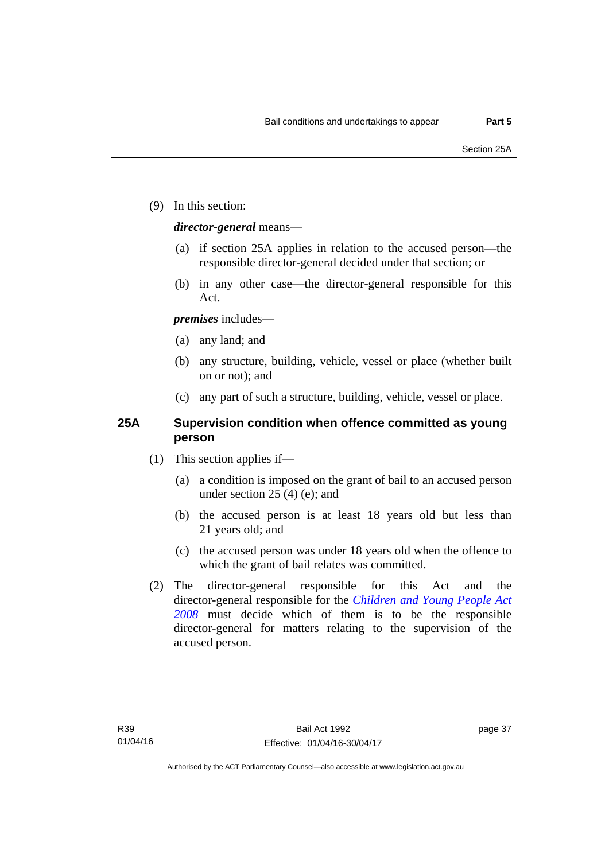(9) In this section:

#### *director-general* means—

- (a) if section 25A applies in relation to the accused person—the responsible director-general decided under that section; or
- (b) in any other case—the director-general responsible for this Act.

#### *premises* includes—

- (a) any land; and
- (b) any structure, building, vehicle, vessel or place (whether built on or not); and
- (c) any part of such a structure, building, vehicle, vessel or place.

#### **25A Supervision condition when offence committed as young person**

- (1) This section applies if—
	- (a) a condition is imposed on the grant of bail to an accused person under section 25 (4) (e); and
	- (b) the accused person is at least 18 years old but less than 21 years old; and
	- (c) the accused person was under 18 years old when the offence to which the grant of bail relates was committed.
- (2) The director-general responsible for this Act and the director-general responsible for the *[Children and Young People Act](http://www.legislation.act.gov.au/a/2008-19)  [2008](http://www.legislation.act.gov.au/a/2008-19)* must decide which of them is to be the responsible director-general for matters relating to the supervision of the accused person.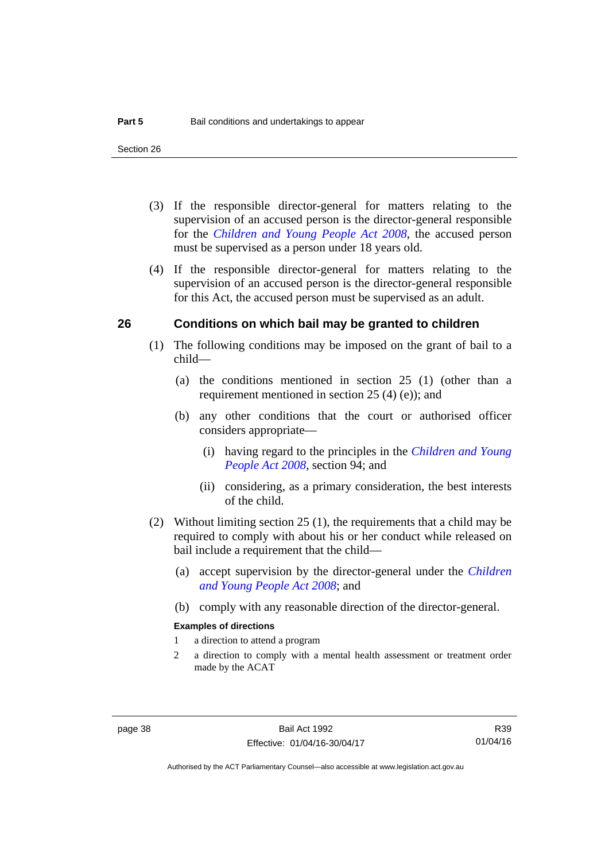- (3) If the responsible director-general for matters relating to the supervision of an accused person is the director-general responsible for the *[Children and Young People Act 2008](http://www.legislation.act.gov.au/a/2008-19)*, the accused person must be supervised as a person under 18 years old.
- (4) If the responsible director-general for matters relating to the supervision of an accused person is the director-general responsible for this Act, the accused person must be supervised as an adult.

#### **26 Conditions on which bail may be granted to children**

- (1) The following conditions may be imposed on the grant of bail to a child—
	- (a) the conditions mentioned in section 25 (1) (other than a requirement mentioned in section 25 (4) (e)); and
	- (b) any other conditions that the court or authorised officer considers appropriate—
		- (i) having regard to the principles in the *[Children and Young](http://www.legislation.act.gov.au/a/2008-19)  [People Act 2008](http://www.legislation.act.gov.au/a/2008-19)*, section 94; and
		- (ii) considering, as a primary consideration, the best interests of the child.
- (2) Without limiting section 25 (1), the requirements that a child may be required to comply with about his or her conduct while released on bail include a requirement that the child—
	- (a) accept supervision by the director-general under the *[Children](http://www.legislation.act.gov.au/a/2008-19)  [and Young People Act 2008](http://www.legislation.act.gov.au/a/2008-19)*; and
	- (b) comply with any reasonable direction of the director-general.

#### **Examples of directions**

- 1 a direction to attend a program
- 2 a direction to comply with a mental health assessment or treatment order made by the ACAT

R39 01/04/16

Authorised by the ACT Parliamentary Counsel—also accessible at www.legislation.act.gov.au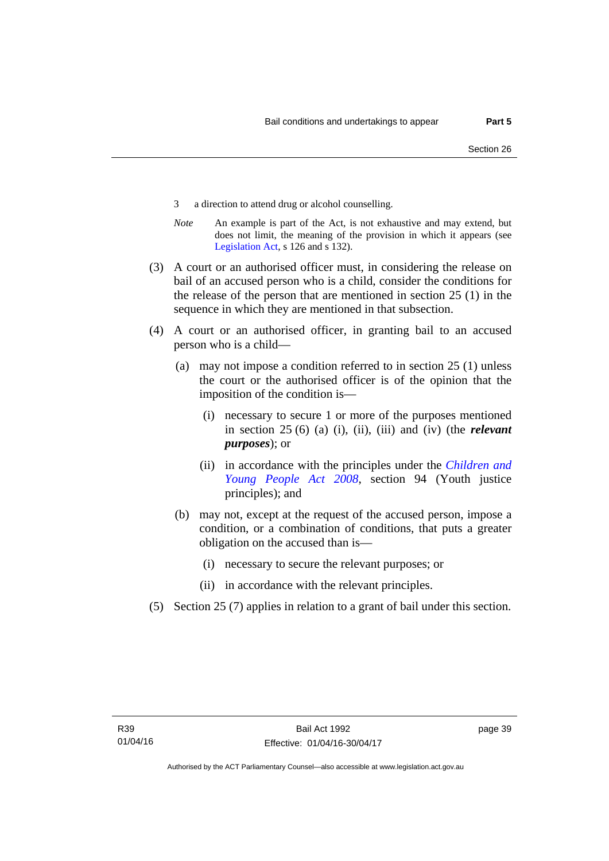- 3 a direction to attend drug or alcohol counselling.
- *Note* An example is part of the Act, is not exhaustive and may extend, but does not limit, the meaning of the provision in which it appears (see [Legislation Act,](http://www.legislation.act.gov.au/a/2001-14) s 126 and s 132).
- (3) A court or an authorised officer must, in considering the release on bail of an accused person who is a child, consider the conditions for the release of the person that are mentioned in section 25 (1) in the sequence in which they are mentioned in that subsection.
- (4) A court or an authorised officer, in granting bail to an accused person who is a child—
	- (a) may not impose a condition referred to in section 25 (1) unless the court or the authorised officer is of the opinion that the imposition of the condition is—
		- (i) necessary to secure 1 or more of the purposes mentioned in section 25 (6) (a) (i), (ii), (iii) and (iv) (the *relevant purposes*); or
		- (ii) in accordance with the principles under the *[Children and](http://www.legislation.act.gov.au/a/2008-19)  [Young People Act 2008](http://www.legislation.act.gov.au/a/2008-19)*, section 94 (Youth justice principles); and
	- (b) may not, except at the request of the accused person, impose a condition, or a combination of conditions, that puts a greater obligation on the accused than is—
		- (i) necessary to secure the relevant purposes; or
		- (ii) in accordance with the relevant principles.
- (5) Section 25 (7) applies in relation to a grant of bail under this section.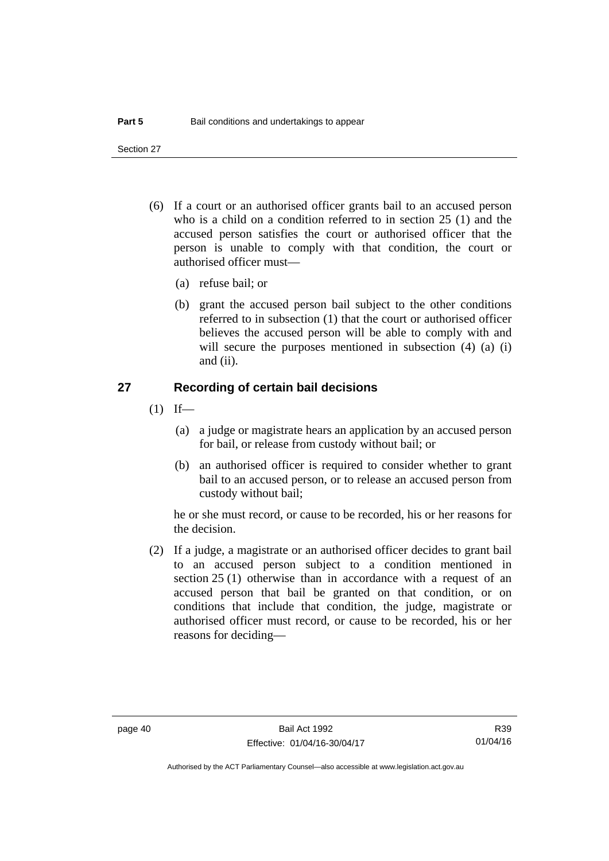Section 27

- (6) If a court or an authorised officer grants bail to an accused person who is a child on a condition referred to in section 25 (1) and the accused person satisfies the court or authorised officer that the person is unable to comply with that condition, the court or authorised officer must—
	- (a) refuse bail; or
	- (b) grant the accused person bail subject to the other conditions referred to in subsection (1) that the court or authorised officer believes the accused person will be able to comply with and will secure the purposes mentioned in subsection (4) (a) (i) and (ii).

#### **27 Recording of certain bail decisions**

- $(1)$  If—
	- (a) a judge or magistrate hears an application by an accused person for bail, or release from custody without bail; or
	- (b) an authorised officer is required to consider whether to grant bail to an accused person, or to release an accused person from custody without bail;

he or she must record, or cause to be recorded, his or her reasons for the decision.

 (2) If a judge, a magistrate or an authorised officer decides to grant bail to an accused person subject to a condition mentioned in section 25 (1) otherwise than in accordance with a request of an accused person that bail be granted on that condition, or on conditions that include that condition, the judge, magistrate or authorised officer must record, or cause to be recorded, his or her reasons for deciding—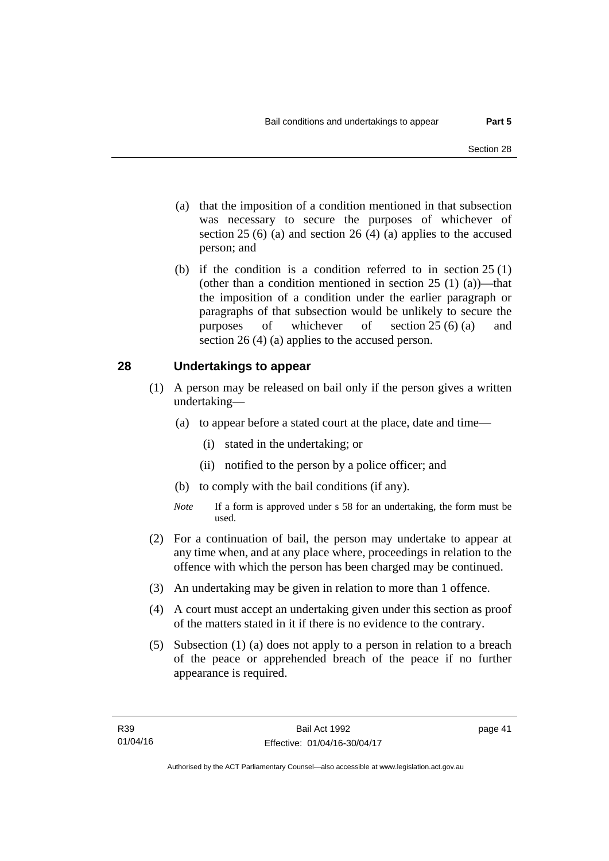- (a) that the imposition of a condition mentioned in that subsection was necessary to secure the purposes of whichever of section  $25(6)$  (a) and section  $26(4)$  (a) applies to the accused person; and
- (b) if the condition is a condition referred to in section 25 (1) (other than a condition mentioned in section  $25(1)(a)$ —that the imposition of a condition under the earlier paragraph or paragraphs of that subsection would be unlikely to secure the purposes of whichever of section 25 (6) (a) and section 26 (4) (a) applies to the accused person.

#### **28 Undertakings to appear**

- (1) A person may be released on bail only if the person gives a written undertaking—
	- (a) to appear before a stated court at the place, date and time—
		- (i) stated in the undertaking; or
		- (ii) notified to the person by a police officer; and
	- (b) to comply with the bail conditions (if any).
	- *Note* If a form is approved under s 58 for an undertaking, the form must be used.
- (2) For a continuation of bail, the person may undertake to appear at any time when, and at any place where, proceedings in relation to the offence with which the person has been charged may be continued.
- (3) An undertaking may be given in relation to more than 1 offence.
- (4) A court must accept an undertaking given under this section as proof of the matters stated in it if there is no evidence to the contrary.
- (5) Subsection (1) (a) does not apply to a person in relation to a breach of the peace or apprehended breach of the peace if no further appearance is required.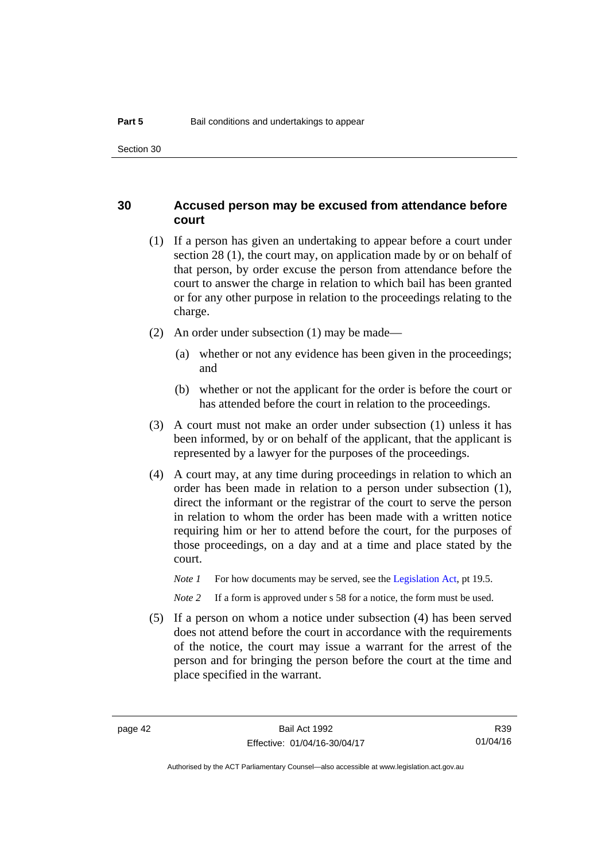#### **30 Accused person may be excused from attendance before court**

- (1) If a person has given an undertaking to appear before a court under section 28 (1), the court may, on application made by or on behalf of that person, by order excuse the person from attendance before the court to answer the charge in relation to which bail has been granted or for any other purpose in relation to the proceedings relating to the charge.
- (2) An order under subsection (1) may be made—
	- (a) whether or not any evidence has been given in the proceedings; and
	- (b) whether or not the applicant for the order is before the court or has attended before the court in relation to the proceedings.
- (3) A court must not make an order under subsection (1) unless it has been informed, by or on behalf of the applicant, that the applicant is represented by a lawyer for the purposes of the proceedings.
- (4) A court may, at any time during proceedings in relation to which an order has been made in relation to a person under subsection (1), direct the informant or the registrar of the court to serve the person in relation to whom the order has been made with a written notice requiring him or her to attend before the court, for the purposes of those proceedings, on a day and at a time and place stated by the court.
	- *Note 1* For how documents may be served, see the [Legislation Act,](http://www.legislation.act.gov.au/a/2001-14) pt 19.5.

*Note* 2 If a form is approved under s 58 for a notice, the form must be used.

 (5) If a person on whom a notice under subsection (4) has been served does not attend before the court in accordance with the requirements of the notice, the court may issue a warrant for the arrest of the person and for bringing the person before the court at the time and place specified in the warrant.

R39 01/04/16

Authorised by the ACT Parliamentary Counsel—also accessible at www.legislation.act.gov.au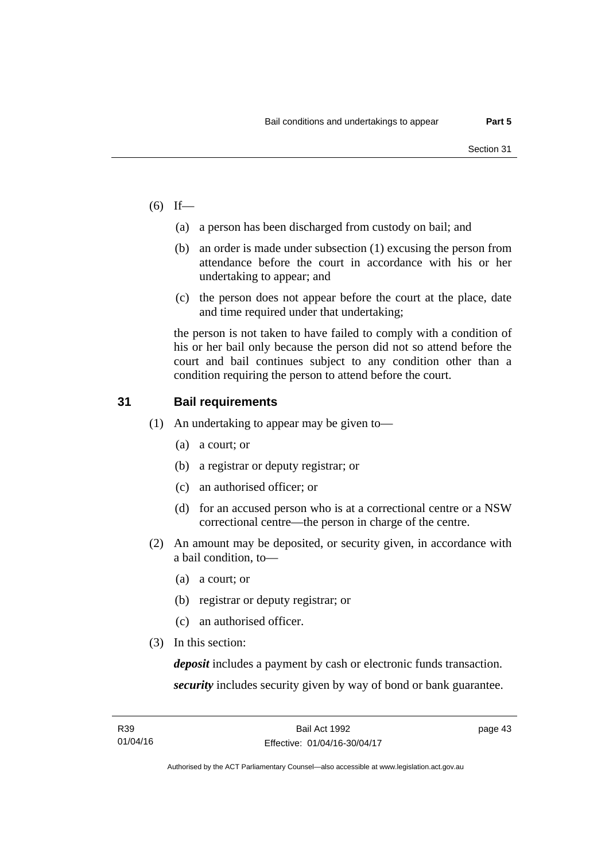- $(6)$  If—
	- (a) a person has been discharged from custody on bail; and
	- (b) an order is made under subsection (1) excusing the person from attendance before the court in accordance with his or her undertaking to appear; and
	- (c) the person does not appear before the court at the place, date and time required under that undertaking;

the person is not taken to have failed to comply with a condition of his or her bail only because the person did not so attend before the court and bail continues subject to any condition other than a condition requiring the person to attend before the court.

#### **31 Bail requirements**

- (1) An undertaking to appear may be given to—
	- (a) a court; or
	- (b) a registrar or deputy registrar; or
	- (c) an authorised officer; or
	- (d) for an accused person who is at a correctional centre or a NSW correctional centre—the person in charge of the centre.
- (2) An amount may be deposited, or security given, in accordance with a bail condition, to—
	- (a) a court; or
	- (b) registrar or deputy registrar; or
	- (c) an authorised officer.
- (3) In this section:

*deposit* includes a payment by cash or electronic funds transaction. *security* includes security given by way of bond or bank guarantee.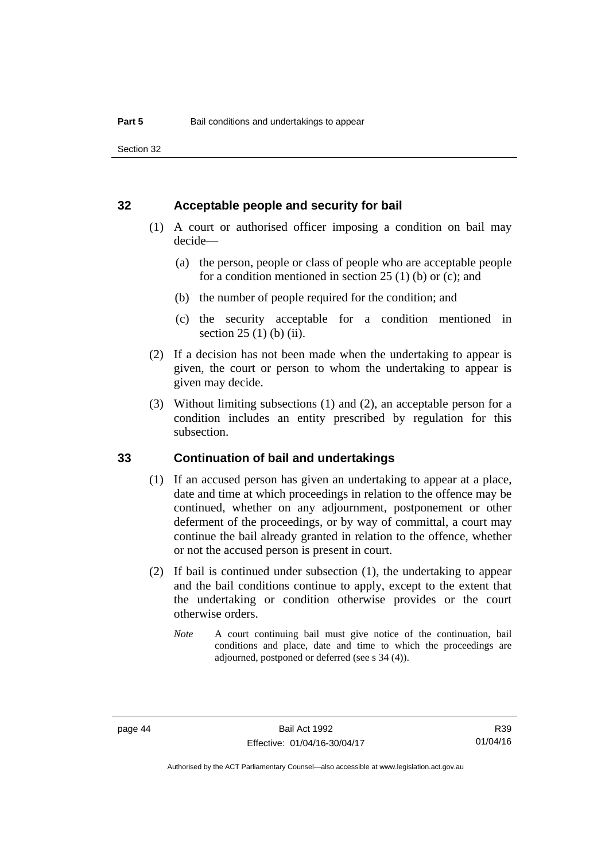Section 32

#### **32 Acceptable people and security for bail**

- (1) A court or authorised officer imposing a condition on bail may decide—
	- (a) the person, people or class of people who are acceptable people for a condition mentioned in section  $25(1)$  (b) or (c); and
	- (b) the number of people required for the condition; and
	- (c) the security acceptable for a condition mentioned in section 25 (1) (b) (ii).
- (2) If a decision has not been made when the undertaking to appear is given, the court or person to whom the undertaking to appear is given may decide.
- (3) Without limiting subsections (1) and (2), an acceptable person for a condition includes an entity prescribed by regulation for this subsection.

#### **33 Continuation of bail and undertakings**

- (1) If an accused person has given an undertaking to appear at a place, date and time at which proceedings in relation to the offence may be continued, whether on any adjournment, postponement or other deferment of the proceedings, or by way of committal, a court may continue the bail already granted in relation to the offence, whether or not the accused person is present in court.
- (2) If bail is continued under subsection (1), the undertaking to appear and the bail conditions continue to apply, except to the extent that the undertaking or condition otherwise provides or the court otherwise orders.
	- *Note* A court continuing bail must give notice of the continuation, bail conditions and place, date and time to which the proceedings are adjourned, postponed or deferred (see s 34 (4)).

R39 01/04/16

Authorised by the ACT Parliamentary Counsel—also accessible at www.legislation.act.gov.au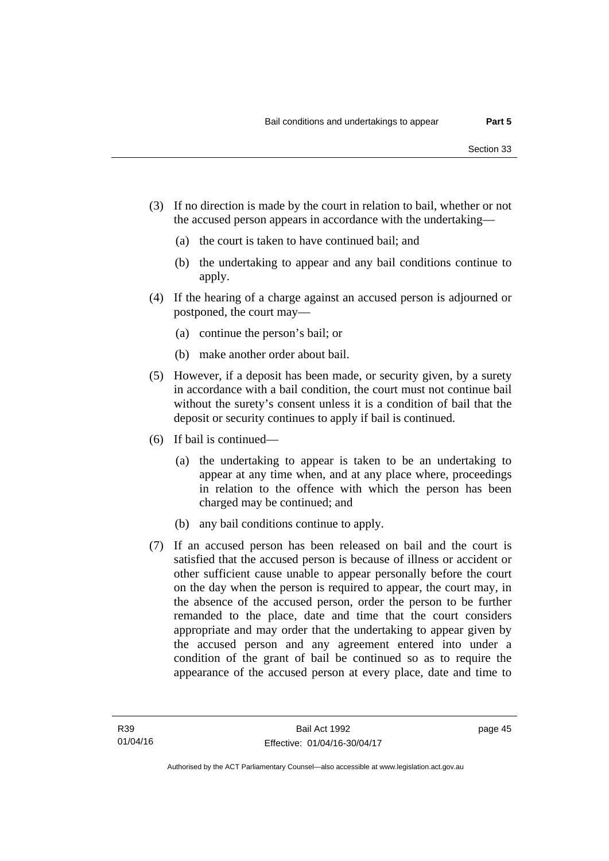- (3) If no direction is made by the court in relation to bail, whether or not the accused person appears in accordance with the undertaking—
	- (a) the court is taken to have continued bail; and
	- (b) the undertaking to appear and any bail conditions continue to apply.
- (4) If the hearing of a charge against an accused person is adjourned or postponed, the court may—
	- (a) continue the person's bail; or
	- (b) make another order about bail.
- (5) However, if a deposit has been made, or security given, by a surety in accordance with a bail condition, the court must not continue bail without the surety's consent unless it is a condition of bail that the deposit or security continues to apply if bail is continued.
- (6) If bail is continued—
	- (a) the undertaking to appear is taken to be an undertaking to appear at any time when, and at any place where, proceedings in relation to the offence with which the person has been charged may be continued; and
	- (b) any bail conditions continue to apply.
- (7) If an accused person has been released on bail and the court is satisfied that the accused person is because of illness or accident or other sufficient cause unable to appear personally before the court on the day when the person is required to appear, the court may, in the absence of the accused person, order the person to be further remanded to the place, date and time that the court considers appropriate and may order that the undertaking to appear given by the accused person and any agreement entered into under a condition of the grant of bail be continued so as to require the appearance of the accused person at every place, date and time to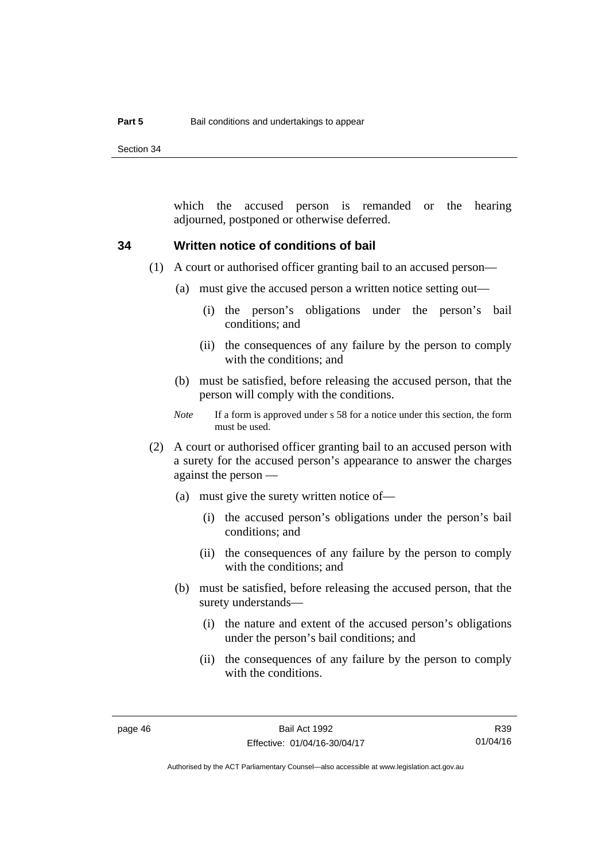Section 34

which the accused person is remanded or the hearing adjourned, postponed or otherwise deferred.

#### **34 Written notice of conditions of bail**

- (1) A court or authorised officer granting bail to an accused person—
	- (a) must give the accused person a written notice setting out—
		- (i) the person's obligations under the person's bail conditions; and
		- (ii) the consequences of any failure by the person to comply with the conditions; and
	- (b) must be satisfied, before releasing the accused person, that the person will comply with the conditions.
	- *Note* If a form is approved under s 58 for a notice under this section, the form must be used.
- (2) A court or authorised officer granting bail to an accused person with a surety for the accused person's appearance to answer the charges against the person —
	- (a) must give the surety written notice of—
		- (i) the accused person's obligations under the person's bail conditions; and
		- (ii) the consequences of any failure by the person to comply with the conditions; and
	- (b) must be satisfied, before releasing the accused person, that the surety understands—
		- (i) the nature and extent of the accused person's obligations under the person's bail conditions; and
		- (ii) the consequences of any failure by the person to comply with the conditions.

R39 01/04/16

Authorised by the ACT Parliamentary Counsel—also accessible at www.legislation.act.gov.au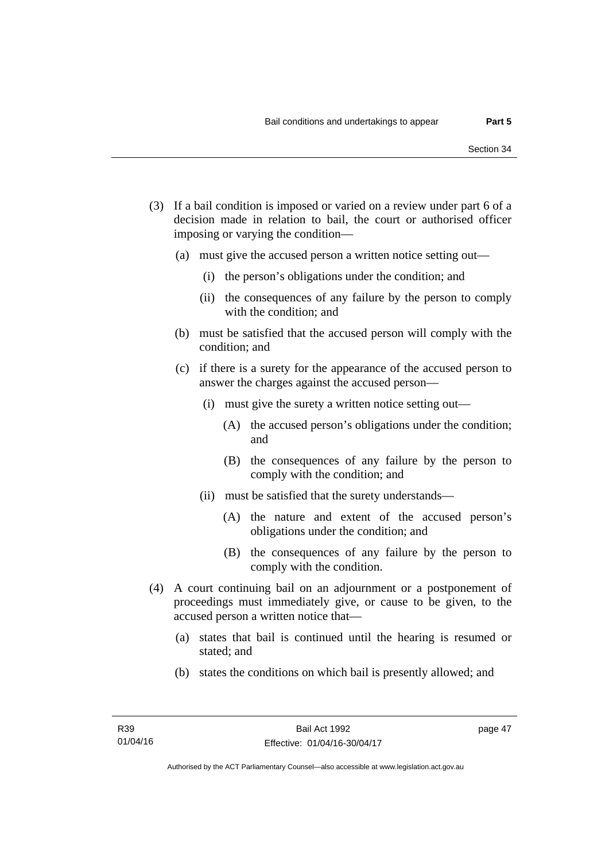- (3) If a bail condition is imposed or varied on a review under part 6 of a decision made in relation to bail, the court or authorised officer imposing or varying the condition—
	- (a) must give the accused person a written notice setting out—
		- (i) the person's obligations under the condition; and
		- (ii) the consequences of any failure by the person to comply with the condition; and
	- (b) must be satisfied that the accused person will comply with the condition; and
	- (c) if there is a surety for the appearance of the accused person to answer the charges against the accused person—
		- (i) must give the surety a written notice setting out—
			- (A) the accused person's obligations under the condition; and
			- (B) the consequences of any failure by the person to comply with the condition; and
		- (ii) must be satisfied that the surety understands—
			- (A) the nature and extent of the accused person's obligations under the condition; and
			- (B) the consequences of any failure by the person to comply with the condition.
- (4) A court continuing bail on an adjournment or a postponement of proceedings must immediately give, or cause to be given, to the accused person a written notice that—
	- (a) states that bail is continued until the hearing is resumed or stated; and
	- (b) states the conditions on which bail is presently allowed; and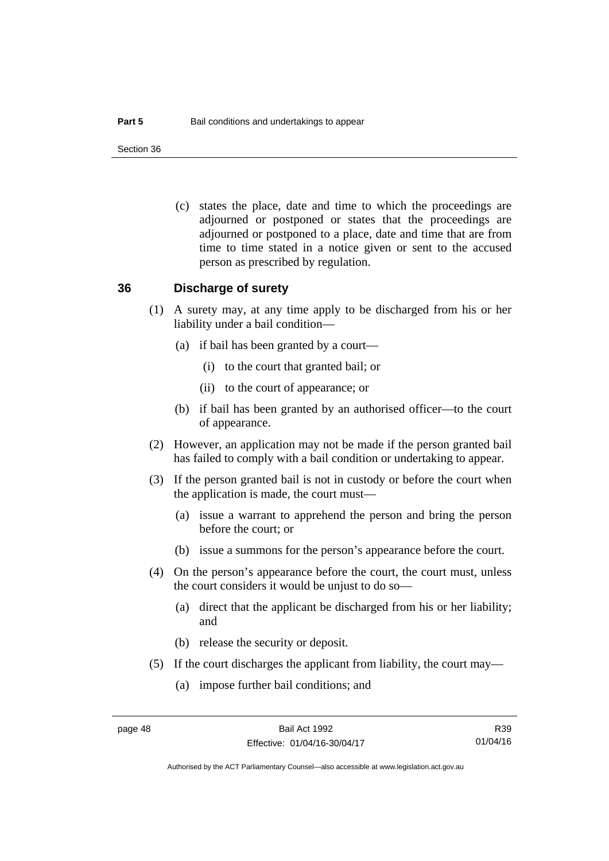Section 36

 (c) states the place, date and time to which the proceedings are adjourned or postponed or states that the proceedings are adjourned or postponed to a place, date and time that are from time to time stated in a notice given or sent to the accused person as prescribed by regulation.

#### **36 Discharge of surety**

- (1) A surety may, at any time apply to be discharged from his or her liability under a bail condition—
	- (a) if bail has been granted by a court—
		- (i) to the court that granted bail; or
		- (ii) to the court of appearance; or
	- (b) if bail has been granted by an authorised officer—to the court of appearance.
- (2) However, an application may not be made if the person granted bail has failed to comply with a bail condition or undertaking to appear.
- (3) If the person granted bail is not in custody or before the court when the application is made, the court must—
	- (a) issue a warrant to apprehend the person and bring the person before the court; or
	- (b) issue a summons for the person's appearance before the court.
- (4) On the person's appearance before the court, the court must, unless the court considers it would be unjust to do so—
	- (a) direct that the applicant be discharged from his or her liability; and
	- (b) release the security or deposit.
- (5) If the court discharges the applicant from liability, the court may—
	- (a) impose further bail conditions; and

R39 01/04/16

Authorised by the ACT Parliamentary Counsel—also accessible at www.legislation.act.gov.au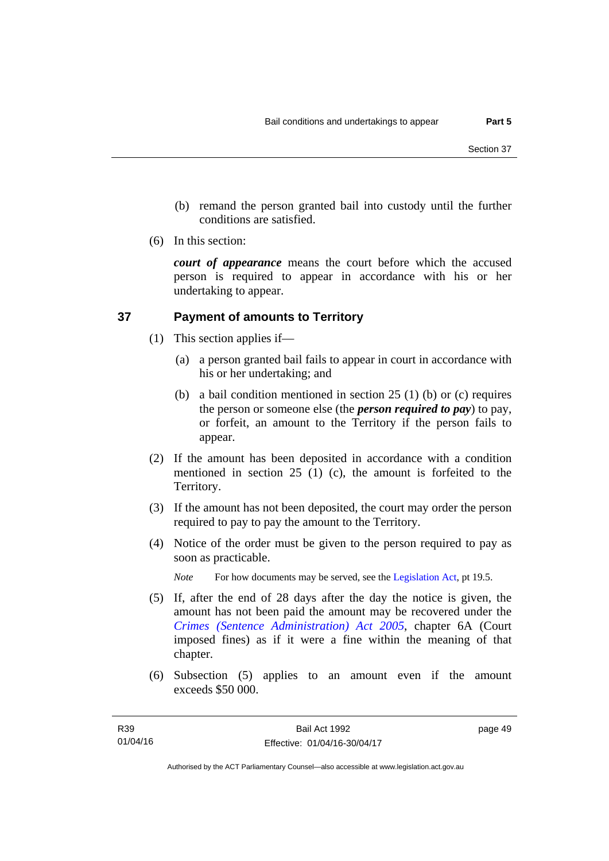- (b) remand the person granted bail into custody until the further conditions are satisfied.
- (6) In this section:

*court of appearance* means the court before which the accused person is required to appear in accordance with his or her undertaking to appear.

### **37 Payment of amounts to Territory**

- (1) This section applies if—
	- (a) a person granted bail fails to appear in court in accordance with his or her undertaking; and
	- (b) a bail condition mentioned in section 25 (1) (b) or (c) requires the person or someone else (the *person required to pay*) to pay, or forfeit, an amount to the Territory if the person fails to appear.
- (2) If the amount has been deposited in accordance with a condition mentioned in section 25 (1) (c), the amount is forfeited to the Territory.
- (3) If the amount has not been deposited, the court may order the person required to pay to pay the amount to the Territory.
- (4) Notice of the order must be given to the person required to pay as soon as practicable.

*Note* For how documents may be served, see the [Legislation Act,](http://www.legislation.act.gov.au/a/2001-14) pt 19.5.

- (5) If, after the end of 28 days after the day the notice is given, the amount has not been paid the amount may be recovered under the *[Crimes \(Sentence Administration\) Act 2005](http://www.legislation.act.gov.au/a/2005-59)*, chapter 6A (Court imposed fines) as if it were a fine within the meaning of that chapter.
- (6) Subsection (5) applies to an amount even if the amount exceeds \$50 000.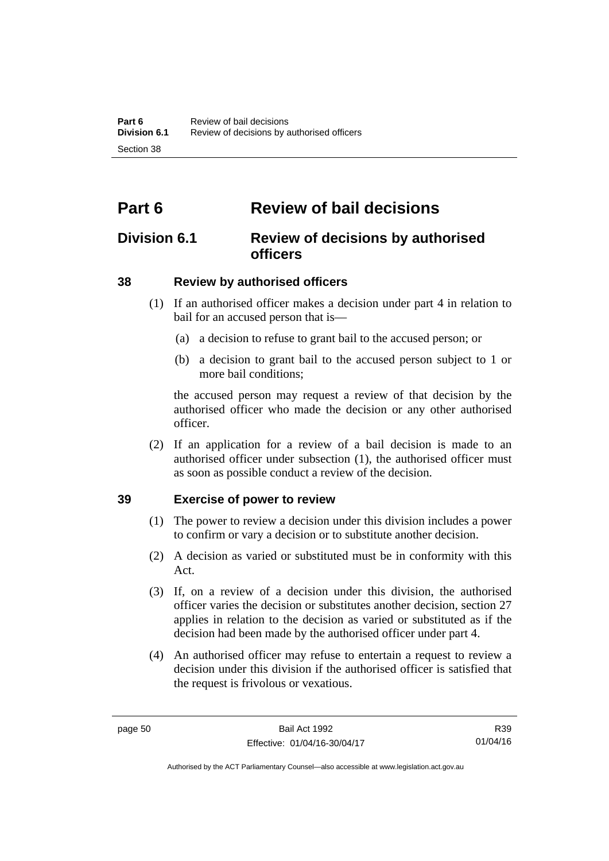# **Part 6 Review of bail decisions**

## **Division 6.1 Review of decisions by authorised officers**

### **38 Review by authorised officers**

- (1) If an authorised officer makes a decision under part 4 in relation to bail for an accused person that is—
	- (a) a decision to refuse to grant bail to the accused person; or
	- (b) a decision to grant bail to the accused person subject to 1 or more bail conditions;

the accused person may request a review of that decision by the authorised officer who made the decision or any other authorised officer.

 (2) If an application for a review of a bail decision is made to an authorised officer under subsection (1), the authorised officer must as soon as possible conduct a review of the decision.

#### **39 Exercise of power to review**

- (1) The power to review a decision under this division includes a power to confirm or vary a decision or to substitute another decision.
- (2) A decision as varied or substituted must be in conformity with this Act.
- (3) If, on a review of a decision under this division, the authorised officer varies the decision or substitutes another decision, section 27 applies in relation to the decision as varied or substituted as if the decision had been made by the authorised officer under part 4.
- (4) An authorised officer may refuse to entertain a request to review a decision under this division if the authorised officer is satisfied that the request is frivolous or vexatious.

R39 01/04/16

Authorised by the ACT Parliamentary Counsel—also accessible at www.legislation.act.gov.au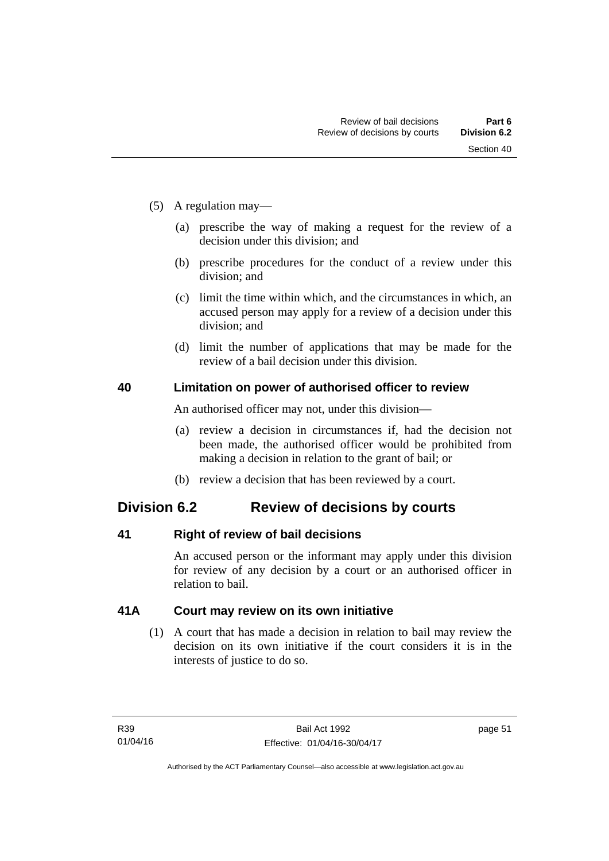- (5) A regulation may—
	- (a) prescribe the way of making a request for the review of a decision under this division; and
	- (b) prescribe procedures for the conduct of a review under this division; and
	- (c) limit the time within which, and the circumstances in which, an accused person may apply for a review of a decision under this division; and
	- (d) limit the number of applications that may be made for the review of a bail decision under this division.

#### **40 Limitation on power of authorised officer to review**

An authorised officer may not, under this division—

- (a) review a decision in circumstances if, had the decision not been made, the authorised officer would be prohibited from making a decision in relation to the grant of bail; or
- (b) review a decision that has been reviewed by a court.

## **Division 6.2 Review of decisions by courts**

#### **41 Right of review of bail decisions**

An accused person or the informant may apply under this division for review of any decision by a court or an authorised officer in relation to bail.

#### **41A Court may review on its own initiative**

 (1) A court that has made a decision in relation to bail may review the decision on its own initiative if the court considers it is in the interests of justice to do so.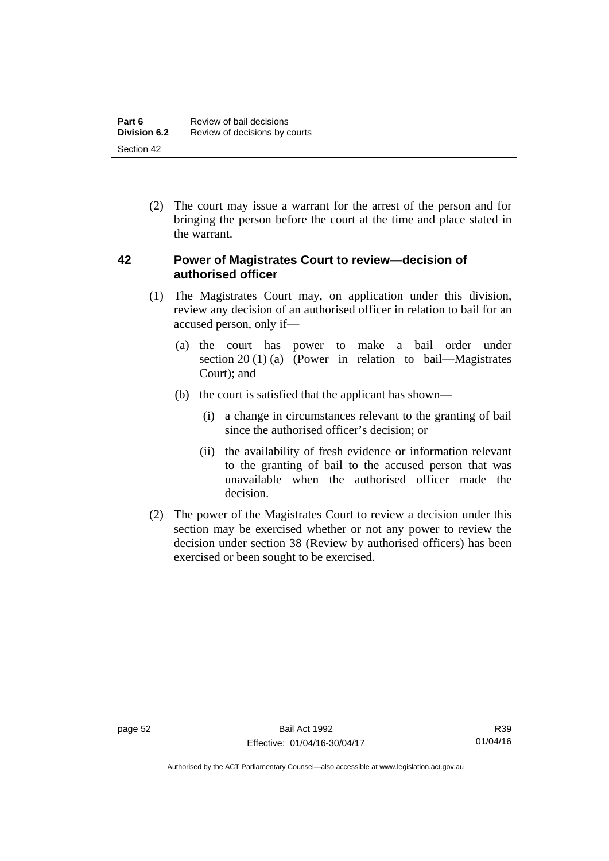(2) The court may issue a warrant for the arrest of the person and for bringing the person before the court at the time and place stated in the warrant.

#### **42 Power of Magistrates Court to review—decision of authorised officer**

- (1) The Magistrates Court may, on application under this division, review any decision of an authorised officer in relation to bail for an accused person, only if—
	- (a) the court has power to make a bail order under section 20 (1) (a) (Power in relation to bail—Magistrates Court); and
	- (b) the court is satisfied that the applicant has shown—
		- (i) a change in circumstances relevant to the granting of bail since the authorised officer's decision; or
		- (ii) the availability of fresh evidence or information relevant to the granting of bail to the accused person that was unavailable when the authorised officer made the decision.
- (2) The power of the Magistrates Court to review a decision under this section may be exercised whether or not any power to review the decision under section 38 (Review by authorised officers) has been exercised or been sought to be exercised.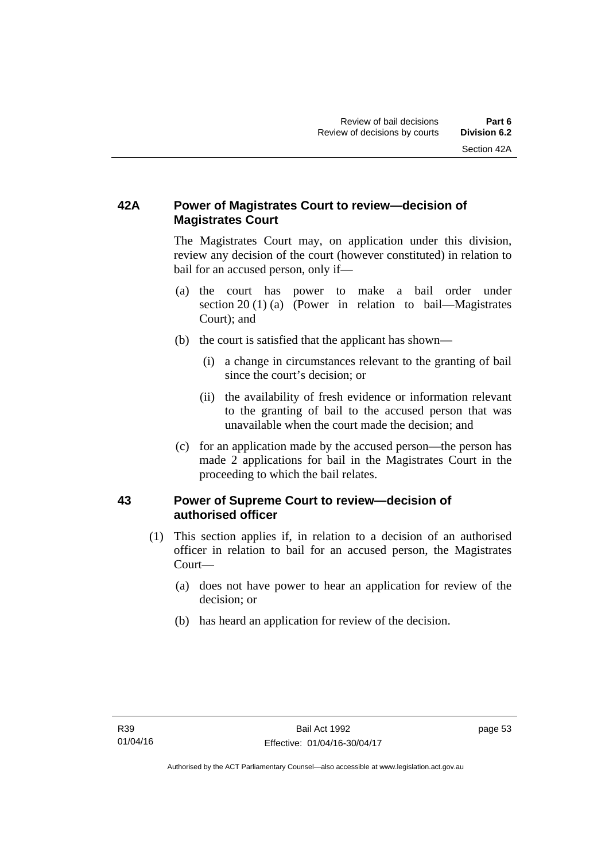## **42A Power of Magistrates Court to review—decision of Magistrates Court**

 The Magistrates Court may, on application under this division, review any decision of the court (however constituted) in relation to bail for an accused person, only if—

- (a) the court has power to make a bail order under section 20 (1) (a) (Power in relation to bail—Magistrates Court); and
- (b) the court is satisfied that the applicant has shown—
	- (i) a change in circumstances relevant to the granting of bail since the court's decision; or
	- (ii) the availability of fresh evidence or information relevant to the granting of bail to the accused person that was unavailable when the court made the decision; and
- (c) for an application made by the accused person—the person has made 2 applications for bail in the Magistrates Court in the proceeding to which the bail relates.

#### **43 Power of Supreme Court to review—decision of authorised officer**

- (1) This section applies if, in relation to a decision of an authorised officer in relation to bail for an accused person, the Magistrates Court—
	- (a) does not have power to hear an application for review of the decision; or
	- (b) has heard an application for review of the decision.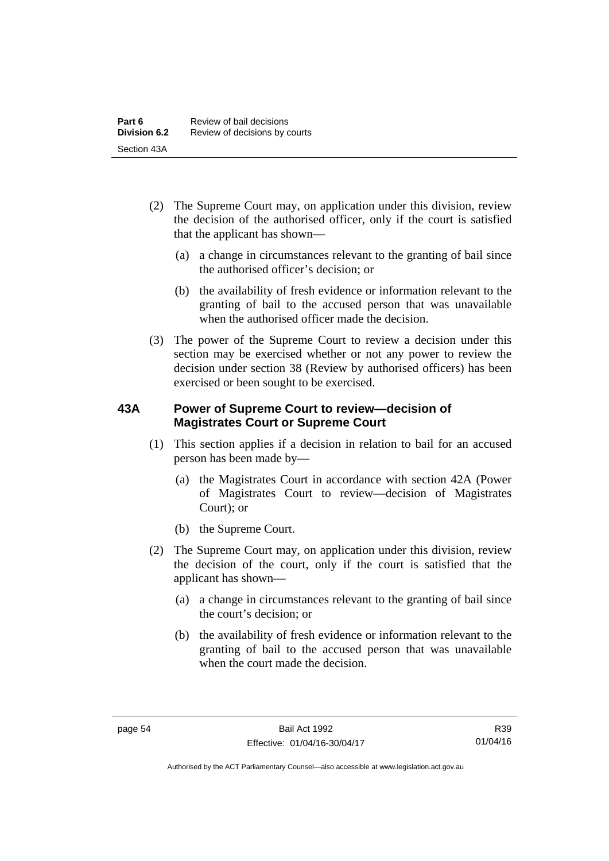- (2) The Supreme Court may, on application under this division, review the decision of the authorised officer, only if the court is satisfied that the applicant has shown—
	- (a) a change in circumstances relevant to the granting of bail since the authorised officer's decision; or
	- (b) the availability of fresh evidence or information relevant to the granting of bail to the accused person that was unavailable when the authorised officer made the decision.
- (3) The power of the Supreme Court to review a decision under this section may be exercised whether or not any power to review the decision under section 38 (Review by authorised officers) has been exercised or been sought to be exercised.

#### **43A Power of Supreme Court to review—decision of Magistrates Court or Supreme Court**

- (1) This section applies if a decision in relation to bail for an accused person has been made by—
	- (a) the Magistrates Court in accordance with section 42A (Power of Magistrates Court to review—decision of Magistrates Court); or
	- (b) the Supreme Court.
- (2) The Supreme Court may, on application under this division, review the decision of the court, only if the court is satisfied that the applicant has shown—
	- (a) a change in circumstances relevant to the granting of bail since the court's decision; or
	- (b) the availability of fresh evidence or information relevant to the granting of bail to the accused person that was unavailable when the court made the decision.

Authorised by the ACT Parliamentary Counsel—also accessible at www.legislation.act.gov.au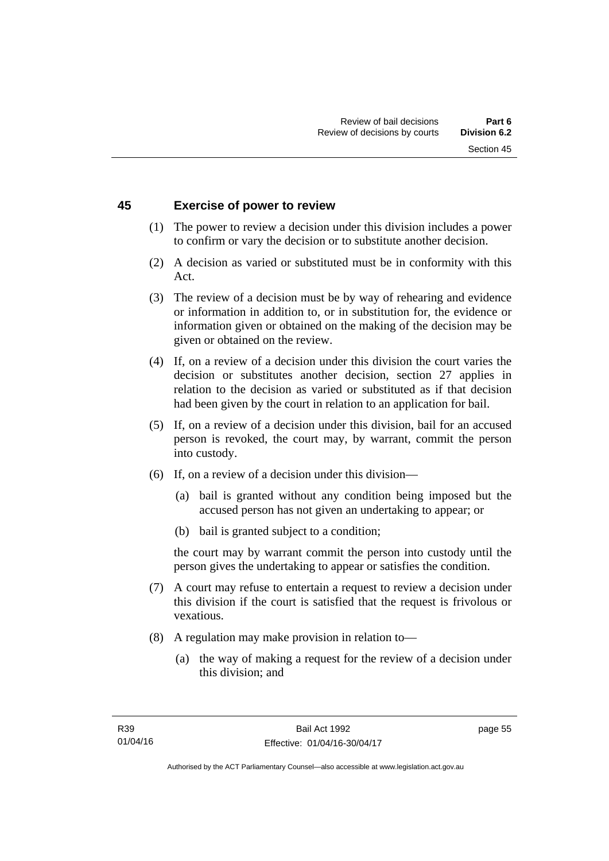#### **45 Exercise of power to review**

- (1) The power to review a decision under this division includes a power to confirm or vary the decision or to substitute another decision.
- (2) A decision as varied or substituted must be in conformity with this Act.
- (3) The review of a decision must be by way of rehearing and evidence or information in addition to, or in substitution for, the evidence or information given or obtained on the making of the decision may be given or obtained on the review.
- (4) If, on a review of a decision under this division the court varies the decision or substitutes another decision, section 27 applies in relation to the decision as varied or substituted as if that decision had been given by the court in relation to an application for bail.
- (5) If, on a review of a decision under this division, bail for an accused person is revoked, the court may, by warrant, commit the person into custody.
- (6) If, on a review of a decision under this division—
	- (a) bail is granted without any condition being imposed but the accused person has not given an undertaking to appear; or
	- (b) bail is granted subject to a condition;

the court may by warrant commit the person into custody until the person gives the undertaking to appear or satisfies the condition.

- (7) A court may refuse to entertain a request to review a decision under this division if the court is satisfied that the request is frivolous or vexatious.
- (8) A regulation may make provision in relation to—
	- (a) the way of making a request for the review of a decision under this division; and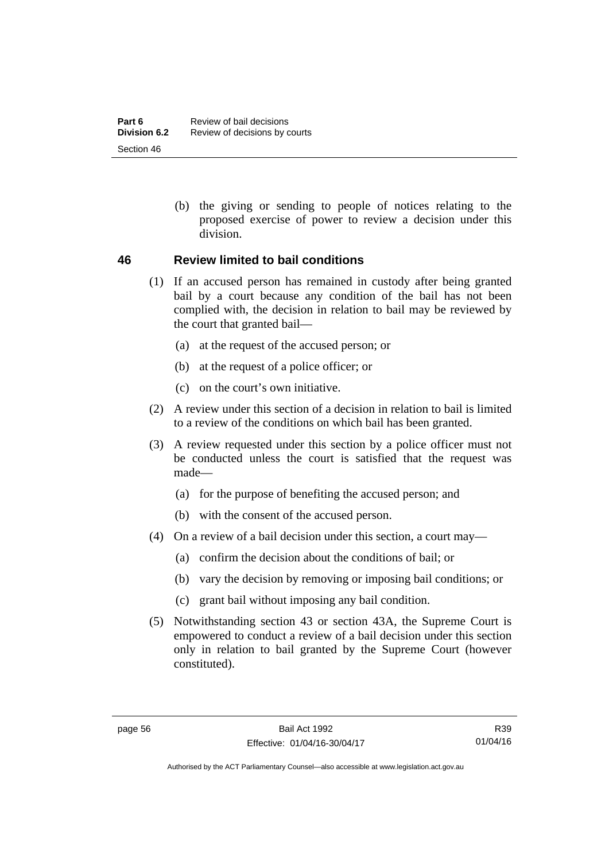(b) the giving or sending to people of notices relating to the proposed exercise of power to review a decision under this division.

#### **46 Review limited to bail conditions**

- (1) If an accused person has remained in custody after being granted bail by a court because any condition of the bail has not been complied with, the decision in relation to bail may be reviewed by the court that granted bail—
	- (a) at the request of the accused person; or
	- (b) at the request of a police officer; or
	- (c) on the court's own initiative.
- (2) A review under this section of a decision in relation to bail is limited to a review of the conditions on which bail has been granted.
- (3) A review requested under this section by a police officer must not be conducted unless the court is satisfied that the request was made—
	- (a) for the purpose of benefiting the accused person; and
	- (b) with the consent of the accused person.
- (4) On a review of a bail decision under this section, a court may—
	- (a) confirm the decision about the conditions of bail; or
	- (b) vary the decision by removing or imposing bail conditions; or
	- (c) grant bail without imposing any bail condition.
- (5) Notwithstanding section 43 or section 43A, the Supreme Court is empowered to conduct a review of a bail decision under this section only in relation to bail granted by the Supreme Court (however constituted).

Authorised by the ACT Parliamentary Counsel—also accessible at www.legislation.act.gov.au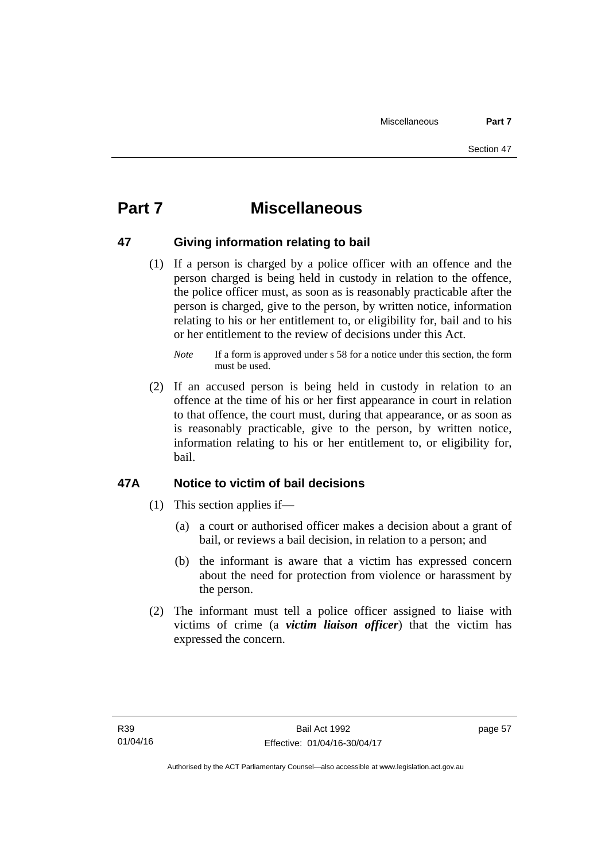# **Part 7 Miscellaneous**

#### **47 Giving information relating to bail**

 (1) If a person is charged by a police officer with an offence and the person charged is being held in custody in relation to the offence, the police officer must, as soon as is reasonably practicable after the person is charged, give to the person, by written notice, information relating to his or her entitlement to, or eligibility for, bail and to his or her entitlement to the review of decisions under this Act.

 (2) If an accused person is being held in custody in relation to an offence at the time of his or her first appearance in court in relation to that offence, the court must, during that appearance, or as soon as is reasonably practicable, give to the person, by written notice, information relating to his or her entitlement to, or eligibility for, bail.

#### **47A Notice to victim of bail decisions**

- (1) This section applies if—
	- (a) a court or authorised officer makes a decision about a grant of bail, or reviews a bail decision, in relation to a person; and
	- (b) the informant is aware that a victim has expressed concern about the need for protection from violence or harassment by the person.
- (2) The informant must tell a police officer assigned to liaise with victims of crime (a *victim liaison officer*) that the victim has expressed the concern.

*Note* If a form is approved under s 58 for a notice under this section, the form must be used.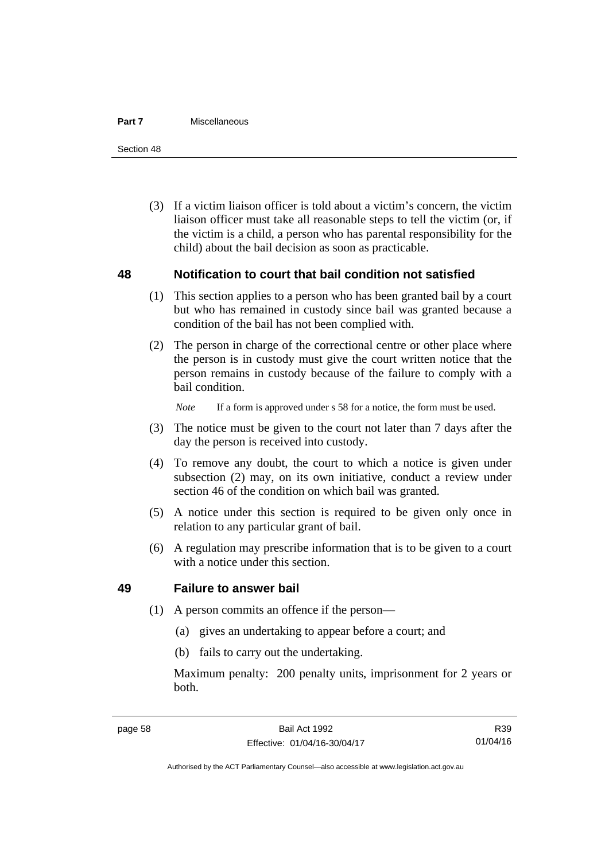#### **Part 7** Miscellaneous

Section 48

 (3) If a victim liaison officer is told about a victim's concern, the victim liaison officer must take all reasonable steps to tell the victim (or, if the victim is a child, a person who has parental responsibility for the child) about the bail decision as soon as practicable.

#### **48 Notification to court that bail condition not satisfied**

- (1) This section applies to a person who has been granted bail by a court but who has remained in custody since bail was granted because a condition of the bail has not been complied with.
- (2) The person in charge of the correctional centre or other place where the person is in custody must give the court written notice that the person remains in custody because of the failure to comply with a bail condition.

*Note* If a form is approved under s 58 for a notice, the form must be used.

- (3) The notice must be given to the court not later than 7 days after the day the person is received into custody.
- (4) To remove any doubt, the court to which a notice is given under subsection (2) may, on its own initiative, conduct a review under section 46 of the condition on which bail was granted.
- (5) A notice under this section is required to be given only once in relation to any particular grant of bail.
- (6) A regulation may prescribe information that is to be given to a court with a notice under this section.

#### **49 Failure to answer bail**

- (1) A person commits an offence if the person—
	- (a) gives an undertaking to appear before a court; and
	- (b) fails to carry out the undertaking.

Maximum penalty: 200 penalty units, imprisonment for 2 years or both.

Authorised by the ACT Parliamentary Counsel—also accessible at www.legislation.act.gov.au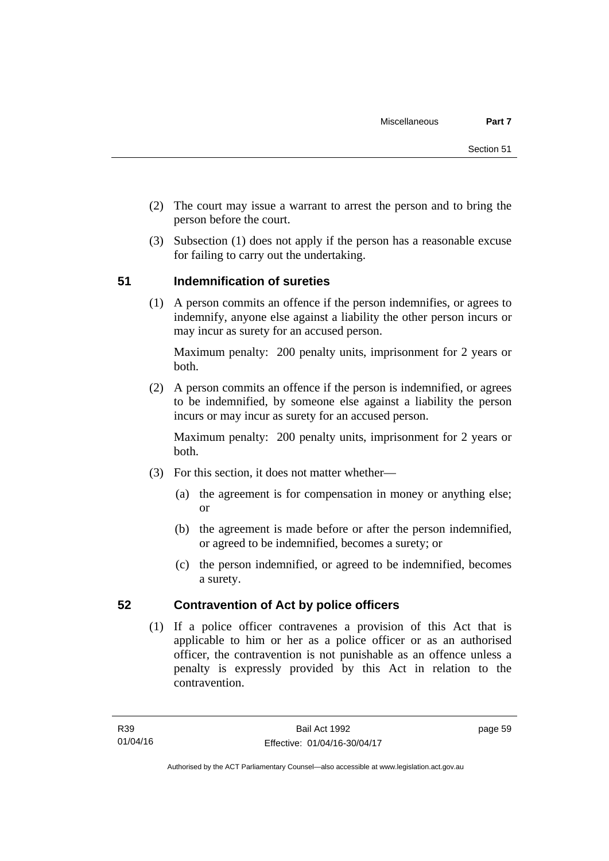- (2) The court may issue a warrant to arrest the person and to bring the person before the court.
- (3) Subsection (1) does not apply if the person has a reasonable excuse for failing to carry out the undertaking.

### **51 Indemnification of sureties**

(1) A person commits an offence if the person indemnifies, or agrees to indemnify, anyone else against a liability the other person incurs or may incur as surety for an accused person.

Maximum penalty: 200 penalty units, imprisonment for 2 years or both.

 (2) A person commits an offence if the person is indemnified, or agrees to be indemnified, by someone else against a liability the person incurs or may incur as surety for an accused person.

Maximum penalty: 200 penalty units, imprisonment for 2 years or both.

- (3) For this section, it does not matter whether—
	- (a) the agreement is for compensation in money or anything else; or
	- (b) the agreement is made before or after the person indemnified, or agreed to be indemnified, becomes a surety; or
	- (c) the person indemnified, or agreed to be indemnified, becomes a surety.

#### **52 Contravention of Act by police officers**

(1) If a police officer contravenes a provision of this Act that is applicable to him or her as a police officer or as an authorised officer, the contravention is not punishable as an offence unless a penalty is expressly provided by this Act in relation to the contravention.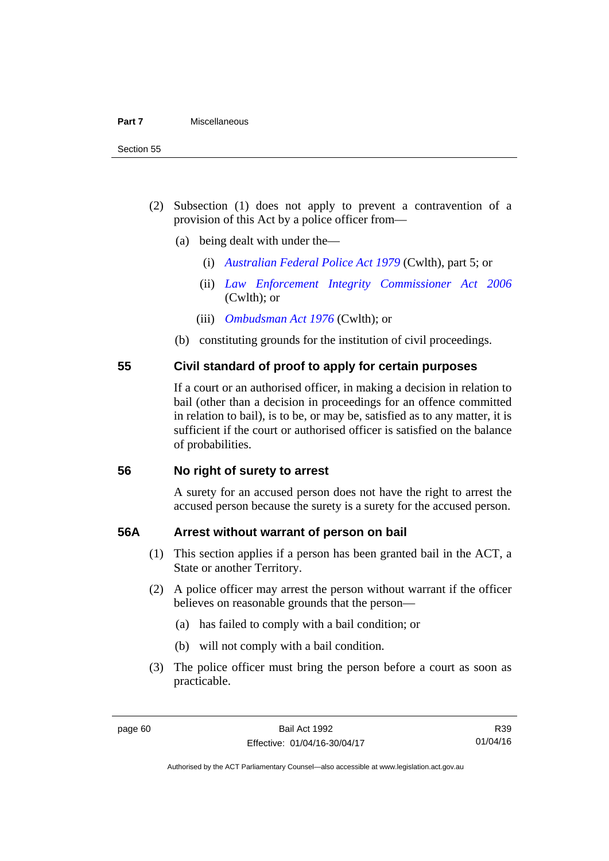- (2) Subsection (1) does not apply to prevent a contravention of a provision of this Act by a police officer from—
	- (a) being dealt with under the—
		- (i) *[Australian Federal Police Act 1979](http://www.comlaw.gov.au/Series/C2004A02068)* (Cwlth), part 5; or
		- (ii) *[Law Enforcement Integrity Commissioner Act 2006](http://www.comlaw.gov.au/Series/C2006A00085)* (Cwlth); or
		- (iii) *[Ombudsman Act 1976](http://www.comlaw.gov.au/Series/C2004A01611)* (Cwlth); or
	- (b) constituting grounds for the institution of civil proceedings.

#### **55 Civil standard of proof to apply for certain purposes**

If a court or an authorised officer, in making a decision in relation to bail (other than a decision in proceedings for an offence committed in relation to bail), is to be, or may be, satisfied as to any matter, it is sufficient if the court or authorised officer is satisfied on the balance of probabilities.

#### **56 No right of surety to arrest**

A surety for an accused person does not have the right to arrest the accused person because the surety is a surety for the accused person.

#### **56A Arrest without warrant of person on bail**

- (1) This section applies if a person has been granted bail in the ACT, a State or another Territory.
- (2) A police officer may arrest the person without warrant if the officer believes on reasonable grounds that the person—
	- (a) has failed to comply with a bail condition; or
	- (b) will not comply with a bail condition.
- (3) The police officer must bring the person before a court as soon as practicable.

R39 01/04/16

Authorised by the ACT Parliamentary Counsel—also accessible at www.legislation.act.gov.au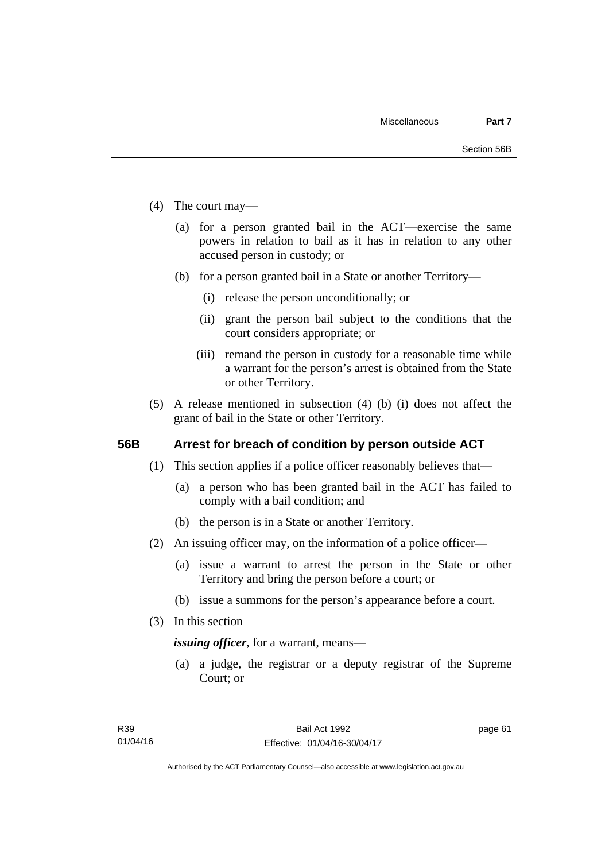- (4) The court may—
	- (a) for a person granted bail in the ACT—exercise the same powers in relation to bail as it has in relation to any other accused person in custody; or
	- (b) for a person granted bail in a State or another Territory—
		- (i) release the person unconditionally; or
		- (ii) grant the person bail subject to the conditions that the court considers appropriate; or
		- (iii) remand the person in custody for a reasonable time while a warrant for the person's arrest is obtained from the State or other Territory.
- (5) A release mentioned in subsection (4) (b) (i) does not affect the grant of bail in the State or other Territory.

#### **56B Arrest for breach of condition by person outside ACT**

- (1) This section applies if a police officer reasonably believes that—
	- (a) a person who has been granted bail in the ACT has failed to comply with a bail condition; and
	- (b) the person is in a State or another Territory.
- (2) An issuing officer may, on the information of a police officer—
	- (a) issue a warrant to arrest the person in the State or other Territory and bring the person before a court; or
	- (b) issue a summons for the person's appearance before a court.
- (3) In this section

*issuing officer*, for a warrant, means—

 (a) a judge, the registrar or a deputy registrar of the Supreme Court; or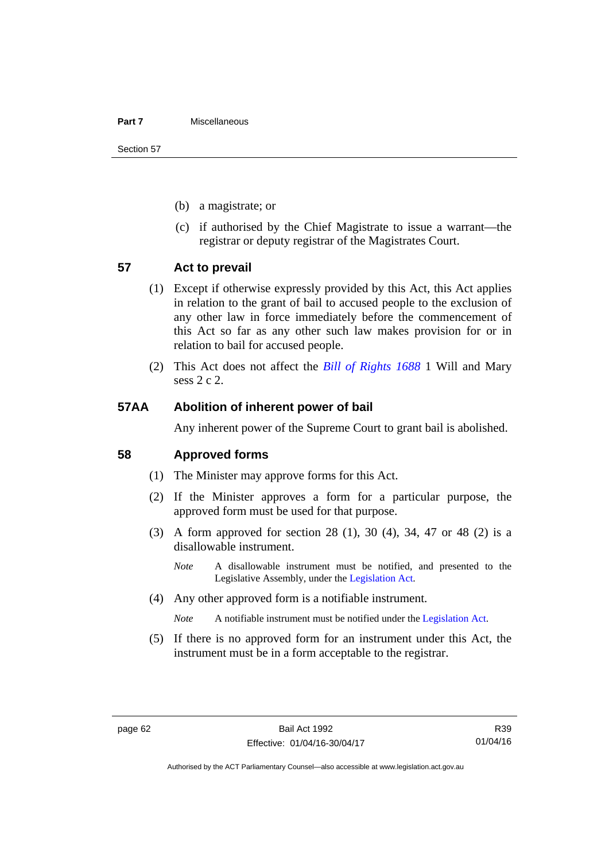#### **Part 7** Miscellaneous

Section 57

- (b) a magistrate; or
- (c) if authorised by the Chief Magistrate to issue a warrant—the registrar or deputy registrar of the Magistrates Court.

#### **57 Act to prevail**

- (1) Except if otherwise expressly provided by this Act, this Act applies in relation to the grant of bail to accused people to the exclusion of any other law in force immediately before the commencement of this Act so far as any other such law makes provision for or in relation to bail for accused people.
- (2) This Act does not affect the *[Bill of Rights 1688](http://www.legislation.act.gov.au/a/db_1792/default.asp)* 1 Will and Mary sess 2 c 2.

#### **57AA Abolition of inherent power of bail**

Any inherent power of the Supreme Court to grant bail is abolished.

#### **58 Approved forms**

- (1) The Minister may approve forms for this Act.
- (2) If the Minister approves a form for a particular purpose, the approved form must be used for that purpose.
- (3) A form approved for section 28 (1), 30 (4), 34, 47 or 48 (2) is a disallowable instrument.
	- *Note* A disallowable instrument must be notified, and presented to the Legislative Assembly, under the [Legislation Act.](http://www.legislation.act.gov.au/a/2001-14)
- (4) Any other approved form is a notifiable instrument.

*Note* A notifiable instrument must be notified under the [Legislation Act](http://www.legislation.act.gov.au/a/2001-14).

 (5) If there is no approved form for an instrument under this Act, the instrument must be in a form acceptable to the registrar.

R39 01/04/16

Authorised by the ACT Parliamentary Counsel—also accessible at www.legislation.act.gov.au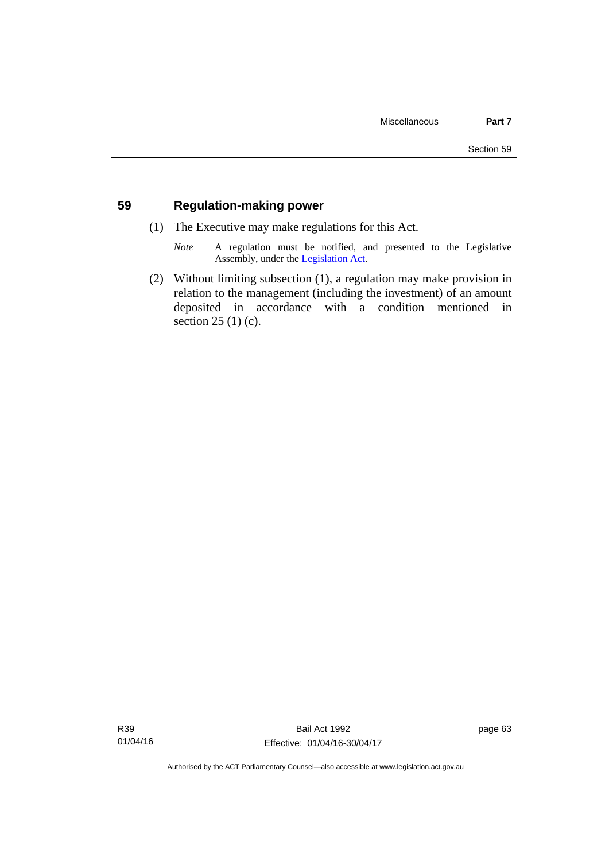#### **59 Regulation-making power**

- (1) The Executive may make regulations for this Act.
	- *Note* A regulation must be notified, and presented to the Legislative Assembly, under the [Legislation Act](http://www.legislation.act.gov.au/a/2001-14).
- (2) Without limiting subsection (1), a regulation may make provision in relation to the management (including the investment) of an amount deposited in accordance with a condition mentioned in section 25 (1) (c).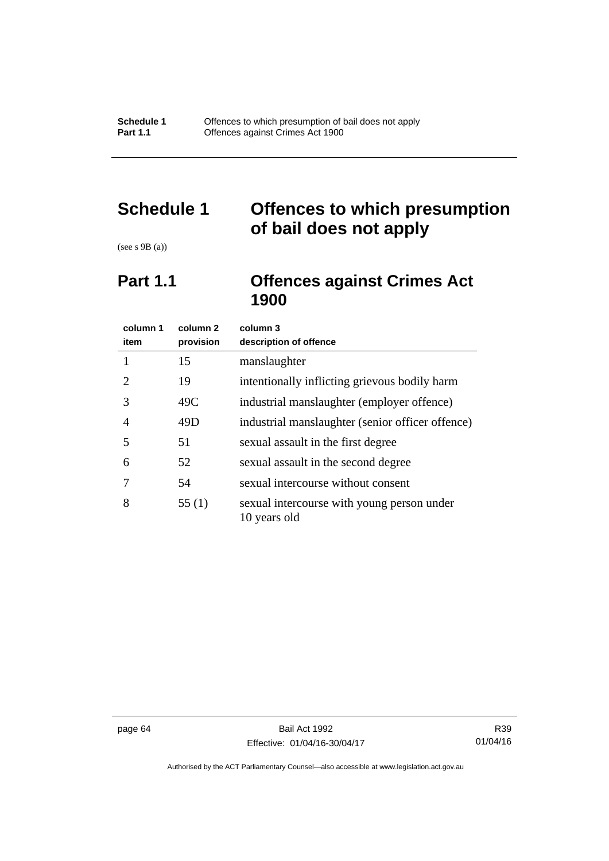# **Schedule 1 Offences to which presumption of bail does not apply**

(see s 9B (a))

## **Part 1.1 Offences against Crimes Act 1900**

| column 1<br>item      | column <sub>2</sub><br>provision | column 3<br>description of offence                         |
|-----------------------|----------------------------------|------------------------------------------------------------|
|                       | 15                               | manslaughter                                               |
| $\mathcal{D}_{\cdot}$ | 19                               | intentionally inflicting grievous bodily harm              |
| 3                     | 49C                              | industrial manslaughter (employer offence)                 |
| 4                     | 49D                              | industrial manslaughter (senior officer offence)           |
| 5                     | 51                               | sexual assault in the first degree                         |
| 6                     | 52                               | sexual assault in the second degree                        |
|                       | 54                               | sexual intercourse without consent                         |
| 8                     | 55(1)                            | sexual intercourse with young person under<br>10 years old |

page 64 Bail Act 1992 Effective: 01/04/16-30/04/17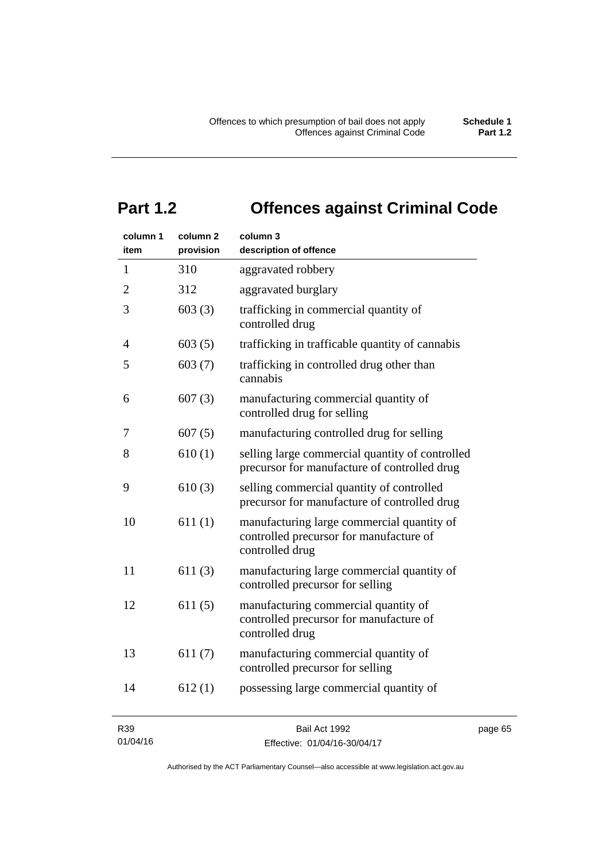# **Part 1.2 Offences against Criminal Code**

| column 1<br>item | column 2<br>provision | column 3<br>description of offence                                                                       |
|------------------|-----------------------|----------------------------------------------------------------------------------------------------------|
| 1                | 310                   | aggravated robbery                                                                                       |
| $\overline{2}$   | 312                   | aggravated burglary                                                                                      |
| 3                | 603(3)                | trafficking in commercial quantity of<br>controlled drug                                                 |
| 4                | 603(5)                | trafficking in trafficable quantity of cannabis                                                          |
| 5                | 603(7)                | trafficking in controlled drug other than<br>cannabis                                                    |
| 6                | 607(3)                | manufacturing commercial quantity of<br>controlled drug for selling                                      |
| 7                | 607(5)                | manufacturing controlled drug for selling                                                                |
| 8                | 610(1)                | selling large commercial quantity of controlled<br>precursor for manufacture of controlled drug          |
| 9                | 610(3)                | selling commercial quantity of controlled<br>precursor for manufacture of controlled drug                |
| 10               | 611(1)                | manufacturing large commercial quantity of<br>controlled precursor for manufacture of<br>controlled drug |
| 11               | 611(3)                | manufacturing large commercial quantity of<br>controlled precursor for selling                           |
| 12               | 611(5)                | manufacturing commercial quantity of<br>controlled precursor for manufacture of<br>controlled drug       |
| 13               | 611(7)                | manufacturing commercial quantity of<br>controlled precursor for selling                                 |
| 14               | 612(1)                | possessing large commercial quantity of                                                                  |
|                  |                       |                                                                                                          |

R39 01/04/16 page 65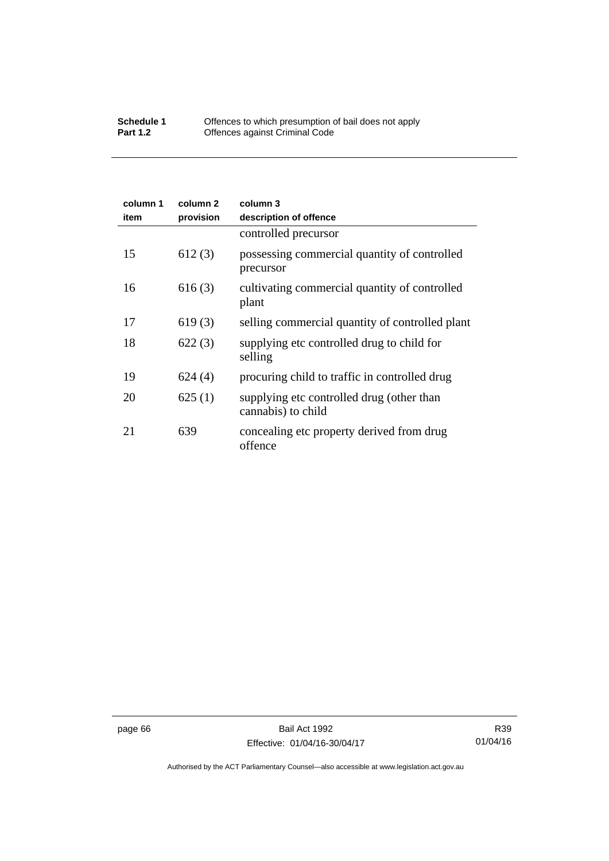#### **Schedule 1** Offences to which presumption of bail does not apply **Part 1.2 C** Offences against Criminal Code

| column 1<br>item | column 2<br>provision | column 3<br>description of offence                              |
|------------------|-----------------------|-----------------------------------------------------------------|
|                  |                       | controlled precursor                                            |
| 15               | 612(3)                | possessing commercial quantity of controlled<br>precursor       |
| 16               | 616(3)                | cultivating commercial quantity of controlled<br>plant          |
| 17               | 619(3)                | selling commercial quantity of controlled plant                 |
| 18               | 622(3)                | supplying etc controlled drug to child for<br>selling           |
| 19               | 624(4)                | procuring child to traffic in controlled drug                   |
| 20               | 625(1)                | supplying etc controlled drug (other than<br>cannabis) to child |
| 21               | 639                   | concealing etc property derived from drug<br>offence            |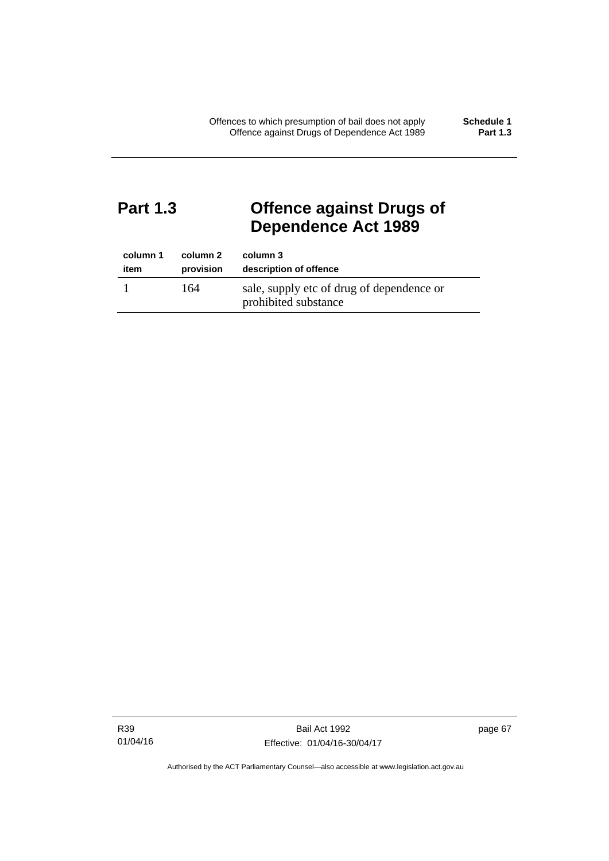# **Part 1.3 Offence against Drugs of Dependence Act 1989**

| column 1 | column 2  | column 3                                                          |
|----------|-----------|-------------------------------------------------------------------|
| item     | provision | description of offence                                            |
|          | 164       | sale, supply etc of drug of dependence or<br>prohibited substance |

R39 01/04/16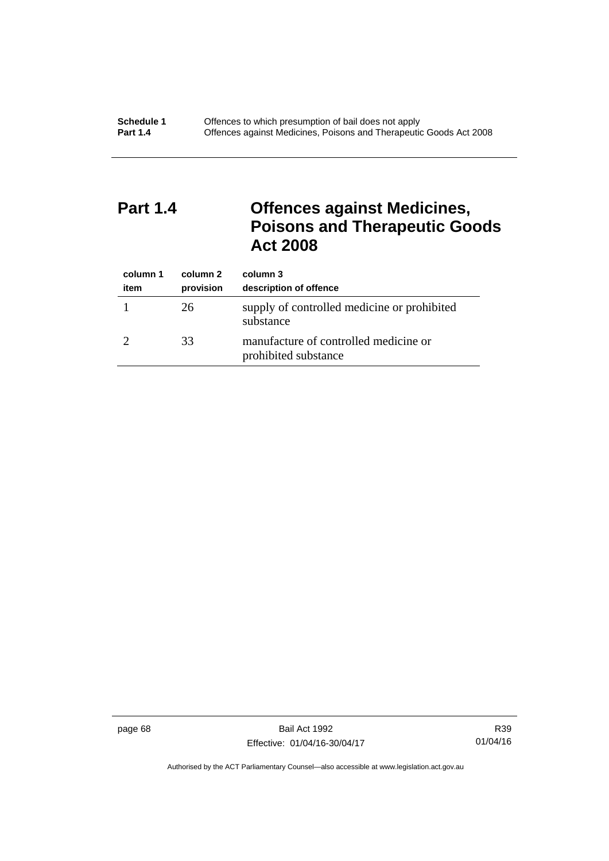# **Part 1.4 Offences against Medicines, Poisons and Therapeutic Goods Act 2008**

| column 1<br>item | column 2<br>provision | column 3<br>description of offence                            |
|------------------|-----------------------|---------------------------------------------------------------|
|                  | 26                    | supply of controlled medicine or prohibited<br>substance      |
|                  | 33                    | manufacture of controlled medicine or<br>prohibited substance |

page 68 Bail Act 1992 Effective: 01/04/16-30/04/17

R39 01/04/16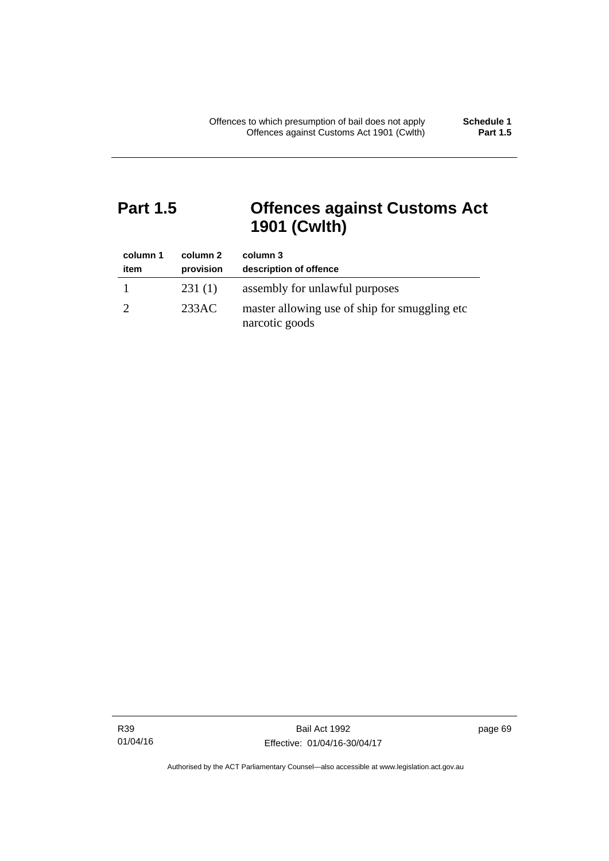# **Part 1.5 Offences against Customs Act 1901 (Cwlth)**

| column 1<br>item | column 2<br>provision | column 3<br>description of offence                               |
|------------------|-----------------------|------------------------------------------------------------------|
|                  | 231(1)                | assembly for unlawful purposes                                   |
|                  | 233AC                 | master allowing use of ship for smuggling etc.<br>narcotic goods |

R39 01/04/16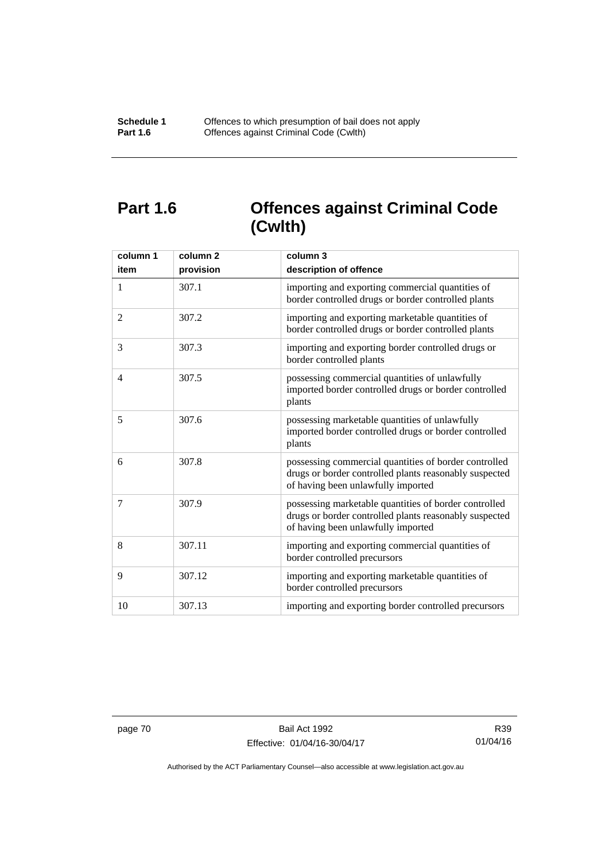# **Part 1.6 Offences against Criminal Code (Cwlth)**

| column 1<br>item | column <sub>2</sub><br>provision | column 3<br>description of offence                                                                                                                    |
|------------------|----------------------------------|-------------------------------------------------------------------------------------------------------------------------------------------------------|
| 1                | 307.1                            | importing and exporting commercial quantities of<br>border controlled drugs or border controlled plants                                               |
| 2                | 307.2                            | importing and exporting marketable quantities of<br>border controlled drugs or border controlled plants                                               |
| 3                | 307.3                            | importing and exporting border controlled drugs or<br>border controlled plants                                                                        |
| $\overline{4}$   | 307.5                            | possessing commercial quantities of unlawfully<br>imported border controlled drugs or border controlled<br>plants                                     |
| 5                | 307.6                            | possessing marketable quantities of unlawfully<br>imported border controlled drugs or border controlled<br>plants                                     |
| 6                | 307.8                            | possessing commercial quantities of border controlled<br>drugs or border controlled plants reasonably suspected<br>of having been unlawfully imported |
| 7                | 307.9                            | possessing marketable quantities of border controlled<br>drugs or border controlled plants reasonably suspected<br>of having been unlawfully imported |
| 8                | 307.11                           | importing and exporting commercial quantities of<br>border controlled precursors                                                                      |
| 9                | 307.12                           | importing and exporting marketable quantities of<br>border controlled precursors                                                                      |
| 10               | 307.13                           | importing and exporting border controlled precursors                                                                                                  |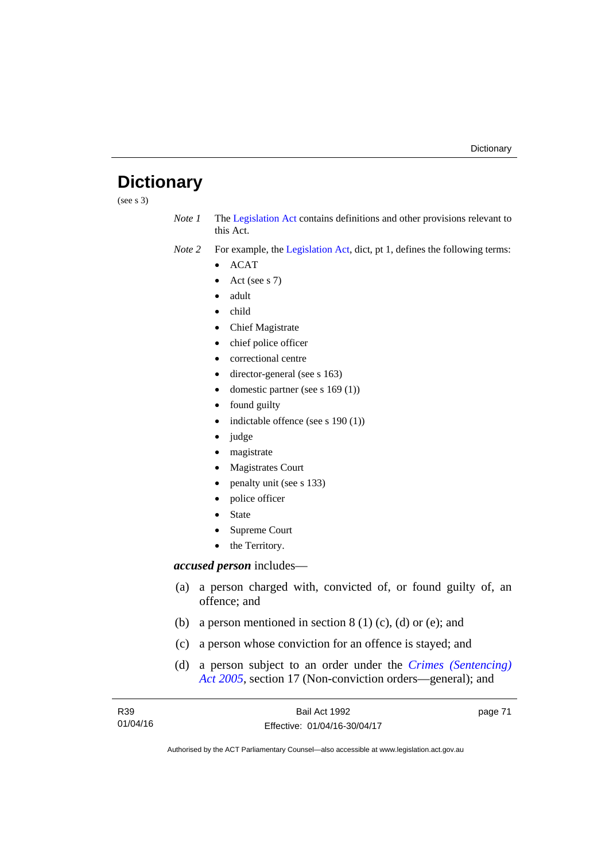# **Dictionary**

(see s 3)

*Note 1* The [Legislation Act](http://www.legislation.act.gov.au/a/2001-14) contains definitions and other provisions relevant to this Act.

*Note 2* For example, the [Legislation Act,](http://www.legislation.act.gov.au/a/2001-14) dict, pt 1, defines the following terms:

- $\bullet$  ACAT
- Act (see s 7)
- adult
- child
- Chief Magistrate
- chief police officer
- correctional centre
- director-general (see s 163)
- domestic partner (see s 169 (1))
- found guilty
- indictable offence (see s 190 (1))
- judge
- magistrate
- Magistrates Court
- penalty unit (see s 133)
- police officer
- State
- Supreme Court
- the Territory.

# *accused person* includes—

- (a) a person charged with, convicted of, or found guilty of, an offence; and
- (b) a person mentioned in section  $8(1)(c)$ , (d) or (e); and
- (c) a person whose conviction for an offence is stayed; and
- (d) a person subject to an order under the *[Crimes \(Sentencing\)](http://www.legislation.act.gov.au/a/2005-58)  [Act 2005](http://www.legislation.act.gov.au/a/2005-58)*, section 17 (Non-conviction orders—general); and

| R39      | Bail Act 1992                | page 71 |
|----------|------------------------------|---------|
| 01/04/16 | Effective: 01/04/16-30/04/17 |         |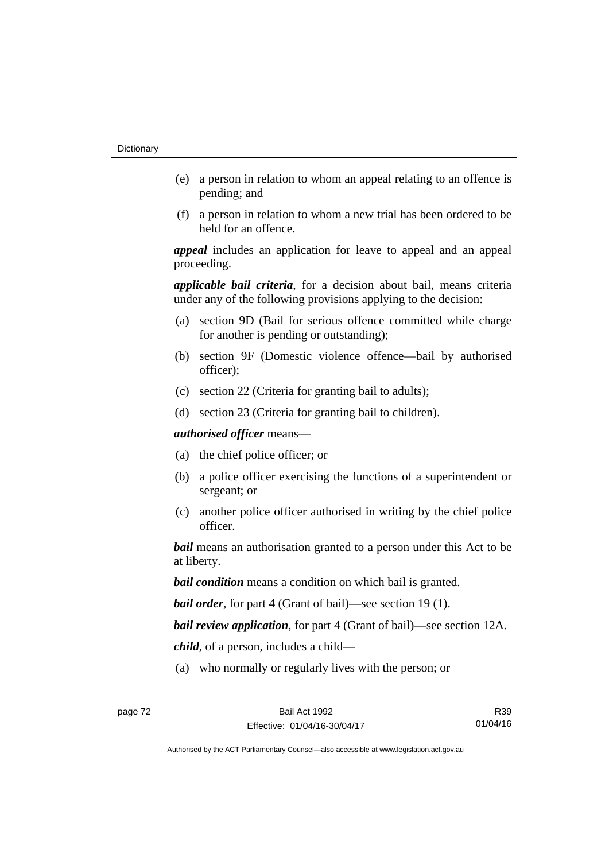- (e) a person in relation to whom an appeal relating to an offence is pending; and
- (f) a person in relation to whom a new trial has been ordered to be held for an offence.

*appeal* includes an application for leave to appeal and an appeal proceeding.

*applicable bail criteria*, for a decision about bail, means criteria under any of the following provisions applying to the decision:

- (a) section 9D (Bail for serious offence committed while charge for another is pending or outstanding);
- (b) section 9F (Domestic violence offence—bail by authorised officer);
- (c) section 22 (Criteria for granting bail to adults);
- (d) section 23 (Criteria for granting bail to children).

*authorised officer* means—

- (a) the chief police officer; or
- (b) a police officer exercising the functions of a superintendent or sergeant; or
- (c) another police officer authorised in writing by the chief police officer.

*bail* means an authorisation granted to a person under this Act to be at liberty.

*bail condition* means a condition on which bail is granted.

*bail order*, for part 4 (Grant of bail)—see section 19 (1).

*bail review application*, for part 4 (Grant of bail)—see section 12A.

*child*, of a person, includes a child—

(a) who normally or regularly lives with the person; or

R39 01/04/16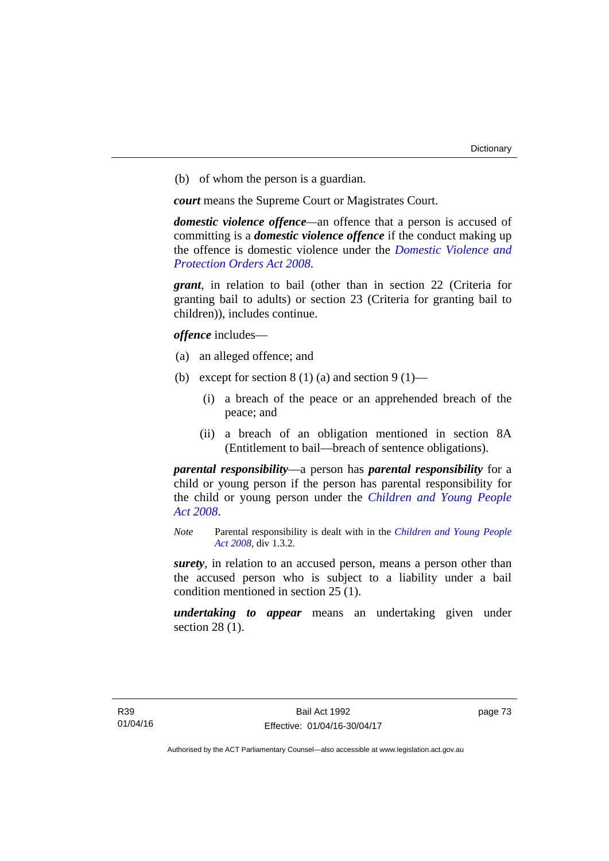(b) of whom the person is a guardian.

*court* means the Supreme Court or Magistrates Court.

*domestic violence offence—*an offence that a person is accused of committing is a *domestic violence offence* if the conduct making up the offence is domestic violence under the *[Domestic Violence and](http://www.legislation.act.gov.au/a/2008-46)  [Protection Orders Act 2008](http://www.legislation.act.gov.au/a/2008-46)*.

*grant*, in relation to bail (other than in section 22 (Criteria for granting bail to adults) or section 23 (Criteria for granting bail to children)), includes continue.

*offence* includes—

- (a) an alleged offence; and
- (b) except for section  $8(1)(a)$  and section  $9(1)$ 
	- (i) a breach of the peace or an apprehended breach of the peace; and
	- (ii) a breach of an obligation mentioned in section 8A (Entitlement to bail—breach of sentence obligations).

*parental responsibility*—a person has *parental responsibility* for a child or young person if the person has parental responsibility for the child or young person under the *[Children and Young People](http://www.legislation.act.gov.au/a/2008-19)  [Act 2008](http://www.legislation.act.gov.au/a/2008-19)*.

*Note* Parental responsibility is dealt with in the *[Children and Young People](http://www.legislation.act.gov.au/a/2008-19)  [Act 2008](http://www.legislation.act.gov.au/a/2008-19)*, div 1.3.2.

*surety*, in relation to an accused person, means a person other than the accused person who is subject to a liability under a bail condition mentioned in section 25 (1).

*undertaking to appear* means an undertaking given under section 28 (1).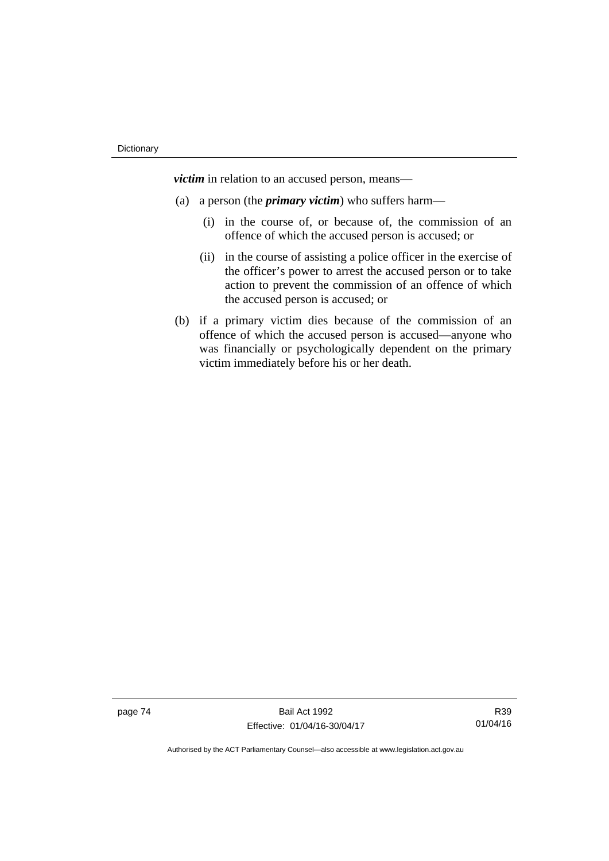*victim* in relation to an accused person, means—

- (a) a person (the *primary victim*) who suffers harm—
	- (i) in the course of, or because of, the commission of an offence of which the accused person is accused; or
	- (ii) in the course of assisting a police officer in the exercise of the officer's power to arrest the accused person or to take action to prevent the commission of an offence of which the accused person is accused; or
- (b) if a primary victim dies because of the commission of an offence of which the accused person is accused—anyone who was financially or psychologically dependent on the primary victim immediately before his or her death.

page 74 Bail Act 1992 Effective: 01/04/16-30/04/17

R39 01/04/16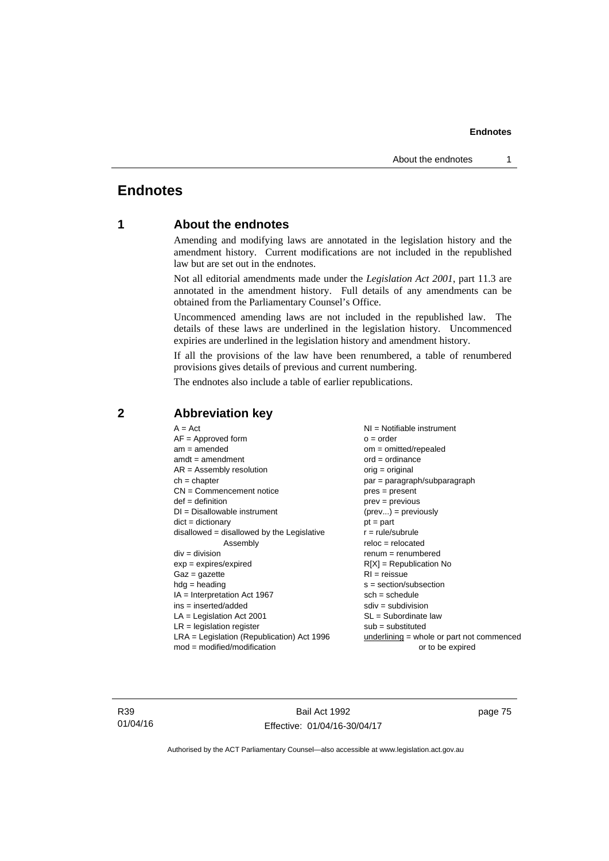# **Endnotes**

# **1 About the endnotes**

Amending and modifying laws are annotated in the legislation history and the amendment history. Current modifications are not included in the republished law but are set out in the endnotes.

Not all editorial amendments made under the *Legislation Act 2001*, part 11.3 are annotated in the amendment history. Full details of any amendments can be obtained from the Parliamentary Counsel's Office.

Uncommenced amending laws are not included in the republished law. The details of these laws are underlined in the legislation history. Uncommenced expiries are underlined in the legislation history and amendment history.

If all the provisions of the law have been renumbered, a table of renumbered provisions gives details of previous and current numbering.

The endnotes also include a table of earlier republications.

| $A = Act$                                    | $NI = Notifiable$ instrument                |
|----------------------------------------------|---------------------------------------------|
| $AF =$ Approved form                         | $o = order$                                 |
| $am = amended$                               | $om = omitted/repealed$                     |
| $amdt = amendment$                           | $ord = ordinance$                           |
| $AR = Assembly resolution$                   | $orig = original$                           |
| $ch = chapter$                               | par = paragraph/subparagraph                |
| $CN =$ Commencement notice                   | $pres = present$                            |
| $def = definition$                           | $prev = previous$                           |
| $DI = Disallowable instrument$               | $(\text{prev}) = \text{previously}$         |
| $dict = dictionary$                          | $pt = part$                                 |
| $disallowed = disallowed by the Legislative$ | $r = rule/subrule$                          |
| Assembly                                     | $reloc = relocated$                         |
| $div =$ division                             | $renum = renumbered$                        |
| $exp = expires/expired$                      | $R[X]$ = Republication No                   |
| $Gaz = gazette$                              | $RI = reissue$                              |
| $hdg = heading$                              | $s = section/subsection$                    |
| $IA = Interpretation Act 1967$               | $sch = schedule$                            |
| ins = inserted/added                         | $sdiv = subdivision$                        |
| $LA =$ Legislation Act 2001                  | $SL = Subordinate$ law                      |
| $LR =$ legislation register                  | $sub =$ substituted                         |
| $LRA =$ Legislation (Republication) Act 1996 | $underlining = whole or part not commenced$ |
| $mod = modified/modification$                | or to be expired                            |
|                                              |                                             |

# **2 Abbreviation key**

R39 01/04/16

Bail Act 1992 Effective: 01/04/16-30/04/17 page 75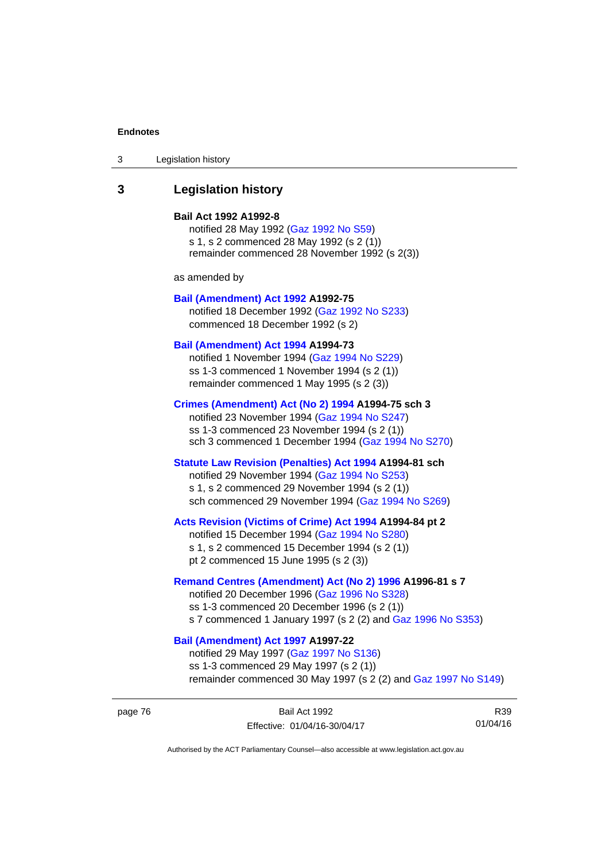| Legislation history<br>3 |  |
|--------------------------|--|
|--------------------------|--|

# **3 Legislation history**

#### **Bail Act 1992 A1992-8**

notified 28 May 1992 ([Gaz 1992 No S59](http://www.legislation.act.gov.au/gaz/1992-S59/default.asp)) s 1, s 2 commenced 28 May 1992 (s 2 (1)) remainder commenced 28 November 1992 (s 2(3))

as amended by

#### **[Bail \(Amendment\) Act 1992](http://www.legislation.act.gov.au/a/1992-75) A1992-75**

notified 18 December 1992 [\(Gaz 1992 No S233](http://www.legislation.act.gov.au/gaz/1992-S233/default.asp)) commenced 18 December 1992 (s 2)

#### **[Bail \(Amendment\) Act 1994](http://www.legislation.act.gov.au/a/1994-73) A1994-73**

notified 1 November 1994 ([Gaz 1994 No S229\)](http://www.legislation.act.gov.au/gaz/1994-S229/default.asp) ss 1-3 commenced 1 November 1994 (s 2 (1)) remainder commenced 1 May 1995 (s 2 (3))

#### **[Crimes \(Amendment\) Act \(No 2\) 1994](http://www.legislation.act.gov.au/a/1994-75) A1994-75 sch 3**

notified 23 November 1994 [\(Gaz 1994 No S247](http://www.legislation.act.gov.au/gaz/1994-S247/default.asp)) ss 1-3 commenced 23 November 1994 (s 2 (1)) sch 3 commenced 1 December 1994 ([Gaz 1994 No S270\)](http://www.legislation.act.gov.au/gaz/1994-S270/default.asp)

# **[Statute Law Revision \(Penalties\) Act 1994](http://www.legislation.act.gov.au/a/1994-81) A1994-81 sch**

notified 29 November 1994 [\(Gaz 1994 No S253](http://www.legislation.act.gov.au/gaz/1994-S253/default.asp)) s 1, s 2 commenced 29 November 1994 (s 2 (1)) sch commenced 29 November 1994 ([Gaz 1994 No S269\)](http://www.legislation.act.gov.au/gaz/1994-S269/default.asp)

#### **[Acts Revision \(Victims of Crime\) Act 1994](http://www.legislation.act.gov.au/a/1994-84) A1994-84 pt 2**

notified 15 December 1994 [\(Gaz 1994 No S280](http://www.legislation.act.gov.au/gaz/1994-S280/default.asp)) s 1, s 2 commenced 15 December 1994 (s 2 (1)) pt 2 commenced 15 June 1995 (s 2 (3))

#### **[Remand Centres \(Amendment\) Act \(No 2\) 1996](http://www.legislation.act.gov.au/a/1996-81) A1996-81 s 7**

notified 20 December 1996 [\(Gaz 1996 No S328](http://www.legislation.act.gov.au/gaz/1996-S328/default.asp)) ss 1-3 commenced 20 December 1996 (s 2 (1)) s 7 commenced 1 January 1997 (s 2 (2) and [Gaz 1996 No S353](http://www.legislation.act.gov.au/gaz/1996-S353/default.asp))

# **[Bail \(Amendment\) Act 1997](http://www.legislation.act.gov.au/a/1997-22) A1997-22**

notified 29 May 1997 ([Gaz 1997 No S136](http://www.legislation.act.gov.au/gaz/1997-S136/default.asp)) ss 1-3 commenced 29 May 1997 (s 2 (1)) remainder commenced 30 May 1997 (s 2 (2) and [Gaz 1997 No S149\)](http://www.legislation.act.gov.au/gaz/1997-S149/default.asp)

page 76 Bail Act 1992 Effective: 01/04/16-30/04/17

R39 01/04/16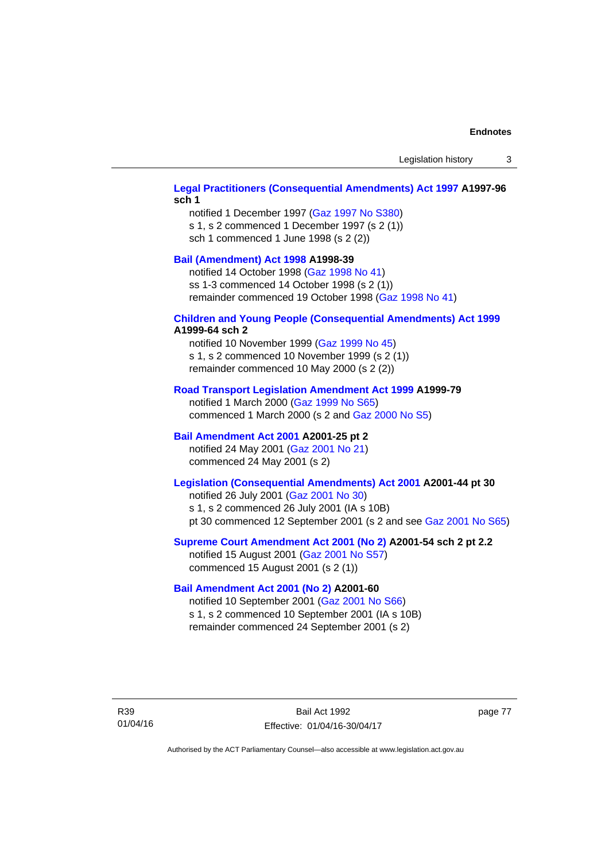# **[Legal Practitioners \(Consequential Amendments\) Act 1997](http://www.legislation.act.gov.au/a/1997-96) A1997-96 sch 1**

notified 1 December 1997 ([Gaz 1997 No S380\)](http://www.legislation.act.gov.au/gaz/1997-S380/default.asp) s 1, s 2 commenced 1 December 1997 (s 2 (1)) sch 1 commenced 1 June 1998 (s 2 (2))

# **[Bail \(Amendment\) Act 1998](http://www.legislation.act.gov.au/a/1998-39) A1998-39**

notified 14 October 1998 ([Gaz 1998 No 41](http://www.legislation.act.gov.au/gaz/1998-41/default.asp)) ss 1-3 commenced 14 October 1998 (s 2 (1)) remainder commenced 19 October 1998 ([Gaz 1998 No 41\)](http://www.legislation.act.gov.au/gaz/1998-41/default.asp)

#### **[Children and Young People \(Consequential Amendments\) Act 1999](http://www.legislation.act.gov.au/a/1999-64) A1999-64 sch 2**

notified 10 November 1999 [\(Gaz 1999 No 45](http://www.legislation.act.gov.au/gaz/1999-45/default.asp)) s 1, s 2 commenced 10 November 1999 (s 2 (1)) remainder commenced 10 May 2000 (s 2 (2))

#### **[Road Transport Legislation Amendment Act 1999](http://www.legislation.act.gov.au/a/1999-79) A1999-79**

notified 1 March 2000 [\(Gaz 1999 No S65\)](http://www.legislation.act.gov.au/gaz/1999-S65/default.asp) commenced 1 March 2000 (s 2 and [Gaz 2000 No S5](http://www.legislation.act.gov.au/gaz/2000-S5/default.asp))

## **[Bail Amendment Act 2001](http://www.legislation.act.gov.au/a/2001-25) A2001-25 pt 2**

notified 24 May 2001 ([Gaz 2001 No 21\)](http://www.legislation.act.gov.au/gaz/2001-21/default.asp) commenced 24 May 2001 (s 2)

# **[Legislation \(Consequential Amendments\) Act 2001](http://www.legislation.act.gov.au/a/2001-44) A2001-44 pt 30**

notified 26 July 2001 ([Gaz 2001 No 30\)](http://www.legislation.act.gov.au/gaz/2001-30/default.asp) s 1, s 2 commenced 26 July 2001 (IA s 10B) pt 30 commenced 12 September 2001 (s 2 and see [Gaz 2001 No S65](http://www.legislation.act.gov.au/gaz/2001-S65/default.asp))

#### **[Supreme Court Amendment Act 2001 \(No 2\)](http://www.legislation.act.gov.au/a/2001-54) A2001-54 sch 2 pt 2.2**

notified 15 August 2001 [\(Gaz 2001 No S57\)](http://www.legislation.act.gov.au/gaz/2001-S57/default.asp) commenced 15 August 2001 (s 2 (1))

#### **[Bail Amendment Act 2001 \(No 2\)](http://www.legislation.act.gov.au/a/2001-60) A2001-60**

notified 10 September 2001 [\(Gaz 2001 No S66\)](http://www.legislation.act.gov.au/gaz/2001-S66/default.asp) s 1, s 2 commenced 10 September 2001 (IA s 10B) remainder commenced 24 September 2001 (s 2)

R39 01/04/16

Bail Act 1992 Effective: 01/04/16-30/04/17 page 77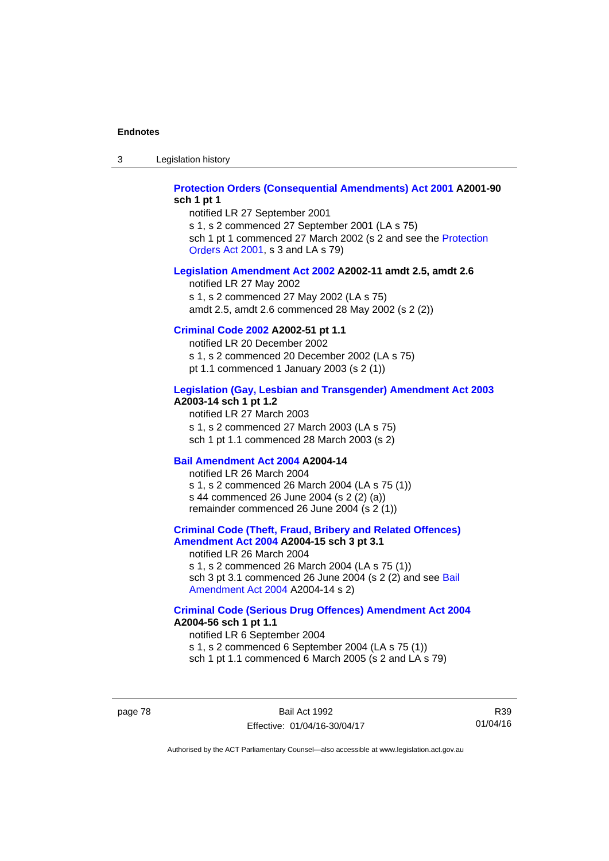3 Legislation history

## **[Protection Orders \(Consequential Amendments\) Act 2001](http://www.legislation.act.gov.au/a/2001-90) A2001-90 sch 1 pt 1**

notified LR 27 September 2001 s 1, s 2 commenced 27 September 2001 (LA s 75)

sch 1 pt 1 commenced 27 March 2002 (s 2 and see the [Protection](http://www.legislation.act.gov.au/a/2001-89)  [Orders Act 2001,](http://www.legislation.act.gov.au/a/2001-89) s 3 and LA s 79)

#### **[Legislation Amendment Act 2002](http://www.legislation.act.gov.au/a/2002-11) A2002-11 amdt 2.5, amdt 2.6**

notified LR 27 May 2002 s 1, s 2 commenced 27 May 2002 (LA s 75) amdt 2.5, amdt 2.6 commenced 28 May 2002 (s 2 (2))

# **[Criminal Code 2002](http://www.legislation.act.gov.au/a/2002-51) A2002-51 pt 1.1**

notified LR 20 December 2002 s 1, s 2 commenced 20 December 2002 (LA s 75) pt 1.1 commenced 1 January 2003 (s 2 (1))

#### **[Legislation \(Gay, Lesbian and Transgender\) Amendment Act 2003](http://www.legislation.act.gov.au/a/2003-14) A2003-14 sch 1 pt 1.2**

notified LR 27 March 2003 s 1, s 2 commenced 27 March 2003 (LA s 75) sch 1 pt 1.1 commenced 28 March 2003 (s 2)

#### **[Bail Amendment Act 2004](http://www.legislation.act.gov.au/a/2004-14) A2004-14**

notified LR 26 March 2004 s 1, s 2 commenced 26 March 2004 (LA s 75 (1)) s 44 commenced 26 June 2004 (s 2 (2) (a)) remainder commenced 26 June 2004 (s 2 (1))

# **[Criminal Code \(Theft, Fraud, Bribery and Related Offences\)](http://www.legislation.act.gov.au/a/2004-15)  [Amendment Act 2004](http://www.legislation.act.gov.au/a/2004-15) A2004-15 sch 3 pt 3.1**

notified LR 26 March 2004 s 1, s 2 commenced 26 March 2004 (LA s 75 (1)) sch 3 pt 3.1 commenced 26 June 2004 (s 2 (2) and see Bail [Amendment Act 2004](http://www.legislation.act.gov.au/a/2004-14) A2004-14 s 2)

#### **[Criminal Code \(Serious Drug Offences\) Amendment Act 2004](http://www.legislation.act.gov.au/a/2004-56) A2004-56 sch 1 pt 1.1**

notified LR 6 September 2004 s 1, s 2 commenced 6 September 2004 (LA s 75 (1)) sch 1 pt 1.1 commenced 6 March 2005 (s 2 and LA s 79)

page 78 Bail Act 1992 Effective: 01/04/16-30/04/17

R39 01/04/16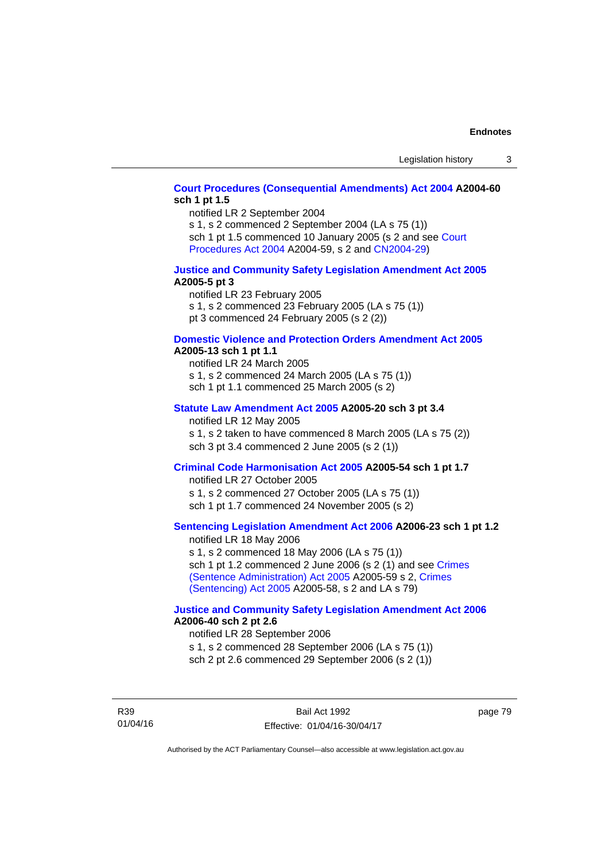# **[Court Procedures \(Consequential Amendments\) Act 2004](http://www.legislation.act.gov.au/a/2004-60) A2004-60 sch 1 pt 1.5**

notified LR 2 September 2004

s 1, s 2 commenced 2 September 2004 (LA s 75 (1)) sch 1 pt 1.5 commenced 10 January 2005 (s 2 and see [Court](http://www.legislation.act.gov.au/a/2004-59) 

[Procedures Act 2004](http://www.legislation.act.gov.au/a/2004-59) A2004-59, s 2 and [CN2004-29\)](http://www.legislation.act.gov.au/cn/2004-29/default.asp)

#### **[Justice and Community Safety Legislation Amendment Act 2005](http://www.legislation.act.gov.au/a/2005-5) A2005-5 pt 3**

notified LR 23 February 2005 s 1, s 2 commenced 23 February 2005 (LA s 75 (1)) pt 3 commenced 24 February 2005 (s 2 (2))

#### **[Domestic Violence and Protection Orders Amendment Act 2005](http://www.legislation.act.gov.au/a/2005-13) A2005-13 sch 1 pt 1.1**

notified LR 24 March 2005 s 1, s 2 commenced 24 March 2005 (LA s 75 (1)) sch 1 pt 1.1 commenced 25 March 2005 (s 2)

#### **[Statute Law Amendment Act 2005](http://www.legislation.act.gov.au/a/2005-20) A2005-20 sch 3 pt 3.4**

notified LR 12 May 2005 s 1, s 2 taken to have commenced 8 March 2005 (LA s 75 (2)) sch 3 pt 3.4 commenced 2 June 2005 (s 2 (1))

# **[Criminal Code Harmonisation Act 2005](http://www.legislation.act.gov.au/a/2005-54) A2005-54 sch 1 pt 1.7**

notified LR 27 October 2005 s 1, s 2 commenced 27 October 2005 (LA s 75 (1)) sch 1 pt 1.7 commenced 24 November 2005 (s 2)

# **[Sentencing Legislation Amendment Act 2006](http://www.legislation.act.gov.au/a/2006-23) A2006-23 sch 1 pt 1.2**

notified LR 18 May 2006 s 1, s 2 commenced 18 May 2006 (LA s 75 (1)) sch 1 pt 1.2 commenced 2 June 2006 (s 2 (1) and see [Crimes](http://www.legislation.act.gov.au/a/2005-59)  [\(Sentence Administration\) Act 2005](http://www.legislation.act.gov.au/a/2005-59) A2005-59 s 2, [Crimes](http://www.legislation.act.gov.au/a/2005-58)  [\(Sentencing\) Act 2005](http://www.legislation.act.gov.au/a/2005-58) A2005-58, s 2 and LA s 79)

#### **[Justice and Community Safety Legislation Amendment Act 2006](http://www.legislation.act.gov.au/a/2006-40) A2006-40 sch 2 pt 2.6**

notified LR 28 September 2006 s 1, s 2 commenced 28 September 2006 (LA s 75 (1)) sch 2 pt 2.6 commenced 29 September 2006 (s 2 (1))

R39 01/04/16 page 79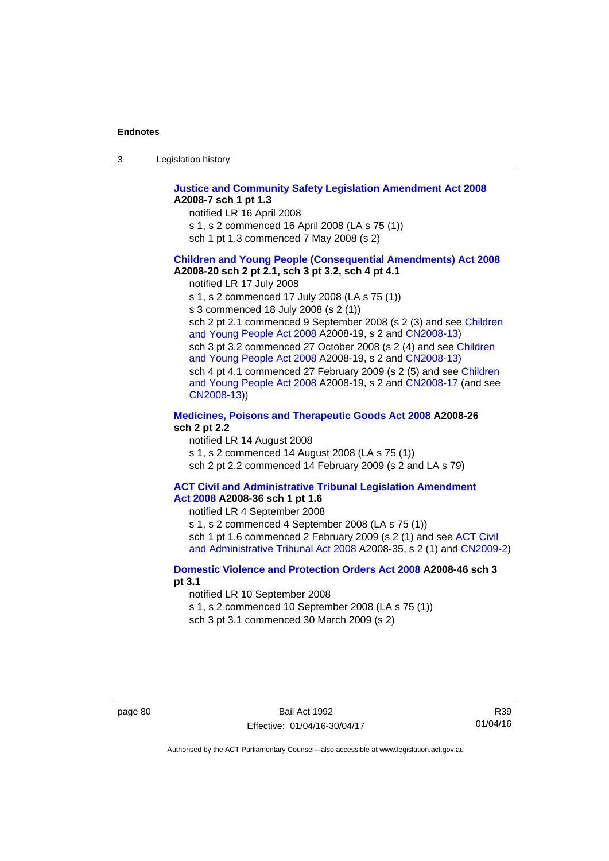| -3 | Legislation history |  |
|----|---------------------|--|
|----|---------------------|--|

#### **[Justice and Community Safety Legislation Amendment Act 2008](http://www.legislation.act.gov.au/a/2008-7) A2008-7 sch 1 pt 1.3**

notified LR 16 April 2008

- s 1, s 2 commenced 16 April 2008 (LA s 75 (1))
- sch 1 pt 1.3 commenced 7 May 2008 (s 2)

#### **[Children and Young People \(Consequential Amendments\) Act 2008](http://www.legislation.act.gov.au/a/2008-20) A2008-20 sch 2 pt 2.1, sch 3 pt 3.2, sch 4 pt 4.1**

notified LR 17 July 2008

s 1, s 2 commenced 17 July 2008 (LA s 75 (1))

s 3 commenced 18 July 2008 (s 2 (1))

sch 2 pt 2.1 commenced 9 September 2008 (s 2 (3) and see [Children](http://www.legislation.act.gov.au/a/2008-19)  [and Young People Act 2008](http://www.legislation.act.gov.au/a/2008-19) A2008-19, s 2 and [CN2008-13](http://www.legislation.act.gov.au/cn/2008-13/default.asp)) sch 3 pt 3.2 commenced 27 October 2008 (s 2 (4) and see [Children](http://www.legislation.act.gov.au/a/2008-19)  [and Young People Act 2008](http://www.legislation.act.gov.au/a/2008-19) A2008-19, s 2 and [CN2008-13](http://www.legislation.act.gov.au/cn/2008-13/default.asp)) sch 4 pt 4.1 commenced 27 February 2009 (s 2 (5) and see [Children](http://www.legislation.act.gov.au/a/2008-19)  [and Young People Act 2008](http://www.legislation.act.gov.au/a/2008-19) A2008-19, s 2 and [CN2008-17 \(](http://www.legislation.act.gov.au/cn/2008-17/default.asp)and see [CN2008-13](http://www.legislation.act.gov.au/cn/2008-13/default.asp)))

#### **[Medicines, Poisons and Therapeutic Goods Act 2008](http://www.legislation.act.gov.au/a/2008-26) A2008-26 sch 2 pt 2.2**

notified LR 14 August 2008 s 1, s 2 commenced 14 August 2008 (LA s 75 (1)) sch 2 pt 2.2 commenced 14 February 2009 (s 2 and LA s 79)

#### **[ACT Civil and Administrative Tribunal Legislation Amendment](http://www.legislation.act.gov.au/a/2008-36)  [Act 2008](http://www.legislation.act.gov.au/a/2008-36) A2008-36 sch 1 pt 1.6**

notified LR 4 September 2008

s 1, s 2 commenced 4 September 2008 (LA s 75 (1)) sch 1 pt 1.6 commenced 2 February 2009 (s 2 (1) and see ACT Civil [and Administrative Tribunal Act 2008](http://www.legislation.act.gov.au/a/2008-35) A2008-35, s 2 (1) and [CN2009-2](http://www.legislation.act.gov.au/cn/2009-2/default.asp))

### **[Domestic Violence and Protection Orders Act 2008](http://www.legislation.act.gov.au/a/2008-46) A2008-46 sch 3 pt 3.1**

notified LR 10 September 2008

s 1, s 2 commenced 10 September 2008 (LA s 75 (1))

sch 3 pt 3.1 commenced 30 March 2009 (s 2)

R39 01/04/16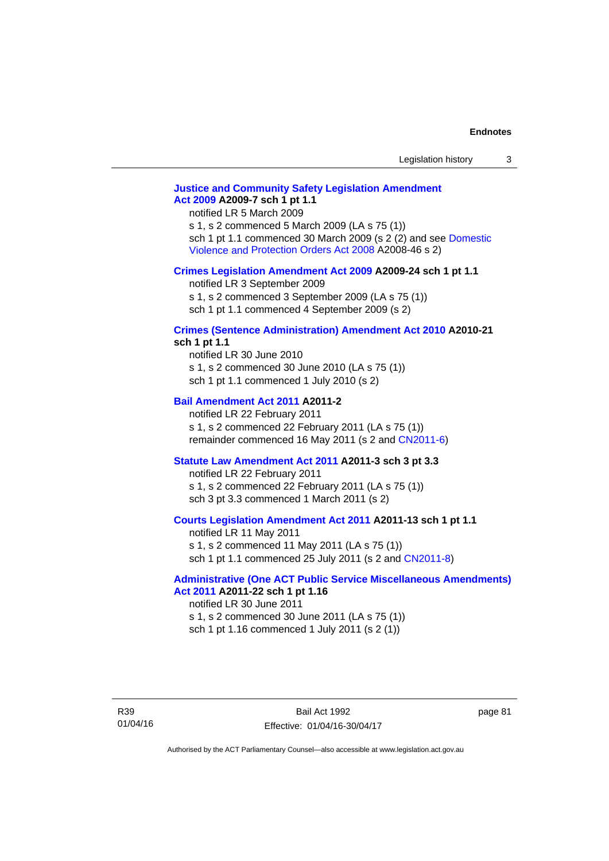# **[Justice and Community Safety Legislation Amendment](http://www.legislation.act.gov.au/a/2009-7)  [Act 2009](http://www.legislation.act.gov.au/a/2009-7) A2009-7 sch 1 pt 1.1**

notified LR 5 March 2009

s 1, s 2 commenced 5 March 2009 (LA s 75 (1)) sch 1 pt 1.1 commenced 30 March 2009 (s 2 (2) and see [Domestic](http://www.legislation.act.gov.au/a/2008-46)  [Violence and Protection Orders Act 2008](http://www.legislation.act.gov.au/a/2008-46) A2008-46 s 2)

#### **[Crimes Legislation Amendment Act 2009](http://www.legislation.act.gov.au/a/2009-24) A2009-24 sch 1 pt 1.1**

notified LR 3 September 2009 s 1, s 2 commenced 3 September 2009 (LA s 75 (1)) sch 1 pt 1.1 commenced 4 September 2009 (s 2)

# **[Crimes \(Sentence Administration\) Amendment Act 2010](http://www.legislation.act.gov.au/a/2010-21) A2010-21**

**sch 1 pt 1.1** 

notified LR 30 June 2010 s 1, s 2 commenced 30 June 2010 (LA s 75 (1)) sch 1 pt 1.1 commenced 1 July 2010 (s 2)

#### **[Bail Amendment Act 2011](http://www.legislation.act.gov.au/a/2011-2) A2011-2**

notified LR 22 February 2011 s 1, s 2 commenced 22 February 2011 (LA s 75 (1)) remainder commenced 16 May 2011 (s 2 and [CN2011-6](http://www.legislation.act.gov.au/cn/2011-6/default.asp))

#### **[Statute Law Amendment Act 2011](http://www.legislation.act.gov.au/a/2011-3) A2011-3 sch 3 pt 3.3**

notified LR 22 February 2011 s 1, s 2 commenced 22 February 2011 (LA s 75 (1)) sch 3 pt 3.3 commenced 1 March 2011 (s 2)

### **[Courts Legislation Amendment Act 2011](http://www.legislation.act.gov.au/a/2011-13) A2011-13 sch 1 pt 1.1**

notified LR 11 May 2011 s 1, s 2 commenced 11 May 2011 (LA s 75 (1)) sch 1 pt 1.1 commenced 25 July 2011 (s 2 and [CN2011-8\)](http://www.legislation.act.gov.au/cn/2011-8/default.asp)

#### **[Administrative \(One ACT Public Service Miscellaneous Amendments\)](http://www.legislation.act.gov.au/a/2011-22)  [Act 2011](http://www.legislation.act.gov.au/a/2011-22) A2011-22 sch 1 pt 1.16**

notified LR 30 June 2011 s 1, s 2 commenced 30 June 2011 (LA s 75 (1)) sch 1 pt 1.16 commenced 1 July 2011 (s 2 (1))

R39 01/04/16 page 81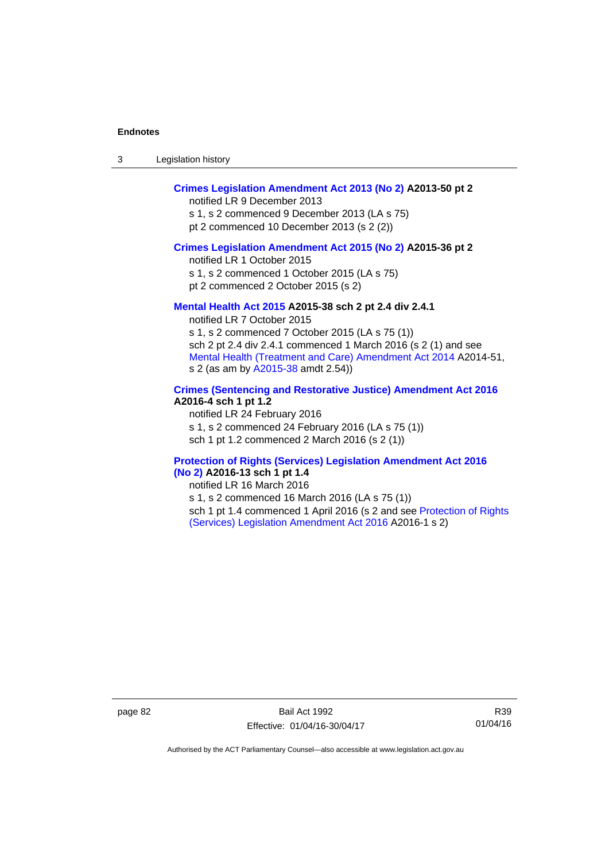| -3 | Legislation history |  |
|----|---------------------|--|
|----|---------------------|--|

# **[Crimes Legislation Amendment Act 2013 \(No 2\)](http://www.legislation.act.gov.au/a/2013-50) A2013-50 pt 2**

notified LR 9 December 2013

s 1, s 2 commenced 9 December 2013 (LA s 75) pt 2 commenced 10 December 2013 (s 2 (2))

### **[Crimes Legislation Amendment Act 2015 \(No 2\)](http://www.legislation.act.gov.au/a/2015-36) A2015-36 pt 2**

notified LR 1 October 2015 s 1, s 2 commenced 1 October 2015 (LA s 75)

pt 2 commenced 2 October 2015 (s 2)

#### **[Mental Health Act 2015](http://www.legislation.act.gov.au/a/2015-38) A2015-38 sch 2 pt 2.4 div 2.4.1**

notified LR 7 October 2015 s 1, s 2 commenced 7 October 2015 (LA s 75 (1)) sch 2 pt 2.4 div 2.4.1 commenced 1 March 2016 (s 2 (1) and see [Mental Health \(Treatment and Care\) Amendment Act 2014](http://www.legislation.act.gov.au/a/2014-51/default.asp) A2014-51, s 2 (as am by [A2015-38](http://www.legislation.act.gov.au/a/2015-38) amdt 2.54))

## **[Crimes \(Sentencing and Restorative Justice\) Amendment Act 2016](http://www.legislation.act.gov.au/a/2016-4/default.asp) A2016-4 sch 1 pt 1.2**

notified LR 24 February 2016 s 1, s 2 commenced 24 February 2016 (LA s 75 (1)) sch 1 pt 1.2 commenced 2 March 2016 (s 2 (1))

#### **[Protection of Rights \(Services\) Legislation Amendment Act 2016](http://www.legislation.act.gov.au/a/2016-13)  [\(No 2\)](http://www.legislation.act.gov.au/a/2016-13) A2016-13 sch 1 pt 1.4**

notified LR 16 March 2016

s 1, s 2 commenced 16 March 2016 (LA s 75 (1)) sch 1 pt 1.4 commenced 1 April 2016 (s 2 and see [Protection of Rights](http://www.legislation.act.gov.au/a/2016-1/default.asp)  [\(Services\) Legislation Amendment Act 2016](http://www.legislation.act.gov.au/a/2016-1/default.asp) A2016-1 s 2)

page 82 Bail Act 1992 Effective: 01/04/16-30/04/17

R39 01/04/16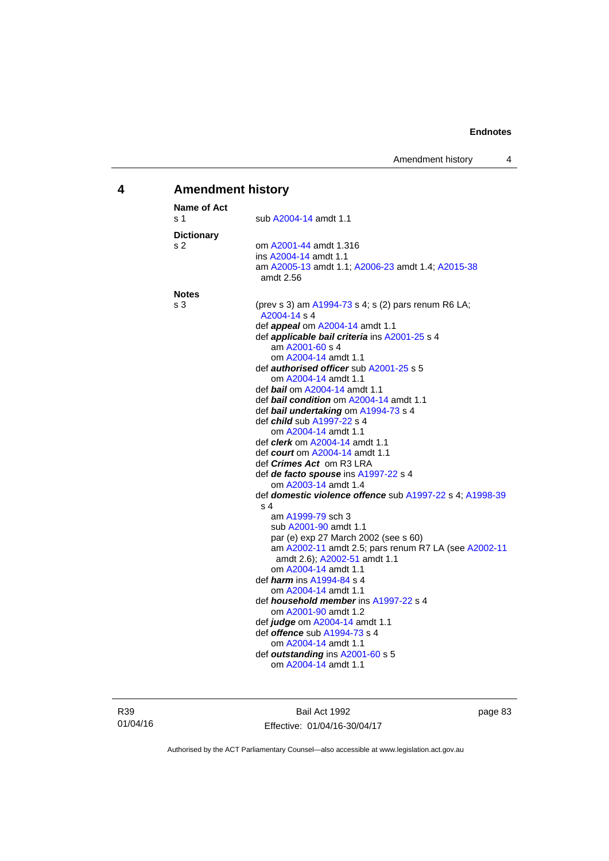# **4 Amendment history**

| <b>Name of Act</b> |                                                                                        |
|--------------------|----------------------------------------------------------------------------------------|
| s 1                | sub A2004-14 amdt 1.1                                                                  |
| <b>Dictionary</b>  |                                                                                        |
| s 2                | om A2001-44 amdt 1.316                                                                 |
|                    | ins A2004-14 amdt 1.1                                                                  |
|                    | am A2005-13 amdt 1.1; A2006-23 amdt 1.4; A2015-38<br>amdt 2.56                         |
| <b>Notes</b>       |                                                                                        |
| s 3                | (prev s 3) am $A1994-73$ s 4; s (2) pars renum R6 LA;<br>A2004-14 s 4                  |
|                    | def <b>appeal</b> om A2004-14 amdt 1.1                                                 |
|                    | def applicable bail criteria ins A2001-25 s 4                                          |
|                    | am A2001-60 s 4                                                                        |
|                    | om A2004-14 amdt 1.1                                                                   |
|                    | def <b>authorised officer</b> sub A2001-25 s 5                                         |
|                    | om A2004-14 amdt 1.1                                                                   |
|                    | def <i>bail</i> om A2004-14 amdt 1.1<br>def <b>bail condition</b> om A2004-14 amdt 1.1 |
|                    | def bail undertaking om A1994-73 s 4                                                   |
|                    | def <i>child</i> sub A1997-22 s 4                                                      |
|                    | om A2004-14 amdt 1.1                                                                   |
|                    | def <i>clerk</i> om A2004-14 amdt 1.1                                                  |
|                    | def court om A2004-14 amdt 1.1                                                         |
|                    | def <i>Crimes Act</i> om R3 LRA                                                        |
|                    | def de facto spouse ins A1997-22 s 4                                                   |
|                    | om A2003-14 amdt 1.4                                                                   |
|                    | def domestic violence offence sub A1997-22 s 4; A1998-39                               |
|                    | s <sub>4</sub>                                                                         |
|                    | am A1999-79 sch 3                                                                      |
|                    | sub A2001-90 amdt 1.1                                                                  |
|                    | par (e) exp 27 March 2002 (see s 60)                                                   |
|                    | am A2002-11 amdt 2.5; pars renum R7 LA (see A2002-11<br>amdt 2.6); A2002-51 amdt 1.1   |
|                    | om A2004-14 amdt 1.1                                                                   |
|                    | def <i>harm</i> ins A1994-84 s 4                                                       |
|                    | om A2004-14 amdt 1.1                                                                   |
|                    | def <i>household member</i> ins A1997-22 s 4<br>om A2001-90 amdt 1.2                   |
|                    | def judge om A2004-14 amdt 1.1                                                         |
|                    | def <b>offence</b> sub A1994-73 s 4                                                    |
|                    | om A2004-14 amdt 1.1                                                                   |
|                    | def outstanding ins A2001-60 s 5                                                       |
|                    | om A2004-14 amdt 1.1                                                                   |

R39 01/04/16

Bail Act 1992 Effective: 01/04/16-30/04/17 page 83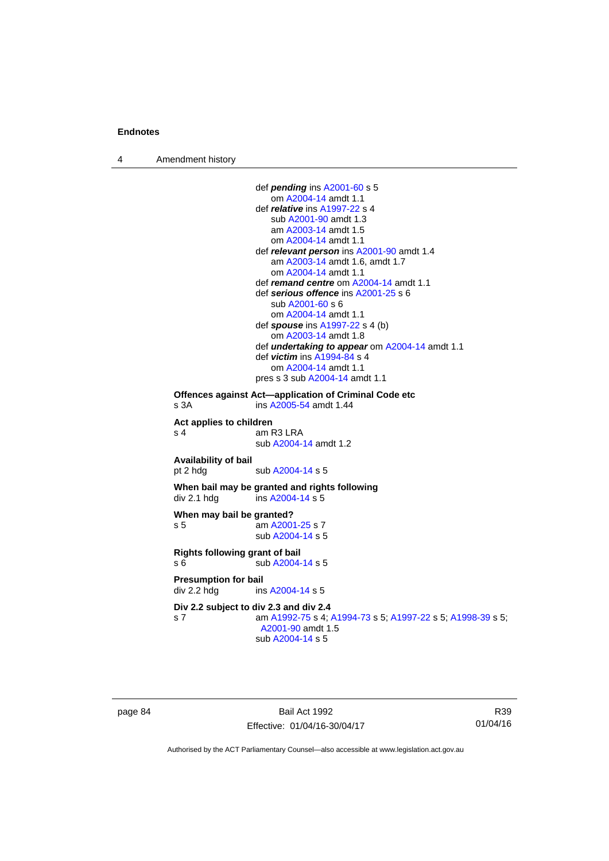4 Amendment history

```
 def pending ins A2001-60 s 5 
                     om A2004-14 amdt 1.1
                  def relative ins A1997-22 s 4 
                     sub A2001-90 amdt 1.3 
                     am A2003-14 amdt 1.5
                     om A2004-14 amdt 1.1
                  def relevant person ins A2001-90 amdt 1.4
                     am A2003-14 amdt 1.6, amdt 1.7 
                     om A2004-14 amdt 1.1
                  def remand centre om A2004-14 amdt 1.1
                  def serious offence ins A2001-25 s 6 
                     sub A2001-60 s 6 
                     om A2004-14 amdt 1.1
                  def spouse ins A1997-22 s 4 (b) 
                     om A2003-14 amdt 1.8
                  def undertaking to appear om A2004-14 amdt 1.1 
                  def victim ins A1994-84 s 4 
                     om A2004-14 amdt 1.1
                 pres s 3 sub A2004-14 amdt 1.1 
Offences against Act—application of Criminal Code etc 
s 3A ins A2005-54 amdt 1.44 
Act applies to children 
s 4 am R3 LRA
                  sub A2004-14 amdt 1.2 
Availability of bail 
                 A2004-14 s 5
When bail may be granted and rights following 
A2004-14 s 5
When may bail be granted? 
s 5 am A2001-25 s 7 
                  sub A2004-14 s 5 
Rights following grant of bail 
s 6 sub A2004-14 s 5 
Presumption for bail 
A2004-14 s 5
Div 2.2 subject to div 2.3 and div 2.4
s 7 am A1992-75 s 4; A1994-73 s 5; A1997-22 s 5; A1998-39 s 5; 
                  A2001-90 amdt 1.5 
                  sub A2004-14 s 5
```
page 84 Bail Act 1992 Effective: 01/04/16-30/04/17

R39 01/04/16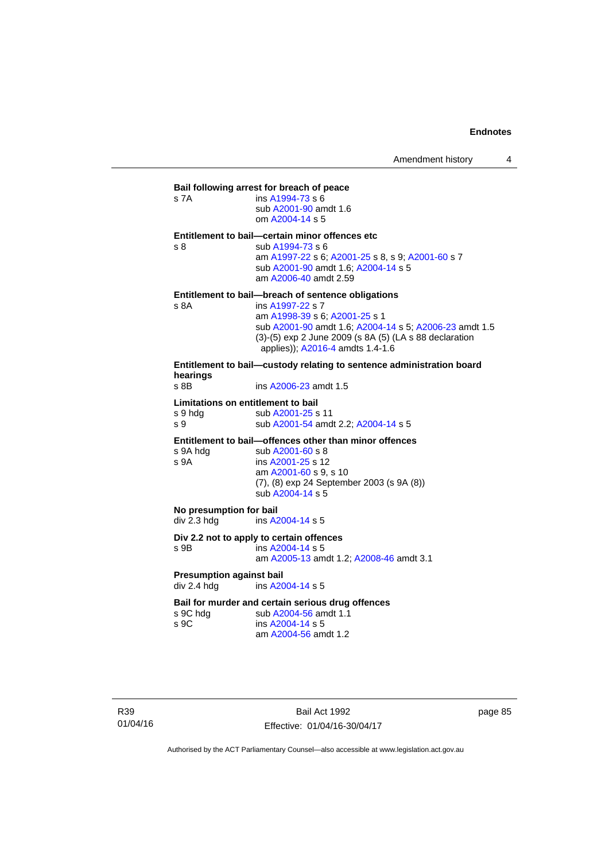| Bail following arrest for breach of peace |                                                                                            |  |  |
|-------------------------------------------|--------------------------------------------------------------------------------------------|--|--|
| s 7A                                      | ins A1994-73 s 6<br>sub A2001-90 amdt 1.6<br>om A2004-14 s 5                               |  |  |
|                                           | Entitlement to bail-certain minor offences etc                                             |  |  |
| s <sub>8</sub>                            | sub A1994-73 s 6                                                                           |  |  |
|                                           | am A1997-22 s 6; A2001-25 s 8, s 9; A2001-60 s 7                                           |  |  |
|                                           | sub A2001-90 amdt 1.6; A2004-14 s 5                                                        |  |  |
|                                           | am A2006-40 amdt 2.59                                                                      |  |  |
|                                           | Entitlement to bail—breach of sentence obligations                                         |  |  |
| s 8A                                      | ins A1997-22 s 7                                                                           |  |  |
|                                           | am A1998-39 s 6; A2001-25 s 1                                                              |  |  |
|                                           | sub A2001-90 amdt 1.6; A2004-14 s 5; A2006-23 amdt 1.5                                     |  |  |
|                                           | (3)-(5) exp 2 June 2009 (s 8A (5) (LA s 88 declaration<br>applies)); A2016-4 amdts 1.4-1.6 |  |  |
|                                           | Entitlement to bail—custody relating to sentence administration board                      |  |  |

**hearings** ins [A2006-23](http://www.legislation.act.gov.au/a/2006-23) amdt 1.5 **Limitations on entitlement to bail** 

s 9 hdg sub [A2001-25](http://www.legislation.act.gov.au/a/2001-25) s 11 s 9 sub [A2001-54](http://www.legislation.act.gov.au/a/2001-54) amdt 2.2; [A2004-14](http://www.legislation.act.gov.au/a/2004-14) s 5

**Entitlement to bail—offences other than minor offences** 

| ins A2001-25 s 12<br>s 9A                                                 |  |
|---------------------------------------------------------------------------|--|
|                                                                           |  |
| am A2001-60 s 9, s 10<br>$(7)$ , $(8)$ exp 24 September 2003 $(s 9A (8))$ |  |
| sub A2004-14 s 5                                                          |  |

**No presumption for bail<br>div 2.3 hdg ins A2** ins  $A2004-14 s 5$  $A2004-14 s 5$ 

#### **Div 2.2 not to apply to certain offences**

s 9B ins [A2004-14](http://www.legislation.act.gov.au/a/2004-14) s 5 am [A2005-13](http://www.legislation.act.gov.au/a/2005-13) amdt 1.2; [A2008-46](http://www.legislation.act.gov.au/a/2008-46) amdt 3.1

**Presumption against bail**  div 2.4 hdg ins [A2004-14](http://www.legislation.act.gov.au/a/2004-14) s 5

#### **Bail for murder and certain serious drug offences**

| s 9C hdg | sub A2004-56 amdt 1.1 |
|----------|-----------------------|
| s 9C     | ins $A2004 - 14$ s 5  |
|          | am A2004-56 amdt 1.2  |

R39 01/04/16

Bail Act 1992 Effective: 01/04/16-30/04/17 page 85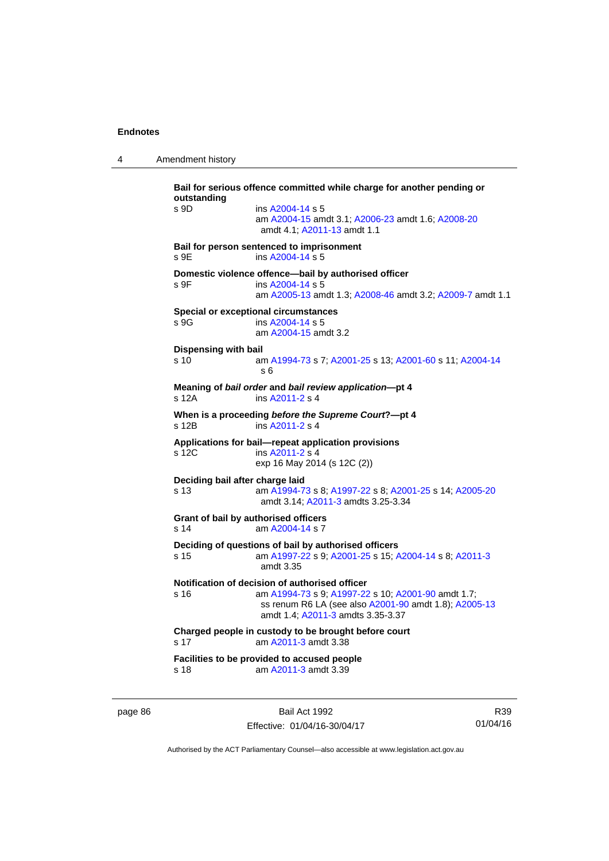4 Amendment history

**Bail for serious offence committed while charge for another pending or outstanding**  s 9D ins [A2004-14](http://www.legislation.act.gov.au/a/2004-14) s 5 am [A2004-15](http://www.legislation.act.gov.au/a/2004-15) amdt 3.1; [A2006-23](http://www.legislation.act.gov.au/a/2006-23) amdt 1.6; [A2008-20](http://www.legislation.act.gov.au/a/2008-20) amdt 4.1; [A2011-13](http://www.legislation.act.gov.au/a/2011-13) amdt 1.1 **Bail for person sentenced to imprisonment**  s 9E ins [A2004-14](http://www.legislation.act.gov.au/a/2004-14) s 5 **Domestic violence offence—bail by authorised officer**  s 9F ins [A2004-14](http://www.legislation.act.gov.au/a/2004-14) s 5 am [A2005-13](http://www.legislation.act.gov.au/a/2005-13) amdt 1.3; [A2008-46](http://www.legislation.act.gov.au/a/2008-46) amdt 3.2; [A2009-7](http://www.legislation.act.gov.au/a/2009-7) amdt 1.1 **Special or exceptional circumstances**  s 9G ins [A2004-14](http://www.legislation.act.gov.au/a/2004-14) s 5 am [A2004-15](http://www.legislation.act.gov.au/a/2004-15) amdt 3.2 **Dispensing with bail** s 10 am [A1994-73](http://www.legislation.act.gov.au/a/1994-73) s 7; [A2001-25](http://www.legislation.act.gov.au/a/2001-25) s 13; [A2001-60](http://www.legislation.act.gov.au/a/2001-60) s 11; [A2004-14](http://www.legislation.act.gov.au/a/2004-14) s 6 **Meaning of** *bail order* **and** *bail review application***—pt 4**  s 12A ins [A2011-2](http://www.legislation.act.gov.au/a/2011-2) s 4 **When is a proceeding** *before the Supreme Court***?—pt 4**  s 12B ins [A2011-2](http://www.legislation.act.gov.au/a/2011-2) s 4 **Applications for bail—repeat application provisions**  s 12C ins [A2011-2](http://www.legislation.act.gov.au/a/2011-2) s 4 exp 16 May 2014 (s 12C (2)) **Deciding bail after charge laid** s 13 am [A1994-73](http://www.legislation.act.gov.au/a/1994-73) s 8; [A1997-22](http://www.legislation.act.gov.au/a/1997-22) s 8; [A2001-25](http://www.legislation.act.gov.au/a/2001-25) s 14; [A2005-20](http://www.legislation.act.gov.au/a/2005-20) amdt 3.14; [A2011-3](http://www.legislation.act.gov.au/a/2011-3) amdts 3.25-3.34 **Grant of bail by authorised officers**  s 14 am [A2004-14](http://www.legislation.act.gov.au/a/2004-14) s 7 **Deciding of questions of bail by authorised officers** s 15 am [A1997-22](http://www.legislation.act.gov.au/a/1997-22) s 9; [A2001-25](http://www.legislation.act.gov.au/a/2001-25) s 15; [A2004-14](http://www.legislation.act.gov.au/a/2004-14) s 8; [A2011-3](http://www.legislation.act.gov.au/a/2011-3) amdt 3.35 **Notification of decision of authorised officer** s 16 am [A1994-73](http://www.legislation.act.gov.au/a/1994-73) s 9; [A1997-22](http://www.legislation.act.gov.au/a/1997-22) s 10; [A2001-90](http://www.legislation.act.gov.au/a/2001-90) amdt 1.7; ss renum R6 LA (see also [A2001-90](http://www.legislation.act.gov.au/a/2001-90) amdt 1.8); [A2005-13](http://www.legislation.act.gov.au/a/2005-13) amdt 1.4; [A2011-3](http://www.legislation.act.gov.au/a/2011-3) amdts 3.35-3.37 **Charged people in custody to be brought before court**  s 17 am [A2011-3](http://www.legislation.act.gov.au/a/2011-3) amdt 3.38 **Facilities to be provided to accused people**  s 18 am [A2011-3](http://www.legislation.act.gov.au/a/2011-3) amdt 3.39

page 86 Bail Act 1992 Effective: 01/04/16-30/04/17

R39 01/04/16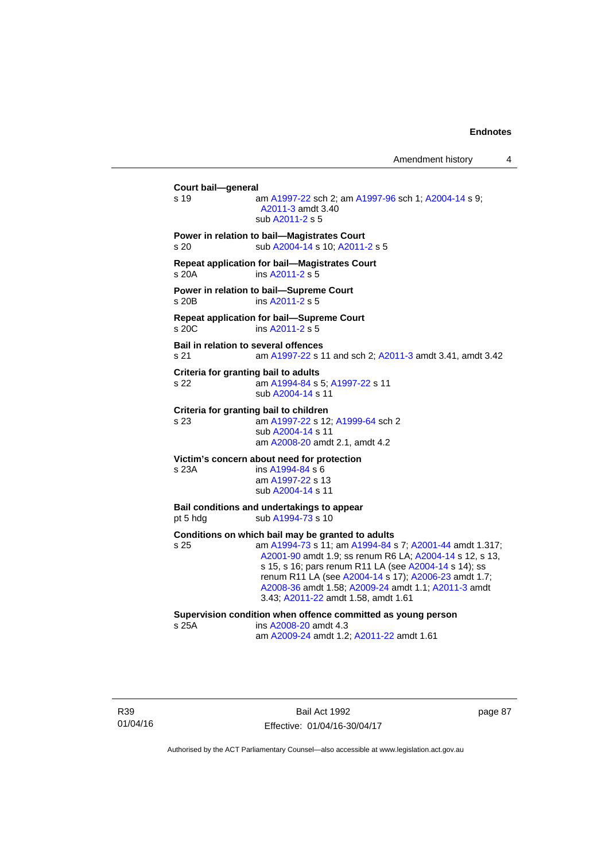Amendment history 4

**Court bail—general**  s 19 am [A1997-22](http://www.legislation.act.gov.au/a/1997-22) sch 2; am [A1997-96](http://www.legislation.act.gov.au/a/1997-96) sch 1; [A2004-14](http://www.legislation.act.gov.au/a/2004-14) s 9; [A2011-3](http://www.legislation.act.gov.au/a/2011-3) amdt 3.40 sub [A2011-2](http://www.legislation.act.gov.au/a/2011-2) s 5 **Power in relation to bail—Magistrates Court**  s 20 sub [A2004-14](http://www.legislation.act.gov.au/a/2004-14) s 10; [A2011-2](http://www.legislation.act.gov.au/a/2011-2) s 5 **Repeat application for bail—Magistrates Court**  s 20A ins [A2011-2](http://www.legislation.act.gov.au/a/2011-2) s 5 **Power in relation to bail—Supreme Court**  s 20B ins [A2011-2](http://www.legislation.act.gov.au/a/2011-2) s 5 **Repeat application for bail—Supreme Court**  s 20C ins [A2011-2](http://www.legislation.act.gov.au/a/2011-2) s 5 **Bail in relation to several offences** s 21 am [A1997-22](http://www.legislation.act.gov.au/a/1997-22) s 11 and sch 2; [A2011-3](http://www.legislation.act.gov.au/a/2011-3) amdt 3.41, amdt 3.42 **Criteria for granting bail to adults** s 22 am [A1994-84](http://www.legislation.act.gov.au/a/1994-84) s 5; [A1997-22](http://www.legislation.act.gov.au/a/1997-22) s 11 sub [A2004-14](http://www.legislation.act.gov.au/a/2004-14) s 11 **Criteria for granting bail to children** s 23 am [A1997-22](http://www.legislation.act.gov.au/a/1997-22) s 12; [A1999-64](http://www.legislation.act.gov.au/a/1999-64) sch 2 sub [A2004-14](http://www.legislation.act.gov.au/a/2004-14) s 11 am [A2008-20](http://www.legislation.act.gov.au/a/2008-20) amdt 2.1, amdt 4.2 **Victim's concern about need for protection** s 23A ins [A1994-84](http://www.legislation.act.gov.au/a/1994-84) s 6 am [A1997-22](http://www.legislation.act.gov.au/a/1997-22) s 13 sub [A2004-14](http://www.legislation.act.gov.au/a/2004-14) s 11 **Bail conditions and undertakings to appear** pt 5 hdg sub [A1994-73](http://www.legislation.act.gov.au/a/1994-73) s 10 **Conditions on which bail may be granted to adults** s 25 am [A1994-73](http://www.legislation.act.gov.au/a/1994-73) s 11; am [A1994-84](http://www.legislation.act.gov.au/a/1994-84) s 7; [A2001-44](http://www.legislation.act.gov.au/a/2001-44) amdt 1.317; [A2001-90](http://www.legislation.act.gov.au/a/2001-90) amdt 1.9; ss renum R6 LA; [A2004-14](http://www.legislation.act.gov.au/a/2004-14) s 12, s 13, s 15, s 16; pars renum R11 LA (see [A2004-14](http://www.legislation.act.gov.au/a/2004-14) s 14); ss renum R11 LA (see [A2004-14](http://www.legislation.act.gov.au/a/2004-14) s 17); [A2006-23](http://www.legislation.act.gov.au/a/2006-23) amdt 1.7; [A2008-36](http://www.legislation.act.gov.au/a/2008-36) amdt 1.58; [A2009-24](http://www.legislation.act.gov.au/a/2009-24) amdt 1.1; [A2011-3](http://www.legislation.act.gov.au/a/2011-3) amdt 3.43; [A2011-22](http://www.legislation.act.gov.au/a/2011-22) amdt 1.58, amdt 1.61 **Supervision condition when offence committed as young person**  s 25A ins [A2008-20](http://www.legislation.act.gov.au/a/2008-20) amdt 4.3 am [A2009-24](http://www.legislation.act.gov.au/a/2009-24) amdt 1.2; [A2011-22](http://www.legislation.act.gov.au/a/2011-22) amdt 1.61

R39 01/04/16

Bail Act 1992 Effective: 01/04/16-30/04/17 page 87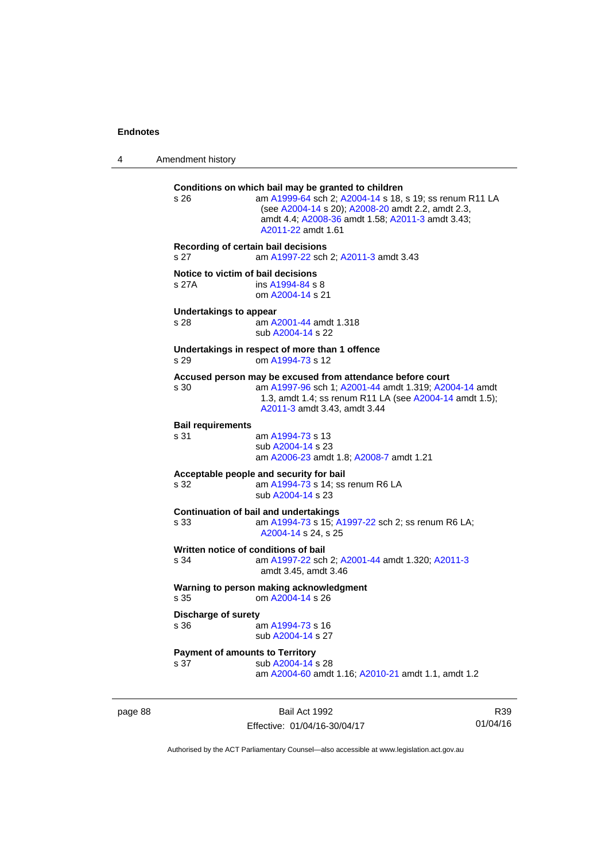page 88

4 Amendment history

| s 26                                           | Conditions on which bail may be granted to children<br>am A1999-64 sch 2; A2004-14 s 18, s 19; ss renum R11 LA<br>(see A2004-14 s 20); A2008-20 amdt 2.2, amdt 2.3,<br>amdt 4.4; A2008-36 amdt 1.58; A2011-3 amdt 3.43;<br>A2011-22 amdt 1.61 |                 |  |
|------------------------------------------------|-----------------------------------------------------------------------------------------------------------------------------------------------------------------------------------------------------------------------------------------------|-----------------|--|
| s 27                                           | Recording of certain bail decisions<br>am A1997-22 sch 2; A2011-3 amdt 3.43                                                                                                                                                                   |                 |  |
| Notice to victim of bail decisions<br>s 27A    | ins A1994-84 s 8<br>om A2004-14 s 21                                                                                                                                                                                                          |                 |  |
| <b>Undertakings to appear</b><br>s 28          | am A2001-44 amdt 1.318<br>sub A2004-14 s 22                                                                                                                                                                                                   |                 |  |
| s 29                                           | Undertakings in respect of more than 1 offence<br>om A1994-73 s 12                                                                                                                                                                            |                 |  |
| s 30                                           | Accused person may be excused from attendance before court<br>am A1997-96 sch 1; A2001-44 amdt 1.319; A2004-14 amdt<br>1.3, amdt 1.4; ss renum R11 LA (see A2004-14 amdt 1.5);<br>A2011-3 amdt 3.43, amdt 3.44                                |                 |  |
| <b>Bail requirements</b><br>s 31               | am A1994-73 s 13<br>sub A2004-14 s 23<br>am A2006-23 amdt 1.8; A2008-7 amdt 1.21                                                                                                                                                              |                 |  |
| s 32                                           | Acceptable people and security for bail<br>am A1994-73 s 14; ss renum R6 LA<br>sub A2004-14 s 23                                                                                                                                              |                 |  |
| s 33                                           | <b>Continuation of bail and undertakings</b><br>am A1994-73 s 15; A1997-22 sch 2; ss renum R6 LA;<br>A2004-14 s 24, s 25                                                                                                                      |                 |  |
| s 34                                           | Written notice of conditions of bail<br>am A1997-22 sch 2; A2001-44 amdt 1.320; A2011-3<br>amdt 3.45, amdt 3.46                                                                                                                               |                 |  |
| s.35                                           | Warning to person making acknowledgment<br>om A2004-14 s 26                                                                                                                                                                                   |                 |  |
| <b>Discharge of surety</b><br>s 36             | am A1994-73 s 16<br>sub A2004-14 s 27                                                                                                                                                                                                         |                 |  |
| <b>Payment of amounts to Territory</b><br>s 37 | sub A2004-14 s 28<br>am A2004-60 amdt 1.16; A2010-21 amdt 1.1, amdt 1.2                                                                                                                                                                       |                 |  |
|                                                | Bail Act 1992<br>Effective: 01/04/16-30/04/17                                                                                                                                                                                                 | R39<br>01/04/16 |  |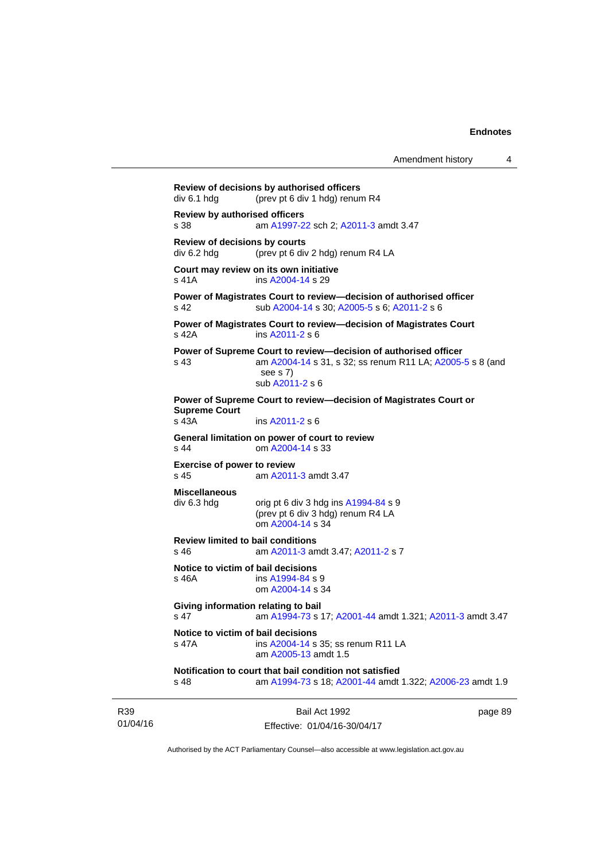**Review of decisions by authorised officers**  div 6.1 hdg (prev pt 6 div 1 hdg) renum R4 **Review by authorised officers** s 38 am [A1997-22](http://www.legislation.act.gov.au/a/1997-22) sch 2; [A2011-3](http://www.legislation.act.gov.au/a/2011-3) amdt 3.47 **Review of decisions by courts**  div 6.2 hdg (prev pt 6 div 2 hdg) renum R4 LA **Court may review on its own initiative** s 41A ins [A2004-14](http://www.legislation.act.gov.au/a/2004-14) s 29 **Power of Magistrates Court to review—decision of authorised officer**  s 42 sub [A2004-14](http://www.legislation.act.gov.au/a/2004-14) s 30; [A2005-5](http://www.legislation.act.gov.au/a/2005-5) s 6; [A2011-2](http://www.legislation.act.gov.au/a/2011-2) s 6 **Power of Magistrates Court to review—decision of Magistrates Court**  s 42A ins [A2011-2](http://www.legislation.act.gov.au/a/2011-2) s 6 **Power of Supreme Court to review—decision of authorised officer**  s 43 am [A2004-14](http://www.legislation.act.gov.au/a/2004-14) s 31, s 32; ss renum R11 LA; [A2005-5](http://www.legislation.act.gov.au/a/2005-5) s 8 (and see s 7) sub [A2011-2](http://www.legislation.act.gov.au/a/2011-2) s 6 **Power of Supreme Court to review—decision of Magistrates Court or Supreme Court**  s 43A ins [A2011-2](http://www.legislation.act.gov.au/a/2011-2) s 6 **General limitation on power of court to review** s 44 om [A2004-14](http://www.legislation.act.gov.au/a/2004-14) s 33 **Exercise of power to review**  s 45 am [A2011-3](http://www.legislation.act.gov.au/a/2011-3) amdt 3.47 **Miscellaneous**   $div 6.3 hdg$  orig pt 6 div 3 hdg ins  $A1994-84 s 9$ (prev pt 6 div 3 hdg) renum R4 LA om [A2004-14](http://www.legislation.act.gov.au/a/2004-14) s 34 **Review limited to bail conditions**  s 46 am [A2011-3](http://www.legislation.act.gov.au/a/2011-3) amdt 3.47; [A2011-2](http://www.legislation.act.gov.au/a/2011-2) s 7 **Notice to victim of bail decisions** s 46A ins [A1994-84](http://www.legislation.act.gov.au/a/1994-84) s 9 om [A2004-14](http://www.legislation.act.gov.au/a/2004-14) s 34 **Giving information relating to bail** s 47 am [A1994-73](http://www.legislation.act.gov.au/a/1994-73) s 17; [A2001-44](http://www.legislation.act.gov.au/a/2001-44) amdt 1.321; [A2011-3](http://www.legislation.act.gov.au/a/2011-3) amdt 3.47 **Notice to victim of bail decisions**<br>s 47A **ins A2004-14** s ins [A2004-14](http://www.legislation.act.gov.au/a/2004-14) s 35; ss renum R11 LA am [A2005-13](http://www.legislation.act.gov.au/a/2005-13) amdt 1.5 **Notification to court that bail condition not satisfied** s 48 am [A1994-73](http://www.legislation.act.gov.au/a/1994-73) s 18; [A2001-44](http://www.legislation.act.gov.au/a/2001-44) amdt 1.322; [A2006-23](http://www.legislation.act.gov.au/a/2006-23) amdt 1.9

| R <sub>39</sub> | Bail Act 1992                | page 89 |
|-----------------|------------------------------|---------|
| 01/04/16        | Effective: 01/04/16-30/04/17 |         |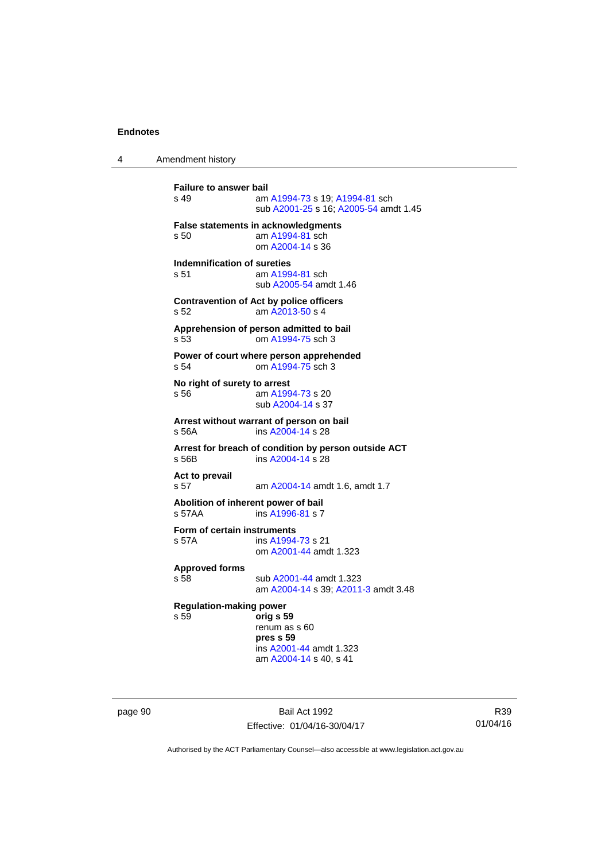4 Amendment history

**Failure to answer bail**<br>s 49 am am [A1994-73](http://www.legislation.act.gov.au/a/1994-73) s 19: [A1994-81](http://www.legislation.act.gov.au/a/1994-81) sch sub [A2001-25](http://www.legislation.act.gov.au/a/2001-25) s 16; [A2005-54](http://www.legislation.act.gov.au/a/2005-54) amdt 1.45 **False statements in acknowledgments** s 50 am [A1994-81](http://www.legislation.act.gov.au/a/1994-81) sch om [A2004-14](http://www.legislation.act.gov.au/a/2004-14) s 36 **Indemnification of sureties** s 51 am [A1994-81](http://www.legislation.act.gov.au/a/1994-81) sch sub [A2005-54](http://www.legislation.act.gov.au/a/2005-54) amdt 1.46 **Contravention of Act by police officers**  s 52 am [A2013-50](http://www.legislation.act.gov.au/a/2013-50) s 4 **Apprehension of person admitted to bail** s 53 om [A1994-75](http://www.legislation.act.gov.au/a/1994-75) sch 3 **Power of court where person apprehended** s 54 om [A1994-75](http://www.legislation.act.gov.au/a/1994-75) sch 3 **No right of surety to arrest** s 56 am [A1994-73](http://www.legislation.act.gov.au/a/1994-73) s 20 sub [A2004-14](http://www.legislation.act.gov.au/a/2004-14) s 37 **Arrest without warrant of person on bail** ins [A2004-14](http://www.legislation.act.gov.au/a/2004-14) s 28 **Arrest for breach of condition by person outside ACT** s 56B ins [A2004-14](http://www.legislation.act.gov.au/a/2004-14) s 28 **Act to prevail**  s 57 am [A2004-14](http://www.legislation.act.gov.au/a/2004-14) amdt 1.6, amdt 1.7 **Abolition of inherent power of bail** s 57AA ins [A1996-81](http://www.legislation.act.gov.au/a/1996-81) s 7 **Form of certain instruments** s 57A ins [A1994-73](http://www.legislation.act.gov.au/a/1994-73) s 21 om [A2001-44](http://www.legislation.act.gov.au/a/2001-44) amdt 1.323 **Approved forms**  s 58 sub [A2001-44](http://www.legislation.act.gov.au/a/2001-44) amdt 1.323 am [A2004-14](http://www.legislation.act.gov.au/a/2004-14) s 39; [A2011-3](http://www.legislation.act.gov.au/a/2011-3) amdt 3.48 **Regulation-making power**  s 59 **orig s 59**  renum as s 60 **pres s 59**  ins [A2001-44](http://www.legislation.act.gov.au/a/2001-44) amdt 1.323 am [A2004-14](http://www.legislation.act.gov.au/a/2004-14) s 40, s 41

page 90 Bail Act 1992 Effective: 01/04/16-30/04/17

R39 01/04/16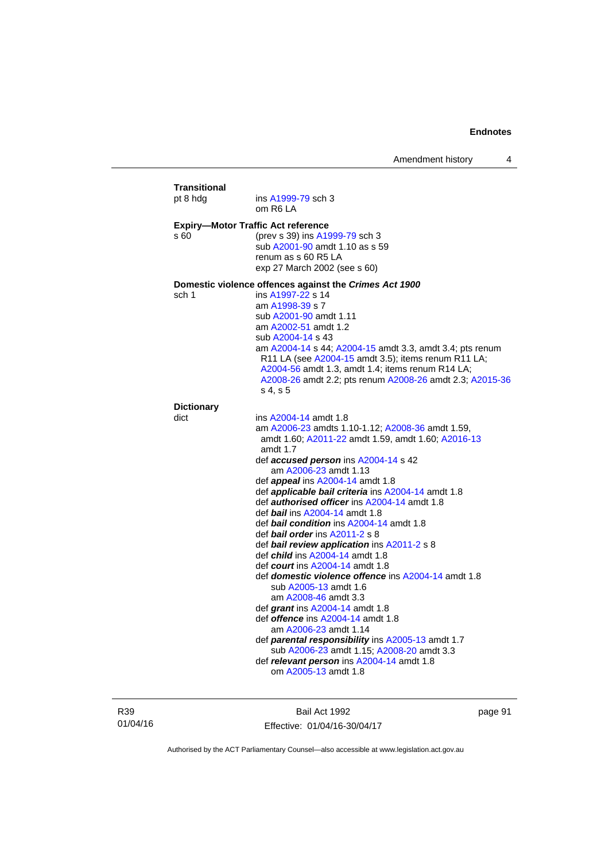| <b>Transitional</b><br>pt 8 hdg | ins A1999-79 sch 3                                                                                                                                                                                                                                                                                                                                                                                                                                                                                                                                                                                                                                                                                                                                                                                                                                                                                                                                                                                            |
|---------------------------------|---------------------------------------------------------------------------------------------------------------------------------------------------------------------------------------------------------------------------------------------------------------------------------------------------------------------------------------------------------------------------------------------------------------------------------------------------------------------------------------------------------------------------------------------------------------------------------------------------------------------------------------------------------------------------------------------------------------------------------------------------------------------------------------------------------------------------------------------------------------------------------------------------------------------------------------------------------------------------------------------------------------|
|                                 | om R6 LA                                                                                                                                                                                                                                                                                                                                                                                                                                                                                                                                                                                                                                                                                                                                                                                                                                                                                                                                                                                                      |
| s 60                            | <b>Expiry-Motor Traffic Act reference</b><br>(prev s 39) ins A1999-79 sch 3<br>sub A2001-90 amdt 1.10 as s 59<br>renum as s 60 R5 LA<br>exp 27 March 2002 (see s 60)                                                                                                                                                                                                                                                                                                                                                                                                                                                                                                                                                                                                                                                                                                                                                                                                                                          |
| sch 1                           | Domestic violence offences against the Crimes Act 1900<br>ins A1997-22 s 14<br>am A1998-39 s 7<br>sub A2001-90 amdt 1.11<br>am A2002-51 amdt 1.2<br>sub A2004-14 s 43<br>am A2004-14 s 44; A2004-15 amdt 3.3, amdt 3.4; pts renum<br>R11 LA (see A2004-15 amdt 3.5); items renum R11 LA;<br>A2004-56 amdt 1.3, amdt 1.4; items renum R14 LA;<br>A2008-26 amdt 2.2; pts renum A2008-26 amdt 2.3; A2015-36<br>s 4, s 5                                                                                                                                                                                                                                                                                                                                                                                                                                                                                                                                                                                          |
| <b>Dictionary</b>               |                                                                                                                                                                                                                                                                                                                                                                                                                                                                                                                                                                                                                                                                                                                                                                                                                                                                                                                                                                                                               |
| dict                            | ins A2004-14 amdt 1.8<br>am A2006-23 amdts 1.10-1.12; A2008-36 amdt 1.59,<br>amdt 1.60; A2011-22 amdt 1.59, amdt 1.60; A2016-13<br>amdt 1.7<br>def <b>accused person</b> ins A2004-14 s 42<br>am A2006-23 amdt 1.13<br>def <i>appeal</i> ins A2004-14 amdt 1.8<br>def applicable bail criteria ins A2004-14 amdt 1.8<br>def authorised officer ins A2004-14 amdt 1.8<br>def bail ins A2004-14 amdt 1.8<br>def <b>bail condition</b> ins A2004-14 amdt 1.8<br>def <i>bail order</i> ins A2011-2 s 8<br>def bail review application ins A2011-2 s 8<br>def <i>child</i> ins A2004-14 amdt 1.8<br>def <i>court</i> ins A2004-14 amdt 1.8<br>def domestic violence offence ins A2004-14 amdt 1.8<br>sub A2005-13 amdt 1.6<br>am A2008-46 amdt 3.3<br>def grant ins $A2004-14$ amdt 1.8<br>def <i>offence</i> ins A2004-14 amdt 1.8<br>am A2006-23 amdt 1.14<br>def <b>parental responsibility</b> ins A2005-13 amdt 1.7<br>sub A2006-23 amdt 1.15; A2008-20 amdt 3.3<br>def relevant person ins A2004-14 amdt 1.8 |

R39 01/04/16

Bail Act 1992 Effective: 01/04/16-30/04/17 page 91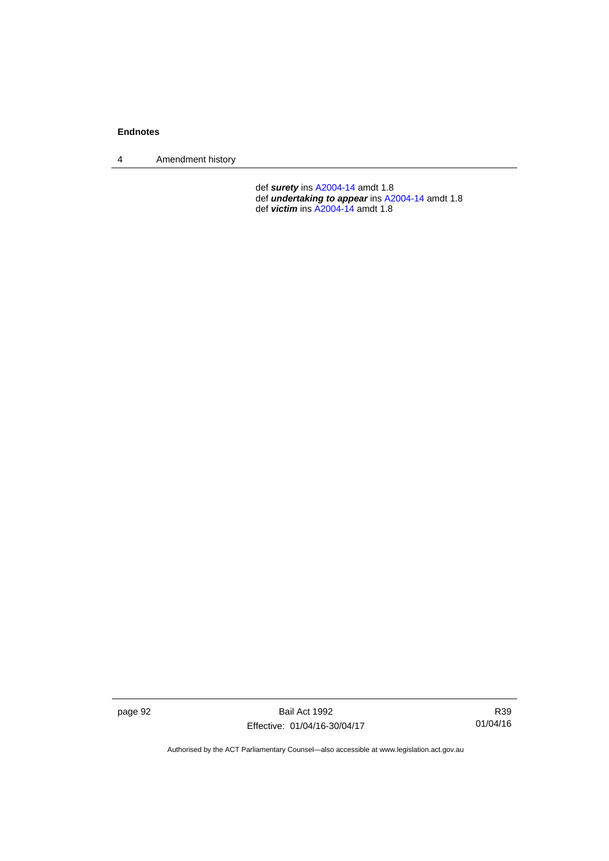4 Amendment history

 def *surety* ins [A2004-14](http://www.legislation.act.gov.au/a/2004-14) amdt 1.8 def *undertaking to appear* ins [A2004-14](http://www.legislation.act.gov.au/a/2004-14) amdt 1.8 def *victim* ins [A2004-14](http://www.legislation.act.gov.au/a/2004-14) amdt 1.8

page 92 Bail Act 1992 Effective: 01/04/16-30/04/17

R39 01/04/16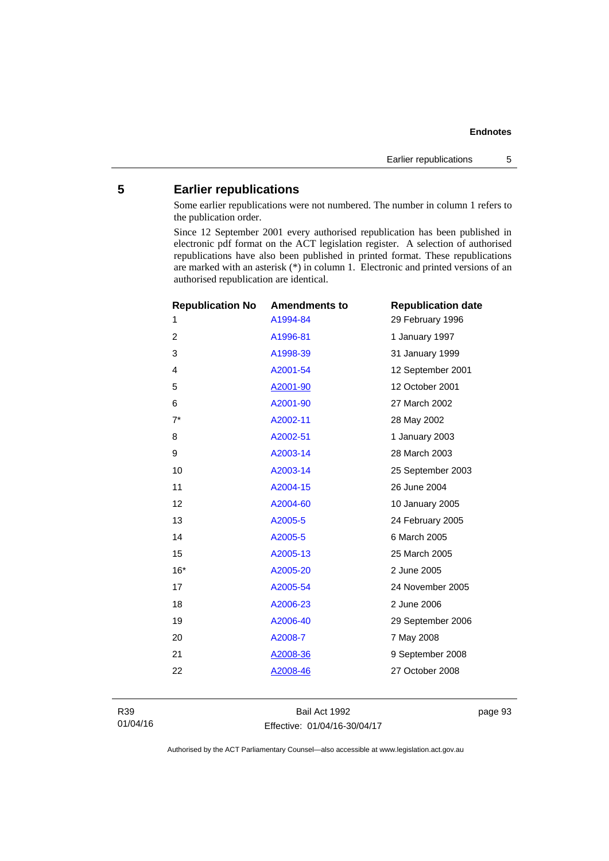# **5 Earlier republications**

Some earlier republications were not numbered. The number in column 1 refers to the publication order.

Since 12 September 2001 every authorised republication has been published in electronic pdf format on the ACT legislation register. A selection of authorised republications have also been published in printed format. These republications are marked with an asterisk (\*) in column 1. Electronic and printed versions of an authorised republication are identical.

|       | <b>Republication No</b> | <b>Amendments to</b> | <b>Republication date</b> |
|-------|-------------------------|----------------------|---------------------------|
| 1     |                         | A1994-84             | 29 February 1996          |
| 2     |                         | A1996-81             | 1 January 1997            |
| 3     |                         | A1998-39             | 31 January 1999           |
| 4     |                         | A2001-54             | 12 September 2001         |
| 5     |                         | A2001-90             | 12 October 2001           |
| 6     |                         | A2001-90             | 27 March 2002             |
| $7^*$ |                         | A2002-11             | 28 May 2002               |
| 8     |                         | A2002-51             | 1 January 2003            |
| 9     |                         | A2003-14             | 28 March 2003             |
| 10    |                         | A2003-14             | 25 September 2003         |
| 11    |                         | A2004-15             | 26 June 2004              |
| 12    |                         | A2004-60             | 10 January 2005           |
| 13    |                         | A2005-5              | 24 February 2005          |
| 14    |                         | A2005-5              | 6 March 2005              |
| 15    |                         | A2005-13             | 25 March 2005             |
| $16*$ |                         | A2005-20             | 2 June 2005               |
| 17    |                         | A2005-54             | 24 November 2005          |
| 18    |                         | A2006-23             | 2 June 2006               |
| 19    |                         | A2006-40             | 29 September 2006         |
| 20    |                         | A2008-7              | 7 May 2008                |
| 21    |                         | A2008-36             | 9 September 2008          |
| 22    |                         | A2008-46             | 27 October 2008           |
|       |                         |                      |                           |

Bail Act 1992 Effective: 01/04/16-30/04/17 page 93